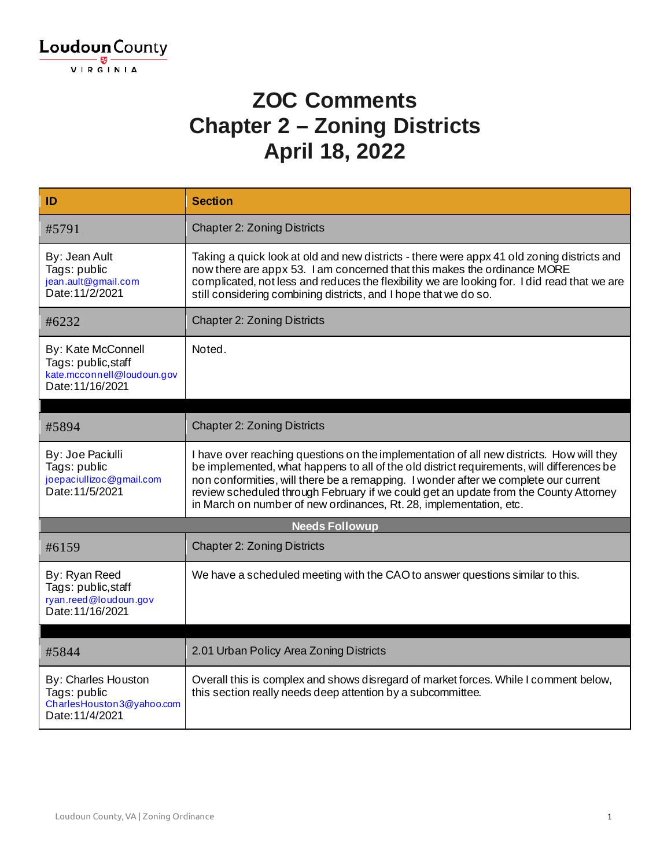

#### **ZOC Comments Chapter 2 – Zoning Districts April 18, 2022**

| ID                                                                                          | <b>Section</b>                                                                                                                                                                                                                                                                                                                                                                                                                             |
|---------------------------------------------------------------------------------------------|--------------------------------------------------------------------------------------------------------------------------------------------------------------------------------------------------------------------------------------------------------------------------------------------------------------------------------------------------------------------------------------------------------------------------------------------|
| #5791                                                                                       | <b>Chapter 2: Zoning Districts</b>                                                                                                                                                                                                                                                                                                                                                                                                         |
| By: Jean Ault<br>Tags: public<br>jean.ault@gmail.com<br>Date: 11/2/2021                     | Taking a quick look at old and new districts - there were appx 41 old zoning districts and<br>now there are appx 53. I am concerned that this makes the ordinance MORE<br>complicated, not less and reduces the flexibility we are looking for. I did read that we are<br>still considering combining districts, and I hope that we do so.                                                                                                 |
| #6232                                                                                       | <b>Chapter 2: Zoning Districts</b>                                                                                                                                                                                                                                                                                                                                                                                                         |
| By: Kate McConnell<br>Tags: public, staff<br>kate.mcconnell@loudoun.gov<br>Date: 11/16/2021 | Noted.                                                                                                                                                                                                                                                                                                                                                                                                                                     |
|                                                                                             |                                                                                                                                                                                                                                                                                                                                                                                                                                            |
| #5894                                                                                       | <b>Chapter 2: Zoning Districts</b>                                                                                                                                                                                                                                                                                                                                                                                                         |
| By: Joe Paciulli<br>Tags: public<br>joepaciullizoc@gmail.com<br>Date: 11/5/2021             | I have over reaching questions on the implementation of all new districts. How will they<br>be implemented, what happens to all of the old district requirements, will differences be<br>non conformities, will there be a remapping. I wonder after we complete our current<br>review scheduled through February if we could get an update from the County Attorney<br>in March on number of new ordinances, Rt. 28, implementation, etc. |
|                                                                                             | <b>Needs Followup</b>                                                                                                                                                                                                                                                                                                                                                                                                                      |
| #6159                                                                                       | <b>Chapter 2: Zoning Districts</b>                                                                                                                                                                                                                                                                                                                                                                                                         |
| By: Ryan Reed<br>Tags: public, staff<br>ryan.reed@loudoun.gov<br>Date: 11/16/2021           | We have a scheduled meeting with the CAO to answer questions similar to this.                                                                                                                                                                                                                                                                                                                                                              |
|                                                                                             |                                                                                                                                                                                                                                                                                                                                                                                                                                            |
| #5844                                                                                       | 2.01 Urban Policy Area Zoning Districts                                                                                                                                                                                                                                                                                                                                                                                                    |
| By: Charles Houston<br>Tags: public<br>CharlesHouston3@yahoo.com<br>Date: 11/4/2021         | Overall this is complex and shows disregard of market forces. While I comment below,<br>this section really needs deep attention by a subcommittee.                                                                                                                                                                                                                                                                                        |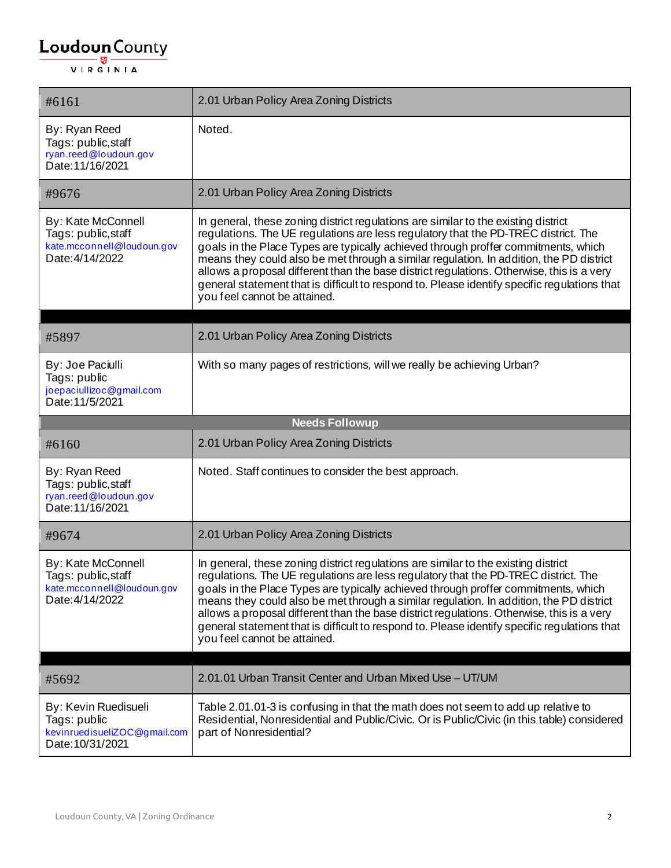| #6161                                                                                      | 2.01 Urban Policy Area Zoning Districts                                                                                                                                                                                                                                                                                                                                                                                                                                                                                                                                                |
|--------------------------------------------------------------------------------------------|----------------------------------------------------------------------------------------------------------------------------------------------------------------------------------------------------------------------------------------------------------------------------------------------------------------------------------------------------------------------------------------------------------------------------------------------------------------------------------------------------------------------------------------------------------------------------------------|
| By: Ryan Reed<br>Tags: public, staff<br>ryan.reed@loudoun.gov<br>Date: 11/16/2021          | Noted.                                                                                                                                                                                                                                                                                                                                                                                                                                                                                                                                                                                 |
| #9676                                                                                      | 2.01 Urban Policy Area Zoning Districts                                                                                                                                                                                                                                                                                                                                                                                                                                                                                                                                                |
| By: Kate McConnell<br>Tags: public, staff<br>kate.mcconnell@loudoun.gov<br>Date: 4/14/2022 | In general, these zoning district regulations are similar to the existing district<br>regulations. The UE regulations are less regulatory that the PD-TREC district. The<br>goals in the Place Types are typically achieved through proffer commitments, which<br>means they could also be met through a similar regulation. In addition, the PD district<br>allows a proposal different than the base district regulations. Otherwise, this is a very<br>general statement that is difficult to respond to. Please identify specific regulations that<br>you feel cannot be attained. |
| #5897                                                                                      | 2.01 Urban Policy Area Zoning Districts                                                                                                                                                                                                                                                                                                                                                                                                                                                                                                                                                |
| By: Joe Paciulli<br>Tags: public<br>joepaciullizoc@gmail.com<br>Date: 11/5/2021            | With so many pages of restrictions, will we really be achieving Urban?                                                                                                                                                                                                                                                                                                                                                                                                                                                                                                                 |
|                                                                                            | <b>Needs Followup</b>                                                                                                                                                                                                                                                                                                                                                                                                                                                                                                                                                                  |
| #6160                                                                                      | 2.01 Urban Policy Area Zoning Districts                                                                                                                                                                                                                                                                                                                                                                                                                                                                                                                                                |
| By: Ryan Reed<br>Tags: public, staff<br>ryan.reed@loudoun.gov<br>Date: 11/16/2021          | Noted. Staff continues to consider the best approach.                                                                                                                                                                                                                                                                                                                                                                                                                                                                                                                                  |
| #9674                                                                                      | 2.01 Urban Policy Area Zoning Districts                                                                                                                                                                                                                                                                                                                                                                                                                                                                                                                                                |
| By: Kate McConnell<br>Tags: public, staff<br>kate.mcconnell@loudoun.gov<br>Date: 4/14/2022 | In general, these zoning district regulations are similar to the existing district<br>regulations. The UE regulations are less regulatory that the PD-TREC district. The<br>goals in the Place Types are typically achieved through proffer commitments, which<br>means they could also be met through a similar regulation. In addition, the PD district<br>allows a proposal different than the base district regulations. Otherwise, this is a very<br>general statement that is difficult to respond to. Please identify specific regulations that<br>you feel cannot be attained. |
| #5692                                                                                      | 2.01.01 Urban Transit Center and Urban Mixed Use - UT/UM                                                                                                                                                                                                                                                                                                                                                                                                                                                                                                                               |
| By: Kevin Ruedisueli<br>Tags: public<br>kevinruedisueliZOC@gmail.com<br>Date: 10/31/2021   | Table 2.01.01-3 is confusing in that the math does not seem to add up relative to<br>Residential, Nonresidential and Public/Civic. Or is Public/Civic (in this table) considered<br>part of Nonresidential?                                                                                                                                                                                                                                                                                                                                                                            |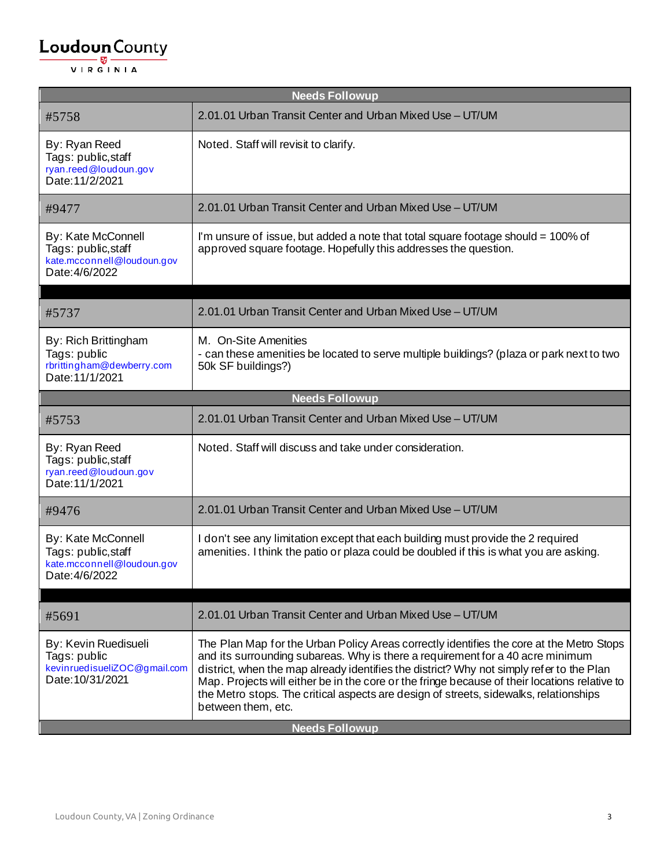| <b>Needs Followup</b>                                                                     |                                                                                                                                                                                                                                                                                                                                                                                                                                                                                        |
|-------------------------------------------------------------------------------------------|----------------------------------------------------------------------------------------------------------------------------------------------------------------------------------------------------------------------------------------------------------------------------------------------------------------------------------------------------------------------------------------------------------------------------------------------------------------------------------------|
| #5758                                                                                     | 2.01.01 Urban Transit Center and Urban Mixed Use - UT/UM                                                                                                                                                                                                                                                                                                                                                                                                                               |
| By: Ryan Reed<br>Tags: public, staff<br>ryan.reed@loudoun.gov<br>Date: 11/2/2021          | Noted. Staff will revisit to clarify.                                                                                                                                                                                                                                                                                                                                                                                                                                                  |
| #9477                                                                                     | 2.01.01 Urban Transit Center and Urban Mixed Use - UT/UM                                                                                                                                                                                                                                                                                                                                                                                                                               |
| By: Kate McConnell<br>Tags: public, staff<br>kate.mcconnell@loudoun.gov<br>Date: 4/6/2022 | I'm unsure of issue, but added a note that total square footage should = 100% of<br>approved square footage. Hopefully this addresses the question.                                                                                                                                                                                                                                                                                                                                    |
| #5737                                                                                     | 2.01.01 Urban Transit Center and Urban Mixed Use - UT/UM                                                                                                                                                                                                                                                                                                                                                                                                                               |
| By: Rich Brittingham<br>Tags: public<br>rbrittingham@dewberry.com<br>Date: 11/1/2021      | M. On-Site Amenities<br>- can these amenities be located to serve multiple buildings? (plaza or park next to two<br>50k SF buildings?)                                                                                                                                                                                                                                                                                                                                                 |
|                                                                                           | <b>Needs Followup</b>                                                                                                                                                                                                                                                                                                                                                                                                                                                                  |
| #5753                                                                                     | 2.01.01 Urban Transit Center and Urban Mixed Use - UT/UM                                                                                                                                                                                                                                                                                                                                                                                                                               |
| By: Ryan Reed<br>Tags: public, staff<br>ryan.reed@loudoun.gov<br>Date: 11/1/2021          | Noted. Staff will discuss and take under consideration.                                                                                                                                                                                                                                                                                                                                                                                                                                |
| #9476                                                                                     | 2.01.01 Urban Transit Center and Urban Mixed Use - UT/UM                                                                                                                                                                                                                                                                                                                                                                                                                               |
| By: Kate McConnell<br>Tags: public, staff<br>kate.mcconnell@loudoun.gov<br>Date: 4/6/2022 | I don't see any limitation except that each building must provide the 2 required<br>amenities. I think the patio or plaza could be doubled if this is what you are asking.                                                                                                                                                                                                                                                                                                             |
| #5691                                                                                     | 2.01.01 Urban Transit Center and Urban Mixed Use - UT/UM                                                                                                                                                                                                                                                                                                                                                                                                                               |
| By: Kevin Ruedisueli<br>Tags: public<br>kevinruedisueliZOC@gmail.com<br>Date: 10/31/2021  | The Plan Map for the Urban Policy Areas correctly identifies the core at the Metro Stops<br>and its surrounding subareas. Why is there a requirement for a 40 acre minimum<br>district, when the map already identifies the district? Why not simply refer to the Plan<br>Map. Projects will either be in the core or the fringe because of their locations relative to<br>the Metro stops. The critical aspects are design of streets, sidewalks, relationships<br>between them, etc. |
| <b>Needs Followup</b>                                                                     |                                                                                                                                                                                                                                                                                                                                                                                                                                                                                        |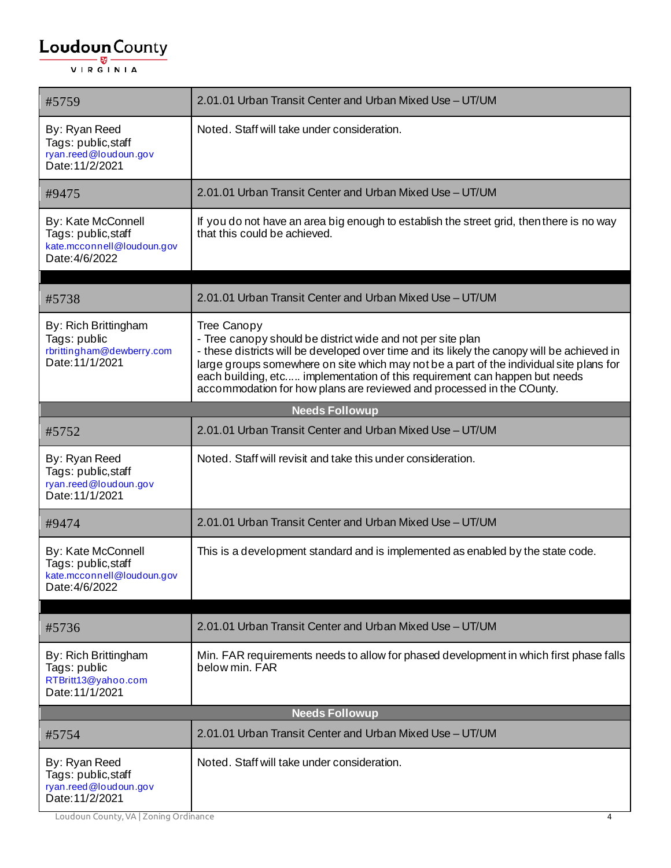| #5759                                                                                     | 2.01.01 Urban Transit Center and Urban Mixed Use - UT/UM                                                                                                                                                                                                                                                                                                                                                                    |
|-------------------------------------------------------------------------------------------|-----------------------------------------------------------------------------------------------------------------------------------------------------------------------------------------------------------------------------------------------------------------------------------------------------------------------------------------------------------------------------------------------------------------------------|
| By: Ryan Reed<br>Tags: public, staff<br>ryan.reed@loudoun.gov<br>Date: 11/2/2021          | Noted. Staff will take under consideration.                                                                                                                                                                                                                                                                                                                                                                                 |
| #9475                                                                                     | 2.01.01 Urban Transit Center and Urban Mixed Use - UT/UM                                                                                                                                                                                                                                                                                                                                                                    |
| By: Kate McConnell<br>Tags: public, staff<br>kate.mcconnell@loudoun.gov<br>Date: 4/6/2022 | If you do not have an area big enough to establish the street grid, then there is no way<br>that this could be achieved.                                                                                                                                                                                                                                                                                                    |
| #5738                                                                                     | 2.01.01 Urban Transit Center and Urban Mixed Use - UT/UM                                                                                                                                                                                                                                                                                                                                                                    |
| By: Rich Brittingham<br>Tags: public<br>rbrittingham@dewberry.com<br>Date: 11/1/2021      | Tree Canopy<br>- Tree canopy should be district wide and not per site plan<br>- these districts will be developed over time and its likely the canopy will be achieved in<br>large groups somewhere on site which may not be a part of the individual site plans for<br>each building, etc implementation of this requirement can happen but needs<br>accommodation for how plans are reviewed and processed in the COunty. |
|                                                                                           | <b>Needs Followup</b>                                                                                                                                                                                                                                                                                                                                                                                                       |
| #5752                                                                                     | 2.01.01 Urban Transit Center and Urban Mixed Use - UT/UM                                                                                                                                                                                                                                                                                                                                                                    |
| By: Ryan Reed<br>Tags: public, staff<br>ryan.reed@loudoun.gov<br>Date: 11/1/2021          | Noted. Staff will revisit and take this under consideration.                                                                                                                                                                                                                                                                                                                                                                |
| #9474                                                                                     | 2.01.01 Urban Transit Center and Urban Mixed Use - UT/UM                                                                                                                                                                                                                                                                                                                                                                    |
| By: Kate McConnell<br>Tags: public, staff<br>kate.mcconnell@loudoun.gov<br>Date: 4/6/2022 | This is a development standard and is implemented as enabled by the state code.                                                                                                                                                                                                                                                                                                                                             |
| #5736                                                                                     | 2.01.01 Urban Transit Center and Urban Mixed Use - UT/UM                                                                                                                                                                                                                                                                                                                                                                    |
| By: Rich Brittingham<br>Tags: public<br>RTBritt13@yahoo.com<br>Date: 11/1/2021            | Min. FAR requirements needs to allow for phased development in which first phase falls<br>below min. FAR                                                                                                                                                                                                                                                                                                                    |
|                                                                                           | <b>Needs Followup</b>                                                                                                                                                                                                                                                                                                                                                                                                       |
| #5754                                                                                     | 2.01.01 Urban Transit Center and Urban Mixed Use - UT/UM                                                                                                                                                                                                                                                                                                                                                                    |
| By: Ryan Reed<br>Tags: public, staff<br>ryan.reed@loudoun.gov<br>Date: 11/2/2021          | Noted. Staff will take under consideration.                                                                                                                                                                                                                                                                                                                                                                                 |

Loudoun County, VA | Zoning Ordinance 4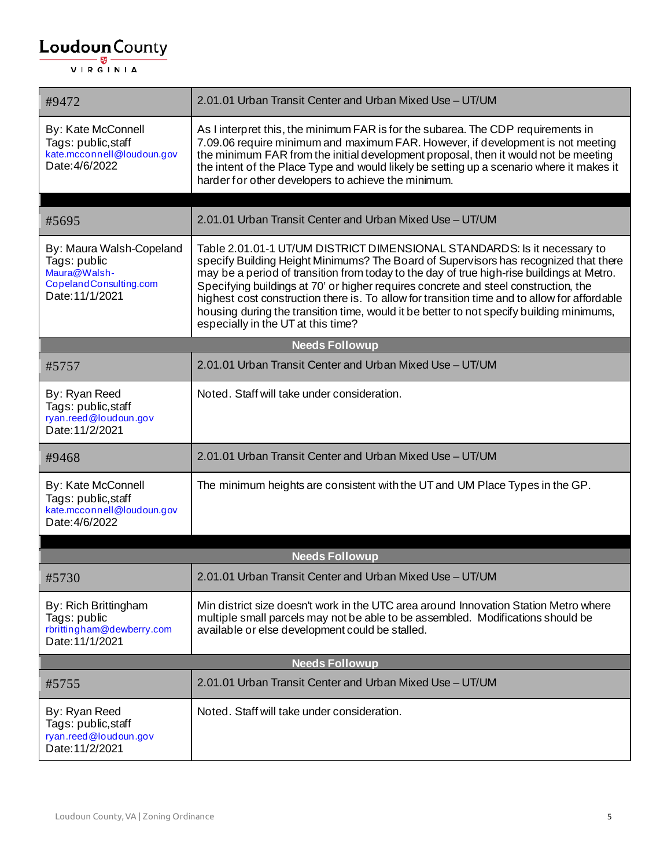| #9472                                                                                                 | 2.01.01 Urban Transit Center and Urban Mixed Use - UT/UM                                                                                                                                                                                                                                                                                                                                                                                                                                                                                                                               |
|-------------------------------------------------------------------------------------------------------|----------------------------------------------------------------------------------------------------------------------------------------------------------------------------------------------------------------------------------------------------------------------------------------------------------------------------------------------------------------------------------------------------------------------------------------------------------------------------------------------------------------------------------------------------------------------------------------|
| By: Kate McConnell<br>Tags: public, staff<br>kate.mcconnell@loudoun.gov<br>Date: 4/6/2022             | As I interpret this, the minimum FAR is for the subarea. The CDP requirements in<br>7.09.06 require minimum and maximum FAR. However, if development is not meeting<br>the minimum FAR from the initial development proposal, then it would not be meeting<br>the intent of the Place Type and would likely be setting up a scenario where it makes it<br>harder for other developers to achieve the minimum.                                                                                                                                                                          |
|                                                                                                       |                                                                                                                                                                                                                                                                                                                                                                                                                                                                                                                                                                                        |
| #5695                                                                                                 | 2.01.01 Urban Transit Center and Urban Mixed Use - UT/UM                                                                                                                                                                                                                                                                                                                                                                                                                                                                                                                               |
| By: Maura Walsh-Copeland<br>Tags: public<br>Maura@Walsh-<br>CopelandConsulting.com<br>Date: 11/1/2021 | Table 2.01.01-1 UT/UM DISTRICT DIMENSIONAL STANDARDS: Is it necessary to<br>specify Building Height Minimums? The Board of Supervisors has recognized that there<br>may be a period of transition from today to the day of true high-rise buildings at Metro.<br>Specifying buildings at 70' or higher requires concrete and steel construction, the<br>highest cost construction there is. To allow for transition time and to allow for affordable<br>housing during the transition time, would it be better to not specify building minimums,<br>especially in the UT at this time? |
|                                                                                                       | <b>Needs Followup</b>                                                                                                                                                                                                                                                                                                                                                                                                                                                                                                                                                                  |
| #5757                                                                                                 | 2.01.01 Urban Transit Center and Urban Mixed Use - UT/UM                                                                                                                                                                                                                                                                                                                                                                                                                                                                                                                               |
| By: Ryan Reed<br>Tags: public, staff<br>ryan.reed@loudoun.gov<br>Date: 11/2/2021                      | Noted. Staff will take under consideration.                                                                                                                                                                                                                                                                                                                                                                                                                                                                                                                                            |
| #9468                                                                                                 | 2.01.01 Urban Transit Center and Urban Mixed Use - UT/UM                                                                                                                                                                                                                                                                                                                                                                                                                                                                                                                               |
| By: Kate McConnell<br>Tags: public, staff<br>kate.mcconnell@loudoun.gov<br>Date: 4/6/2022             | The minimum heights are consistent with the UT and UM Place Types in the GP.                                                                                                                                                                                                                                                                                                                                                                                                                                                                                                           |
|                                                                                                       |                                                                                                                                                                                                                                                                                                                                                                                                                                                                                                                                                                                        |
|                                                                                                       | <b>Needs Followup</b>                                                                                                                                                                                                                                                                                                                                                                                                                                                                                                                                                                  |
| #5730                                                                                                 | 2.01.01 Urban Transit Center and Urban Mixed Use - UT/UM                                                                                                                                                                                                                                                                                                                                                                                                                                                                                                                               |
| By: Rich Brittingham<br>Tags: public<br>rbrittingham@dewberry.com<br>Date: 11/1/2021                  | Min district size doesn't work in the UTC area around Innovation Station Metro where<br>multiple small parcels may not be able to be assembled. Modifications should be<br>available or else development could be stalled.                                                                                                                                                                                                                                                                                                                                                             |
|                                                                                                       | <b>Needs Followup</b>                                                                                                                                                                                                                                                                                                                                                                                                                                                                                                                                                                  |
| #5755                                                                                                 | 2.01.01 Urban Transit Center and Urban Mixed Use - UT/UM                                                                                                                                                                                                                                                                                                                                                                                                                                                                                                                               |
| By: Ryan Reed<br>Tags: public, staff<br>ryan.reed@loudoun.gov<br>Date: 11/2/2021                      | Noted. Staff will take under consideration.                                                                                                                                                                                                                                                                                                                                                                                                                                                                                                                                            |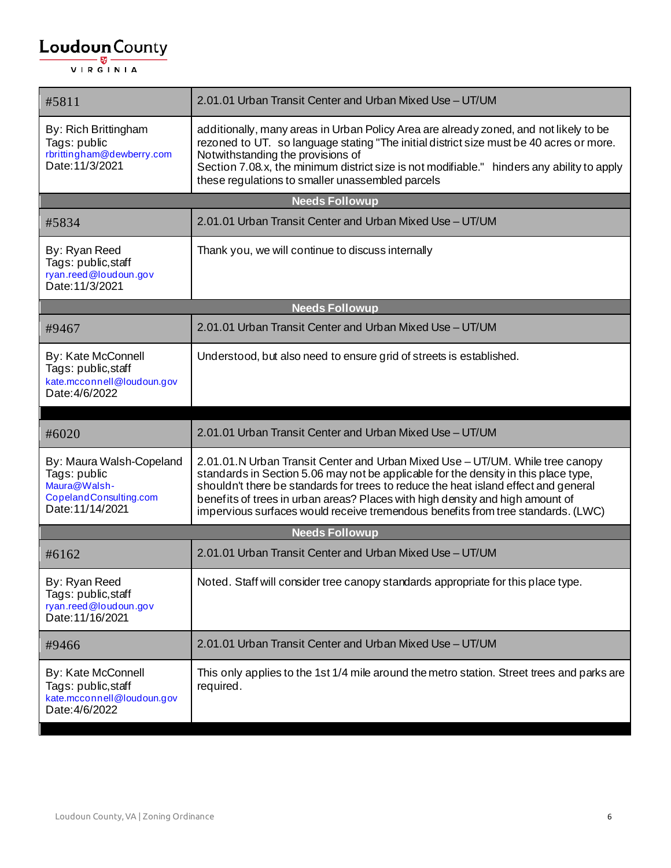| #5811                                                                                                  | 2.01.01 Urban Transit Center and Urban Mixed Use - UT/UM                                                                                                                                                                                                                                                                                                                                                                         |
|--------------------------------------------------------------------------------------------------------|----------------------------------------------------------------------------------------------------------------------------------------------------------------------------------------------------------------------------------------------------------------------------------------------------------------------------------------------------------------------------------------------------------------------------------|
| By: Rich Brittingham<br>Tags: public<br>rbrittingham@dewberry.com<br>Date: 11/3/2021                   | additionally, many areas in Urban Policy Area are already zoned, and not likely to be<br>rezoned to UT. so language stating "The initial district size must be 40 acres or more.<br>Notwithstanding the provisions of<br>Section 7.08.x, the minimum district size is not modifiable." hinders any ability to apply<br>these regulations to smaller unassembled parcels                                                          |
|                                                                                                        | <b>Needs Followup</b>                                                                                                                                                                                                                                                                                                                                                                                                            |
| #5834                                                                                                  | 2.01.01 Urban Transit Center and Urban Mixed Use - UT/UM                                                                                                                                                                                                                                                                                                                                                                         |
| By: Ryan Reed<br>Tags: public, staff<br>ryan.reed@loudoun.gov<br>Date: 11/3/2021                       | Thank you, we will continue to discuss internally                                                                                                                                                                                                                                                                                                                                                                                |
|                                                                                                        | <b>Needs Followup</b>                                                                                                                                                                                                                                                                                                                                                                                                            |
| #9467                                                                                                  | 2.01.01 Urban Transit Center and Urban Mixed Use - UT/UM                                                                                                                                                                                                                                                                                                                                                                         |
| By: Kate McConnell<br>Tags: public, staff<br>kate.mcconnell@loudoun.gov<br>Date: 4/6/2022              | Understood, but also need to ensure grid of streets is established.                                                                                                                                                                                                                                                                                                                                                              |
|                                                                                                        |                                                                                                                                                                                                                                                                                                                                                                                                                                  |
| #6020                                                                                                  | 2.01.01 Urban Transit Center and Urban Mixed Use - UT/UM                                                                                                                                                                                                                                                                                                                                                                         |
| By: Maura Walsh-Copeland<br>Tags: public<br>Maura@Walsh-<br>CopelandConsulting.com<br>Date: 11/14/2021 | 2.01.01.N Urban Transit Center and Urban Mixed Use - UT/UM. While tree canopy<br>standards in Section 5.06 may not be applicable for the density in this place type,<br>shouldn't there be standards for trees to reduce the heat island effect and general<br>benefits of trees in urban areas? Places with high density and high amount of<br>impervious surfaces would receive tremendous benefits from tree standards. (LWC) |
|                                                                                                        | <b>Needs Followup</b>                                                                                                                                                                                                                                                                                                                                                                                                            |
| #6162                                                                                                  | 2.01.01 Urban Transit Center and Urban Mixed Use - UT/UM                                                                                                                                                                                                                                                                                                                                                                         |
| By: Ryan Reed<br>Tags: public, staff<br>ryan.reed@loudoun.gov<br>Date: 11/16/2021                      | Noted. Staff will consider tree canopy standards appropriate for this place type.                                                                                                                                                                                                                                                                                                                                                |
| #9466                                                                                                  | 2.01.01 Urban Transit Center and Urban Mixed Use - UT/UM                                                                                                                                                                                                                                                                                                                                                                         |
| By: Kate McConnell<br>Tags: public, staff<br>kate.mcconnell@loudoun.gov<br>Date: 4/6/2022              | This only applies to the 1st 1/4 mile around the metro station. Street trees and parks are<br>required.                                                                                                                                                                                                                                                                                                                          |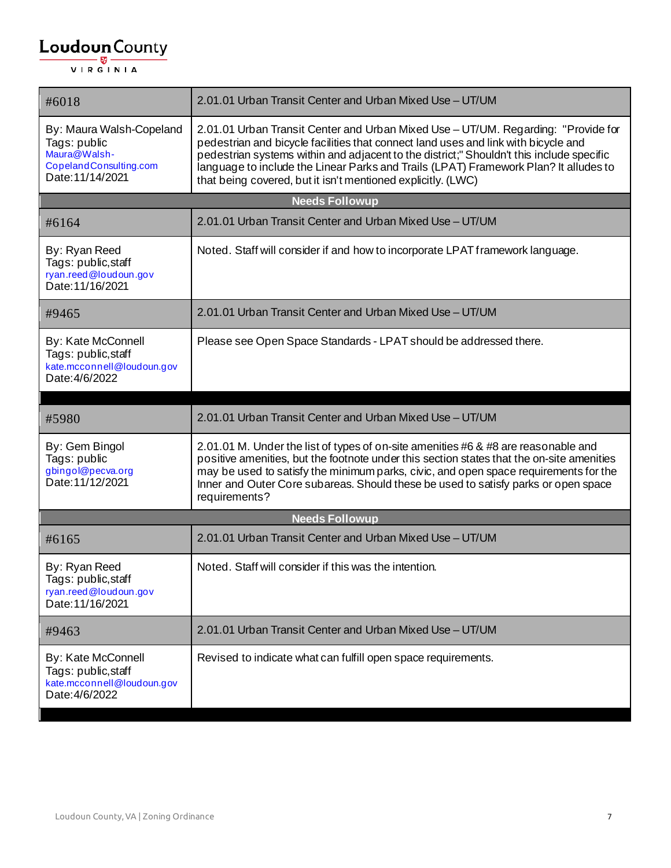| #6018                                                                                                  | 2.01.01 Urban Transit Center and Urban Mixed Use - UT/UM                                                                                                                                                                                                                                                                                                                                                                    |
|--------------------------------------------------------------------------------------------------------|-----------------------------------------------------------------------------------------------------------------------------------------------------------------------------------------------------------------------------------------------------------------------------------------------------------------------------------------------------------------------------------------------------------------------------|
| By: Maura Walsh-Copeland<br>Tags: public<br>Maura@Walsh-<br>CopelandConsulting.com<br>Date: 11/14/2021 | 2.01.01 Urban Transit Center and Urban Mixed Use - UT/UM. Regarding: "Provide for<br>pedestrian and bicycle facilities that connect land uses and link with bicycle and<br>pedestrian systems within and adjacent to the district;" Shouldn't this include specific<br>language to include the Linear Parks and Trails (LPAT) Framework Plan? It alludes to<br>that being covered, but it isn't mentioned explicitly. (LWC) |
|                                                                                                        | <b>Needs Followup</b>                                                                                                                                                                                                                                                                                                                                                                                                       |
| #6164                                                                                                  | 2.01.01 Urban Transit Center and Urban Mixed Use - UT/UM                                                                                                                                                                                                                                                                                                                                                                    |
| By: Ryan Reed<br>Tags: public, staff<br>ryan.reed@loudoun.gov<br>Date: 11/16/2021                      | Noted. Staff will consider if and how to incorporate LPAT framework language.                                                                                                                                                                                                                                                                                                                                               |
| #9465                                                                                                  | 2.01.01 Urban Transit Center and Urban Mixed Use - UT/UM                                                                                                                                                                                                                                                                                                                                                                    |
| By: Kate McConnell<br>Tags: public, staff<br>kate.mcconnell@loudoun.gov<br>Date: 4/6/2022              | Please see Open Space Standards - LPAT should be addressed there.                                                                                                                                                                                                                                                                                                                                                           |
|                                                                                                        |                                                                                                                                                                                                                                                                                                                                                                                                                             |
| #5980                                                                                                  | 2.01.01 Urban Transit Center and Urban Mixed Use - UT/UM                                                                                                                                                                                                                                                                                                                                                                    |
| By: Gem Bingol<br>Tags: public<br>gbingol@pecva.org<br>Date: 11/12/2021                                | 2.01.01 M. Under the list of types of on-site amenities #6 & #8 are reasonable and<br>positive amenities, but the footnote under this section states that the on-site amenities<br>may be used to satisfy the minimum parks, civic, and open space requirements for the<br>Inner and Outer Core subareas. Should these be used to satisfy parks or open space<br>requirements?                                              |
|                                                                                                        | <b>Needs Followup</b>                                                                                                                                                                                                                                                                                                                                                                                                       |
| #6165                                                                                                  | 2.01.01 Urban Transit Center and Urban Mixed Use - UT/UM                                                                                                                                                                                                                                                                                                                                                                    |
| By: Ryan Reed<br>Tags: public, staff<br>ryan.reed@loudoun.gov<br>Date: 11/16/2021                      | Noted. Staff will consider if this was the intention.                                                                                                                                                                                                                                                                                                                                                                       |
| #9463                                                                                                  | 2.01.01 Urban Transit Center and Urban Mixed Use - UT/UM                                                                                                                                                                                                                                                                                                                                                                    |
| By: Kate McConnell<br>Tags: public, staff<br>kate.mcconnell@loudoun.gov<br>Date: 4/6/2022              | Revised to indicate what can fulfill open space requirements.                                                                                                                                                                                                                                                                                                                                                               |
|                                                                                                        |                                                                                                                                                                                                                                                                                                                                                                                                                             |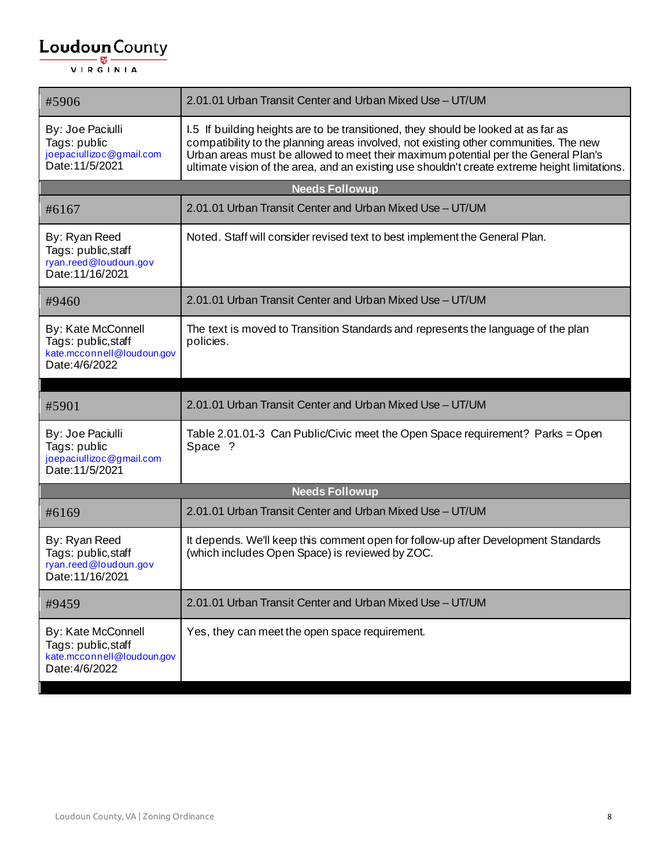| #5906                                                                                     | 2.01.01 Urban Transit Center and Urban Mixed Use - UT/UM                                                                                                                                                                                                                                                                                                           |  |
|-------------------------------------------------------------------------------------------|--------------------------------------------------------------------------------------------------------------------------------------------------------------------------------------------------------------------------------------------------------------------------------------------------------------------------------------------------------------------|--|
| By: Joe Paciulli<br>Tags: public<br>joepaciullizoc@gmail.com<br>Date: 11/5/2021           | 1.5 If building heights are to be transitioned, they should be looked at as far as<br>compatibility to the planning areas involved, not existing other communities. The new<br>Urban areas must be allowed to meet their maximum potential per the General Plan's<br>ultimate vision of the area, and an existing use shouldn't create extreme height limitations. |  |
|                                                                                           | <b>Needs Followup</b>                                                                                                                                                                                                                                                                                                                                              |  |
| #6167                                                                                     | 2.01.01 Urban Transit Center and Urban Mixed Use - UT/UM                                                                                                                                                                                                                                                                                                           |  |
| By: Ryan Reed<br>Tags: public, staff<br>ryan.reed@loudoun.gov<br>Date: 11/16/2021         | Noted. Staff will consider revised text to best implement the General Plan.                                                                                                                                                                                                                                                                                        |  |
| #9460                                                                                     | 2.01.01 Urban Transit Center and Urban Mixed Use - UT/UM                                                                                                                                                                                                                                                                                                           |  |
| By: Kate McConnell<br>Tags: public, staff<br>kate.mcconnell@loudoun.gov<br>Date: 4/6/2022 | The text is moved to Transition Standards and represents the language of the plan<br>policies.                                                                                                                                                                                                                                                                     |  |
|                                                                                           |                                                                                                                                                                                                                                                                                                                                                                    |  |
|                                                                                           |                                                                                                                                                                                                                                                                                                                                                                    |  |
| #5901                                                                                     | 2.01.01 Urban Transit Center and Urban Mixed Use - UT/UM                                                                                                                                                                                                                                                                                                           |  |
| By: Joe Paciulli<br>Tags: public<br>joepaciullizoc@gmail.com<br>Date: 11/5/2021           | Table 2.01.01-3 Can Public/Civic meet the Open Space requirement? Parks = Open<br>Space ?                                                                                                                                                                                                                                                                          |  |
|                                                                                           | <b>Needs Followup</b>                                                                                                                                                                                                                                                                                                                                              |  |
| #6169                                                                                     | 2.01.01 Urban Transit Center and Urban Mixed Use - UT/UM                                                                                                                                                                                                                                                                                                           |  |
| By: Ryan Reed<br>Tags: public, staff<br>ryan.reed@loudoun.gov<br>Date: 11/16/2021         | It depends. We'll keep this comment open for follow-up after Development Standards<br>(which includes Open Space) is reviewed by ZOC.                                                                                                                                                                                                                              |  |
| #9459                                                                                     | 2.01.01 Urban Transit Center and Urban Mixed Use - UT/UM                                                                                                                                                                                                                                                                                                           |  |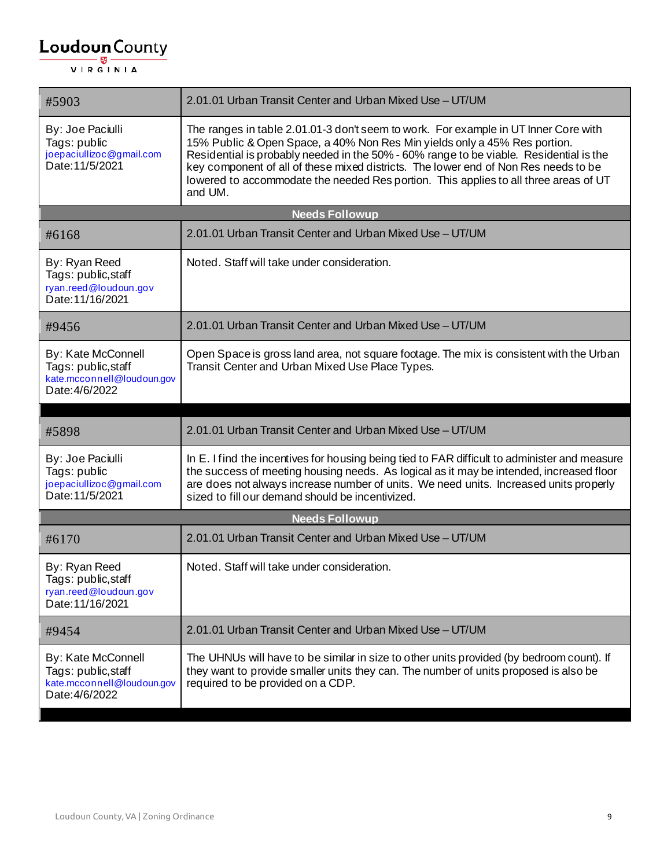| #5903                                                                                     | 2.01.01 Urban Transit Center and Urban Mixed Use - UT/UM                                                                                                                                                                                                                                                                                                                                                                                             |  |
|-------------------------------------------------------------------------------------------|------------------------------------------------------------------------------------------------------------------------------------------------------------------------------------------------------------------------------------------------------------------------------------------------------------------------------------------------------------------------------------------------------------------------------------------------------|--|
| By: Joe Paciulli<br>Tags: public<br>joepaciullizoc@gmail.com<br>Date: 11/5/2021           | The ranges in table 2.01.01-3 don't seem to work. For example in UT Inner Core with<br>15% Public & Open Space, a 40% Non Res Min yields only a 45% Res portion.<br>Residential is probably needed in the 50% - 60% range to be viable. Residential is the<br>key component of all of these mixed districts. The lower end of Non Res needs to be<br>lowered to accommodate the needed Res portion. This applies to all three areas of UT<br>and UM. |  |
|                                                                                           | <b>Needs Followup</b>                                                                                                                                                                                                                                                                                                                                                                                                                                |  |
| #6168                                                                                     | 2.01.01 Urban Transit Center and Urban Mixed Use - UT/UM                                                                                                                                                                                                                                                                                                                                                                                             |  |
| By: Ryan Reed<br>Tags: public, staff<br>ryan.reed@loudoun.gov<br>Date: 11/16/2021         | Noted. Staff will take under consideration.                                                                                                                                                                                                                                                                                                                                                                                                          |  |
| #9456                                                                                     | 2.01.01 Urban Transit Center and Urban Mixed Use - UT/UM                                                                                                                                                                                                                                                                                                                                                                                             |  |
| By: Kate McConnell<br>Tags: public, staff<br>kate.mcconnell@loudoun.gov<br>Date: 4/6/2022 | Open Space is gross land area, not square footage. The mix is consistent with the Urban<br>Transit Center and Urban Mixed Use Place Types.                                                                                                                                                                                                                                                                                                           |  |
|                                                                                           |                                                                                                                                                                                                                                                                                                                                                                                                                                                      |  |
| #5898                                                                                     | 2.01.01 Urban Transit Center and Urban Mixed Use - UT/UM                                                                                                                                                                                                                                                                                                                                                                                             |  |
| By: Joe Paciulli<br>Tags: public<br>joepaciullizoc@gmail.com<br>Date: 11/5/2021           | In E. I find the incentives for housing being tied to FAR difficult to administer and measure<br>the success of meeting housing needs. As logical as it may be intended, increased floor<br>are does not always increase number of units. We need units. Increased units properly<br>sized to fill our demand should be incentivized.                                                                                                                |  |
| <b>Needs Followup</b>                                                                     |                                                                                                                                                                                                                                                                                                                                                                                                                                                      |  |
| #6170                                                                                     | 2.01.01 Urban Transit Center and Urban Mixed Use - UT/UM                                                                                                                                                                                                                                                                                                                                                                                             |  |
| By: Ryan Reed<br>Tags: public, staff<br>ryan.reed@loudoun.gov<br>Date: 11/16/2021         | Noted. Staff will take under consideration.                                                                                                                                                                                                                                                                                                                                                                                                          |  |
| #9454                                                                                     | 2.01.01 Urban Transit Center and Urban Mixed Use - UT/UM                                                                                                                                                                                                                                                                                                                                                                                             |  |
| By: Kate McConnell<br>Tags: public, staff<br>kate.mcconnell@loudoun.gov<br>Date: 4/6/2022 | The UHNUs will have to be similar in size to other units provided (by bedroom count). If<br>they want to provide smaller units they can. The number of units proposed is also be<br>required to be provided on a CDP.                                                                                                                                                                                                                                |  |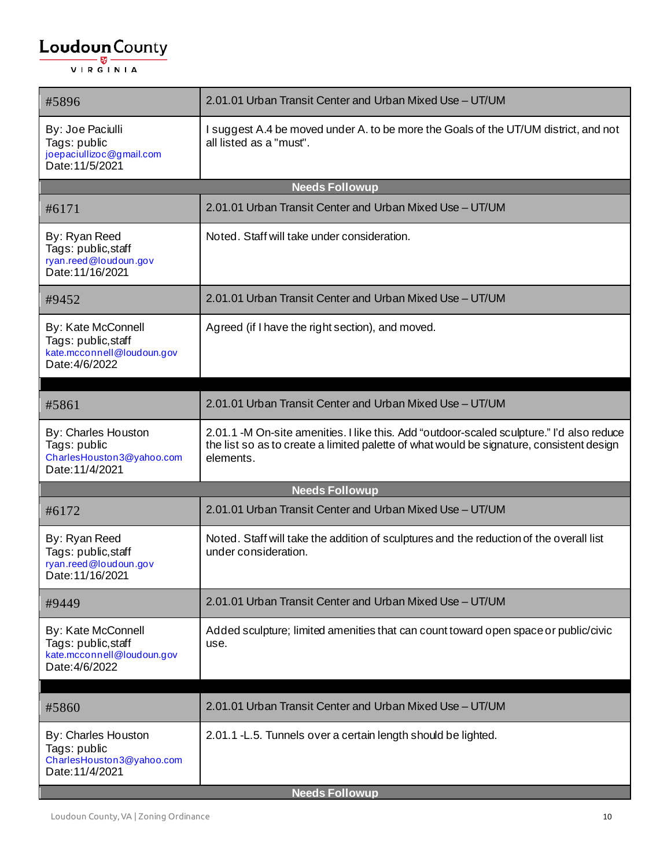| #5896                                                                                     | 2.01.01 Urban Transit Center and Urban Mixed Use - UT/UM                                                                                                                                           |
|-------------------------------------------------------------------------------------------|----------------------------------------------------------------------------------------------------------------------------------------------------------------------------------------------------|
| By: Joe Paciulli<br>Tags: public<br>joepaciullizoc@gmail.com<br>Date: 11/5/2021           | I suggest A.4 be moved under A. to be more the Goals of the UT/UM district, and not<br>all listed as a "must".                                                                                     |
|                                                                                           | <b>Needs Followup</b>                                                                                                                                                                              |
| #6171                                                                                     | 2.01.01 Urban Transit Center and Urban Mixed Use - UT/UM                                                                                                                                           |
| By: Ryan Reed<br>Tags: public, staff<br>ryan.reed@loudoun.gov<br>Date: 11/16/2021         | Noted. Staff will take under consideration.                                                                                                                                                        |
| #9452                                                                                     | 2.01.01 Urban Transit Center and Urban Mixed Use - UT/UM                                                                                                                                           |
| By: Kate McConnell<br>Tags: public, staff<br>kate.mcconnell@loudoun.gov<br>Date: 4/6/2022 | Agreed (if I have the right section), and moved.                                                                                                                                                   |
| #5861                                                                                     | 2.01.01 Urban Transit Center and Urban Mixed Use - UT/UM                                                                                                                                           |
| By: Charles Houston<br>Tags: public<br>CharlesHouston3@yahoo.com<br>Date: 11/4/2021       | 2.01.1 -M On-site amenities. I like this. Add "outdoor-scaled sculpture." I'd also reduce<br>the list so as to create a limited palette of what would be signature, consistent design<br>elements. |
|                                                                                           | <b>Needs Followup</b>                                                                                                                                                                              |
| #6172                                                                                     | 2.01.01 Urban Transit Center and Urban Mixed Use - UT/UM                                                                                                                                           |
| By: Ryan Reed<br>Tags: public, staff<br>ryan.reed@loudoun.gov<br>Date: 11/16/2021         | Noted. Staff will take the addition of sculptures and the reduction of the overall list<br>under consideration.                                                                                    |
| #9449                                                                                     | 2.01.01 Urban Transit Center and Urban Mixed Use - UT/UM                                                                                                                                           |
| By: Kate McConnell<br>Tags: public, staff<br>kate.mcconnell@loudoun.gov<br>Date: 4/6/2022 | Added sculpture; limited amenities that can count toward open space or public/civic<br>use.                                                                                                        |
|                                                                                           |                                                                                                                                                                                                    |
| #5860                                                                                     | 2.01.01 Urban Transit Center and Urban Mixed Use - UT/UM                                                                                                                                           |
| By: Charles Houston<br>Tags: public<br>CharlesHouston3@yahoo.com<br>Date: 11/4/2021       | 2.01.1 - L.5. Tunnels over a certain length should be lighted.                                                                                                                                     |
| <b>Needs Followup</b>                                                                     |                                                                                                                                                                                                    |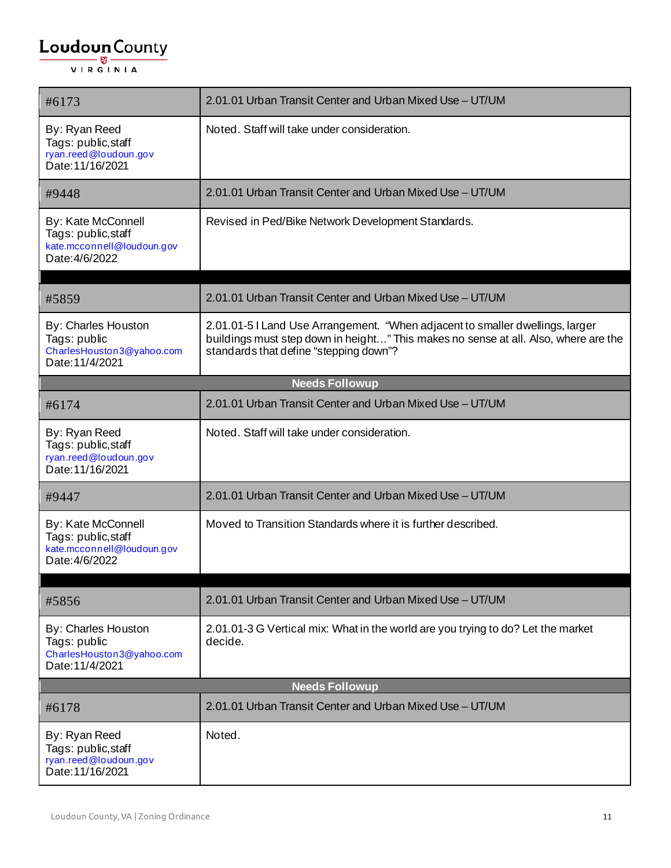| #6173                                                                                     | 2.01.01 Urban Transit Center and Urban Mixed Use - UT/UM                                                                                                                                                       |
|-------------------------------------------------------------------------------------------|----------------------------------------------------------------------------------------------------------------------------------------------------------------------------------------------------------------|
| By: Ryan Reed<br>Tags: public, staff<br>ryan.reed@loudoun.gov<br>Date: 11/16/2021         | Noted. Staff will take under consideration.                                                                                                                                                                    |
| #9448                                                                                     | 2.01.01 Urban Transit Center and Urban Mixed Use - UT/UM                                                                                                                                                       |
| By: Kate McConnell<br>Tags: public, staff<br>kate.mcconnell@loudoun.gov<br>Date: 4/6/2022 | Revised in Ped/Bike Network Development Standards.                                                                                                                                                             |
|                                                                                           | 2.01.01 Urban Transit Center and Urban Mixed Use - UT/UM                                                                                                                                                       |
| #5859                                                                                     |                                                                                                                                                                                                                |
| By: Charles Houston<br>Tags: public<br>CharlesHouston3@yahoo.com<br>Date: 11/4/2021       | 2.01.01-5 I Land Use Arrangement. "When adjacent to smaller dwellings, larger<br>buildings must step down in height" This makes no sense at all. Also, where are the<br>standards that define "stepping down"? |
|                                                                                           | <b>Needs Followup</b>                                                                                                                                                                                          |
| #6174                                                                                     | 2.01.01 Urban Transit Center and Urban Mixed Use - UT/UM                                                                                                                                                       |
| By: Ryan Reed<br>Tags: public, staff<br>ryan.reed@loudoun.gov<br>Date: 11/16/2021         | Noted. Staff will take under consideration.                                                                                                                                                                    |
| #9447                                                                                     | 2.01.01 Urban Transit Center and Urban Mixed Use - UT/UM                                                                                                                                                       |
| By: Kate McConnell<br>Tags: public, staff<br>kate.mcconnell@loudoun.gov<br>Date: 4/6/2022 | Moved to Transition Standards where it is further described.                                                                                                                                                   |
|                                                                                           |                                                                                                                                                                                                                |
| #5856                                                                                     | 2.01.01 Urban Transit Center and Urban Mixed Use - UT/UM                                                                                                                                                       |
| By: Charles Houston<br>Tags: public<br>CharlesHouston3@yahoo.com<br>Date: 11/4/2021       | 2.01.01-3 G Vertical mix: What in the world are you trying to do? Let the market<br>decide.                                                                                                                    |
|                                                                                           | <b>Needs Followup</b>                                                                                                                                                                                          |
| #6178                                                                                     | 2.01.01 Urban Transit Center and Urban Mixed Use - UT/UM                                                                                                                                                       |
| By: Ryan Reed<br>Tags: public, staff<br>ryan.reed@loudoun.gov<br>Date: 11/16/2021         | Noted.                                                                                                                                                                                                         |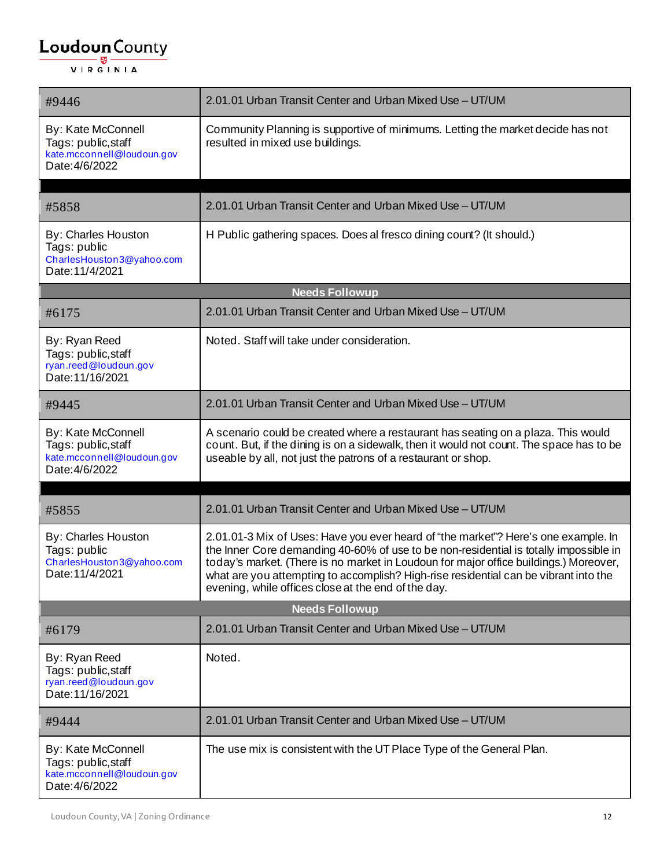| #9446                                                                                      | 2.01.01 Urban Transit Center and Urban Mixed Use - UT/UM                                                                                                                                                                                                                                                                                                                                                            |
|--------------------------------------------------------------------------------------------|---------------------------------------------------------------------------------------------------------------------------------------------------------------------------------------------------------------------------------------------------------------------------------------------------------------------------------------------------------------------------------------------------------------------|
| By: Kate McConnell<br>Tags: public, staff<br>kate.mcconnell@loudoun.gov<br>Date: 4/6/2022  | Community Planning is supportive of minimums. Letting the market decide has not<br>resulted in mixed use buildings.                                                                                                                                                                                                                                                                                                 |
| #5858                                                                                      | 2.01.01 Urban Transit Center and Urban Mixed Use - UT/UM                                                                                                                                                                                                                                                                                                                                                            |
| <b>By: Charles Houston</b><br>Tags: public<br>CharlesHouston3@yahoo.com<br>Date: 11/4/2021 | H Public gathering spaces. Does al fresco dining count? (It should.)                                                                                                                                                                                                                                                                                                                                                |
|                                                                                            | <b>Needs Followup</b>                                                                                                                                                                                                                                                                                                                                                                                               |
| #6175                                                                                      | 2.01.01 Urban Transit Center and Urban Mixed Use - UT/UM                                                                                                                                                                                                                                                                                                                                                            |
| By: Ryan Reed<br>Tags: public, staff<br>ryan.reed@loudoun.gov<br>Date: 11/16/2021          | Noted. Staff will take under consideration.                                                                                                                                                                                                                                                                                                                                                                         |
| #9445                                                                                      | 2.01.01 Urban Transit Center and Urban Mixed Use - UT/UM                                                                                                                                                                                                                                                                                                                                                            |
| By: Kate McConnell<br>Tags: public, staff<br>kate.mcconnell@loudoun.gov<br>Date: 4/6/2022  | A scenario could be created where a restaurant has seating on a plaza. This would<br>count. But, if the dining is on a sidewalk, then it would not count. The space has to be<br>useable by all, not just the patrons of a restaurant or shop.                                                                                                                                                                      |
|                                                                                            |                                                                                                                                                                                                                                                                                                                                                                                                                     |
| #5855                                                                                      | 2.01.01 Urban Transit Center and Urban Mixed Use - UT/UM                                                                                                                                                                                                                                                                                                                                                            |
| By: Charles Houston<br>Tags: public<br>CharlesHouston3@yahoo.com<br>Date: 11/4/2021        | 2.01.01-3 Mix of Uses: Have you ever heard of "the market"? Here's one example. In<br>the Inner Core demanding 40-60% of use to be non-residential is totally impossible in<br>today's market. (There is no market in Loudoun for major office buildings.) Moreover,<br>what are you attempting to accomplish? High-rise residential can be vibrant into the<br>evening, while offices close at the end of the day. |
|                                                                                            | <b>Needs Followup</b>                                                                                                                                                                                                                                                                                                                                                                                               |
| #6179                                                                                      | 2.01.01 Urban Transit Center and Urban Mixed Use - UT/UM                                                                                                                                                                                                                                                                                                                                                            |
| By: Ryan Reed<br>Tags: public, staff<br>ryan.reed@loudoun.gov<br>Date: 11/16/2021          | Noted.                                                                                                                                                                                                                                                                                                                                                                                                              |
| #9444                                                                                      | 2.01.01 Urban Transit Center and Urban Mixed Use - UT/UM                                                                                                                                                                                                                                                                                                                                                            |
| By: Kate McConnell<br>Tags: public, staff<br>kate.mcconnell@loudoun.gov<br>Date: 4/6/2022  | The use mix is consistent with the UT Place Type of the General Plan.                                                                                                                                                                                                                                                                                                                                               |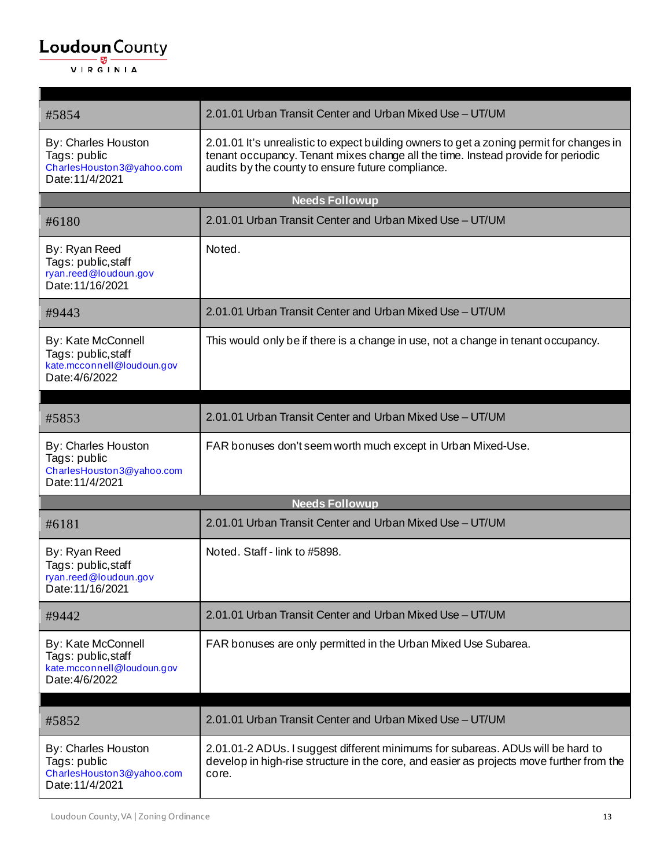$\mathbf{r}$ 

| #5854                                                                                     | 2.01.01 Urban Transit Center and Urban Mixed Use - UT/UM                                                                                                                                                                          |
|-------------------------------------------------------------------------------------------|-----------------------------------------------------------------------------------------------------------------------------------------------------------------------------------------------------------------------------------|
| By: Charles Houston<br>Tags: public<br>CharlesHouston3@yahoo.com<br>Date: 11/4/2021       | 2.01.01 It's unrealistic to expect building owners to get a zoning permit for changes in<br>tenant occupancy. Tenant mixes change all the time. Instead provide for periodic<br>audits by the county to ensure future compliance. |
|                                                                                           | <b>Needs Followup</b>                                                                                                                                                                                                             |
| #6180                                                                                     | 2.01.01 Urban Transit Center and Urban Mixed Use - UT/UM                                                                                                                                                                          |
| By: Ryan Reed<br>Tags: public, staff<br>ryan.reed@loudoun.gov<br>Date: 11/16/2021         | Noted.                                                                                                                                                                                                                            |
| #9443                                                                                     | 2.01.01 Urban Transit Center and Urban Mixed Use - UT/UM                                                                                                                                                                          |
| By: Kate McConnell<br>Tags: public, staff<br>kate.mcconnell@loudoun.gov<br>Date: 4/6/2022 | This would only be if there is a change in use, not a change in tenant occupancy.                                                                                                                                                 |
| #5853                                                                                     | 2.01.01 Urban Transit Center and Urban Mixed Use - UT/UM                                                                                                                                                                          |
| By: Charles Houston<br>Tags: public<br>CharlesHouston3@yahoo.com<br>Date: 11/4/2021       | FAR bonuses don't seem worth much except in Urban Mixed-Use.                                                                                                                                                                      |
|                                                                                           | <b>Needs Followup</b>                                                                                                                                                                                                             |
| #6181                                                                                     | 2.01.01 Urban Transit Center and Urban Mixed Use - UT/UM                                                                                                                                                                          |
| By: Ryan Reed<br>Tags: public, staff<br>ryan.reed@loudoun.gov<br>Date: 11/16/2021         | Noted. Staff - link to #5898.                                                                                                                                                                                                     |
| #9442                                                                                     | 2.01.01 Urban Transit Center and Urban Mixed Use - UT/UM                                                                                                                                                                          |
| By: Kate McConnell<br>Tags: public, staff<br>kate.mcconnell@loudoun.gov<br>Date: 4/6/2022 | FAR bonuses are only permitted in the Urban Mixed Use Subarea.                                                                                                                                                                    |
|                                                                                           |                                                                                                                                                                                                                                   |
| #5852                                                                                     | 2.01.01 Urban Transit Center and Urban Mixed Use - UT/UM                                                                                                                                                                          |
| By: Charles Houston<br>Tags: public<br>CharlesHouston3@yahoo.com<br>Date: 11/4/2021       | 2.01.01-2 ADUs. I suggest different minimums for subareas. ADUs will be hard to<br>develop in high-rise structure in the core, and easier as projects move further from the<br>core.                                              |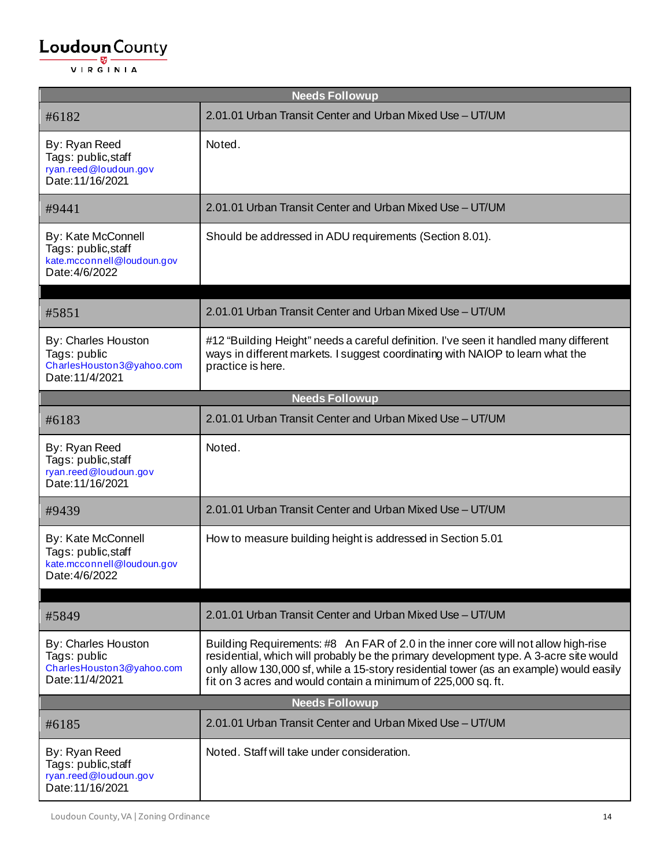| <b>Needs Followup</b>                                                                     |                                                                                                                                                                                                                                                                                                                                        |  |
|-------------------------------------------------------------------------------------------|----------------------------------------------------------------------------------------------------------------------------------------------------------------------------------------------------------------------------------------------------------------------------------------------------------------------------------------|--|
| #6182                                                                                     | 2.01.01 Urban Transit Center and Urban Mixed Use - UT/UM                                                                                                                                                                                                                                                                               |  |
| By: Ryan Reed<br>Tags: public, staff<br>ryan.reed@loudoun.gov<br>Date: 11/16/2021         | Noted.                                                                                                                                                                                                                                                                                                                                 |  |
| #9441                                                                                     | 2.01.01 Urban Transit Center and Urban Mixed Use - UT/UM                                                                                                                                                                                                                                                                               |  |
| By: Kate McConnell<br>Tags: public, staff<br>kate.mcconnell@loudoun.gov<br>Date: 4/6/2022 | Should be addressed in ADU requirements (Section 8.01).                                                                                                                                                                                                                                                                                |  |
| #5851                                                                                     | 2.01.01 Urban Transit Center and Urban Mixed Use - UT/UM                                                                                                                                                                                                                                                                               |  |
| By: Charles Houston<br>Tags: public<br>CharlesHouston3@yahoo.com<br>Date: 11/4/2021       | #12 "Building Height" needs a careful definition. I've seen it handled many different<br>ways in different markets. I suggest coordinating with NAIOP to learn what the<br>practice is here.                                                                                                                                           |  |
|                                                                                           | <b>Needs Followup</b>                                                                                                                                                                                                                                                                                                                  |  |
| #6183                                                                                     | 2.01.01 Urban Transit Center and Urban Mixed Use - UT/UM                                                                                                                                                                                                                                                                               |  |
| By: Ryan Reed<br>Tags: public, staff<br>ryan.reed@loudoun.gov<br>Date: 11/16/2021         | Noted.                                                                                                                                                                                                                                                                                                                                 |  |
| #9439                                                                                     | 2.01.01 Urban Transit Center and Urban Mixed Use - UT/UM                                                                                                                                                                                                                                                                               |  |
| By: Kate McConnell<br>Tags: public, staff<br>kate.mcconnell@loudoun.gov<br>Date: 4/6/2022 | How to measure building height is addressed in Section 5.01                                                                                                                                                                                                                                                                            |  |
|                                                                                           |                                                                                                                                                                                                                                                                                                                                        |  |
| #5849                                                                                     | 2.01.01 Urban Transit Center and Urban Mixed Use - UT/UM                                                                                                                                                                                                                                                                               |  |
| By: Charles Houston<br>Tags: public<br>CharlesHouston3@yahoo.com<br>Date: 11/4/2021       | Building Requirements: #8 An FAR of 2.0 in the inner core will not allow high-rise<br>residential, which will probably be the primary development type. A 3-acre site would<br>only allow 130,000 sf, while a 15-story residential tower (as an example) would easily<br>fit on 3 acres and would contain a minimum of 225,000 sq. ft. |  |
| <b>Needs Followup</b>                                                                     |                                                                                                                                                                                                                                                                                                                                        |  |
| #6185                                                                                     | 2.01.01 Urban Transit Center and Urban Mixed Use - UT/UM                                                                                                                                                                                                                                                                               |  |
| By: Ryan Reed<br>Tags: public, staff<br>ryan.reed@loudoun.gov<br>Date: 11/16/2021         | Noted. Staff will take under consideration.                                                                                                                                                                                                                                                                                            |  |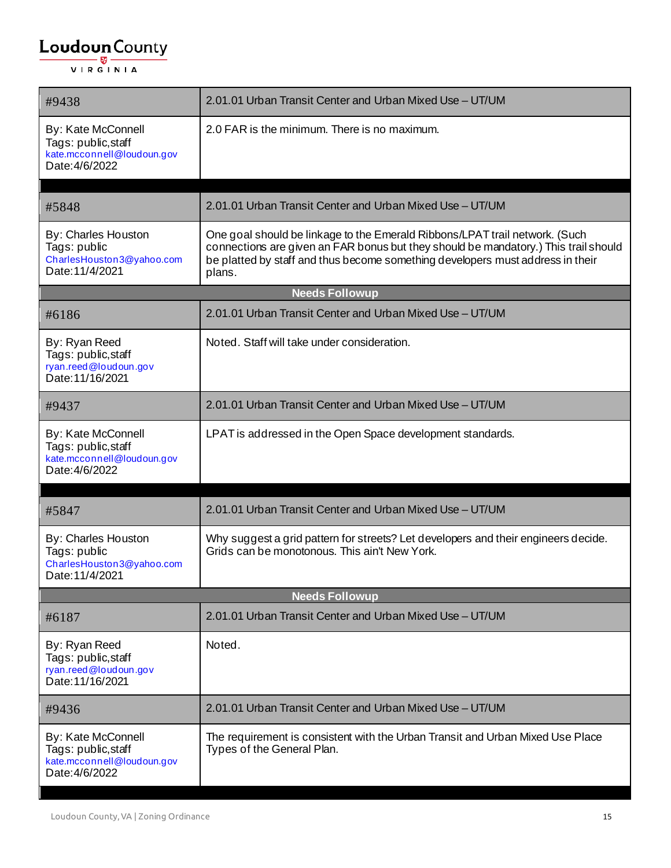| #9438                                                                                     | 2.01.01 Urban Transit Center and Urban Mixed Use - UT/UM                                                                                                                                                                                                       |  |
|-------------------------------------------------------------------------------------------|----------------------------------------------------------------------------------------------------------------------------------------------------------------------------------------------------------------------------------------------------------------|--|
| By: Kate McConnell<br>Tags: public, staff<br>kate.mcconnell@loudoun.gov<br>Date: 4/6/2022 | 2.0 FAR is the minimum. There is no maximum.                                                                                                                                                                                                                   |  |
| #5848                                                                                     | 2.01.01 Urban Transit Center and Urban Mixed Use - UT/UM                                                                                                                                                                                                       |  |
| By: Charles Houston<br>Tags: public<br>CharlesHouston3@yahoo.com<br>Date: 11/4/2021       | One goal should be linkage to the Emerald Ribbons/LPAT trail network. (Such<br>connections are given an FAR bonus but they should be mandatory.) This trail should<br>be platted by staff and thus become something developers must address in their<br>plans. |  |
|                                                                                           | <b>Needs Followup</b>                                                                                                                                                                                                                                          |  |
| #6186                                                                                     | 2.01.01 Urban Transit Center and Urban Mixed Use - UT/UM                                                                                                                                                                                                       |  |
| By: Ryan Reed<br>Tags: public, staff<br>ryan.reed@loudoun.gov<br>Date: 11/16/2021         | Noted. Staff will take under consideration.                                                                                                                                                                                                                    |  |
| #9437                                                                                     | 2.01.01 Urban Transit Center and Urban Mixed Use - UT/UM                                                                                                                                                                                                       |  |
| By: Kate McConnell<br>Tags: public, staff<br>kate.mcconnell@loudoun.gov<br>Date: 4/6/2022 | LPAT is addressed in the Open Space development standards.                                                                                                                                                                                                     |  |
|                                                                                           |                                                                                                                                                                                                                                                                |  |
| #5847                                                                                     | 2.01.01 Urban Transit Center and Urban Mixed Use - UT/UM                                                                                                                                                                                                       |  |
| By: Charles Houston<br>Tags: public<br>CharlesHouston3@yahoo.com<br>Date: 11/4/2021       | Why suggest a grid pattern for streets? Let developers and their engineers decide.<br>Grids can be monotonous. This ain't New York.                                                                                                                            |  |
| <b>Needs Followup</b>                                                                     |                                                                                                                                                                                                                                                                |  |
| #6187                                                                                     | 2.01.01 Urban Transit Center and Urban Mixed Use - UT/UM                                                                                                                                                                                                       |  |
| By: Ryan Reed<br>Tags: public, staff<br>ryan.reed@loudoun.gov<br>Date: 11/16/2021         | Noted.                                                                                                                                                                                                                                                         |  |
| #9436                                                                                     | 2.01.01 Urban Transit Center and Urban Mixed Use - UT/UM                                                                                                                                                                                                       |  |
| By: Kate McConnell<br>Tags: public, staff<br>kate.mcconnell@loudoun.gov<br>Date: 4/6/2022 | The requirement is consistent with the Urban Transit and Urban Mixed Use Place<br>Types of the General Plan.                                                                                                                                                   |  |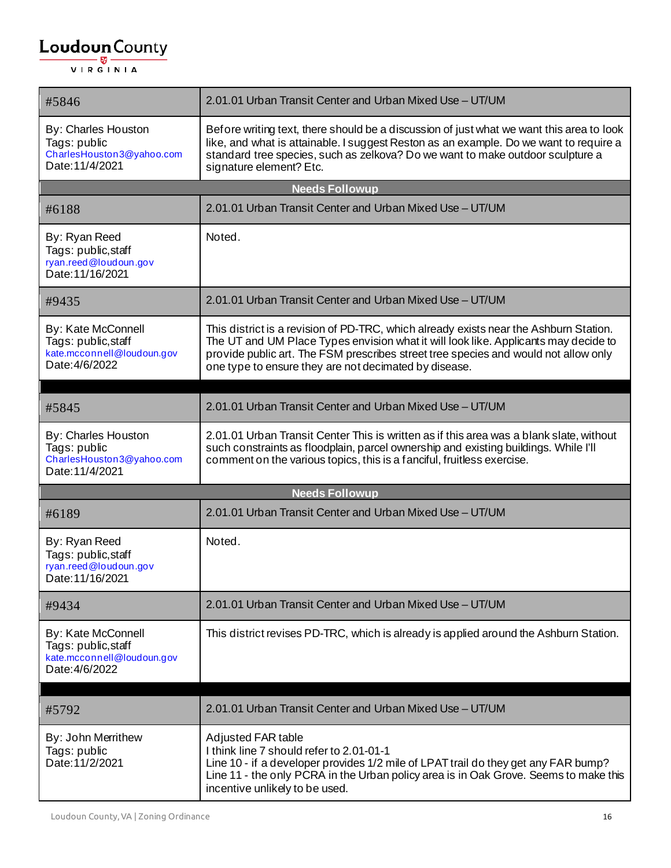| #5846                                                                                     | 2.01.01 Urban Transit Center and Urban Mixed Use - UT/UM                                                                                                                                                                                                                                                                     |
|-------------------------------------------------------------------------------------------|------------------------------------------------------------------------------------------------------------------------------------------------------------------------------------------------------------------------------------------------------------------------------------------------------------------------------|
| By: Charles Houston<br>Tags: public<br>CharlesHouston3@yahoo.com<br>Date: 11/4/2021       | Before writing text, there should be a discussion of just what we want this area to look<br>like, and what is attainable. I suggest Reston as an example. Do we want to require a<br>standard tree species, such as zelkova? Do we want to make outdoor sculpture a<br>signature element? Etc.                               |
|                                                                                           | <b>Needs Followup</b>                                                                                                                                                                                                                                                                                                        |
| #6188                                                                                     | 2.01.01 Urban Transit Center and Urban Mixed Use - UT/UM                                                                                                                                                                                                                                                                     |
| By: Ryan Reed<br>Tags: public, staff<br>ryan.reed@loudoun.gov<br>Date: 11/16/2021         | Noted.                                                                                                                                                                                                                                                                                                                       |
| #9435                                                                                     | 2.01.01 Urban Transit Center and Urban Mixed Use - UT/UM                                                                                                                                                                                                                                                                     |
| By: Kate McConnell<br>Tags: public, staff<br>kate.mcconnell@loudoun.gov<br>Date: 4/6/2022 | This district is a revision of PD-TRC, which already exists near the Ashburn Station.<br>The UT and UM Place Types envision what it will look like. Applicants may decide to<br>provide public art. The FSM prescribes street tree species and would not allow only<br>one type to ensure they are not decimated by disease. |
|                                                                                           |                                                                                                                                                                                                                                                                                                                              |
| #5845                                                                                     | 2.01.01 Urban Transit Center and Urban Mixed Use - UT/UM                                                                                                                                                                                                                                                                     |
| By: Charles Houston<br>Tags: public<br>CharlesHouston3@yahoo.com<br>Date: 11/4/2021       | 2.01.01 Urban Transit Center This is written as if this area was a blank slate, without<br>such constraints as floodplain, parcel ownership and existing buildings. While I'll<br>comment on the various topics, this is a fanciful, fruitless exercise.                                                                     |
|                                                                                           | <b>Needs Followup</b>                                                                                                                                                                                                                                                                                                        |
| #6189                                                                                     | 2.01.01 Urban Transit Center and Urban Mixed Use - UT/UM                                                                                                                                                                                                                                                                     |
| By: Ryan Reed<br>Tags: public, staff<br>ryan.reed@loudoun.gov<br>Date: 11/16/2021         | Noted.                                                                                                                                                                                                                                                                                                                       |
| #9434                                                                                     | 2.01.01 Urban Transit Center and Urban Mixed Use - UT/UM                                                                                                                                                                                                                                                                     |
| By: Kate McConnell<br>Tags: public, staff<br>kate.mcconnell@loudoun.gov<br>Date: 4/6/2022 | This district revises PD-TRC, which is already is applied around the Ashburn Station.                                                                                                                                                                                                                                        |
| #5792                                                                                     | 2.01.01 Urban Transit Center and Urban Mixed Use - UT/UM                                                                                                                                                                                                                                                                     |
| By: John Merrithew<br>Tags: public<br>Date: 11/2/2021                                     | Adjusted FAR table<br>I think line 7 should refer to 2.01-01-1<br>Line 10 - if a developer provides 1/2 mile of LPAT trail do they get any FAR bump?<br>Line 11 - the only PCRA in the Urban policy area is in Oak Grove. Seems to make this<br>incentive unlikely to be used.                                               |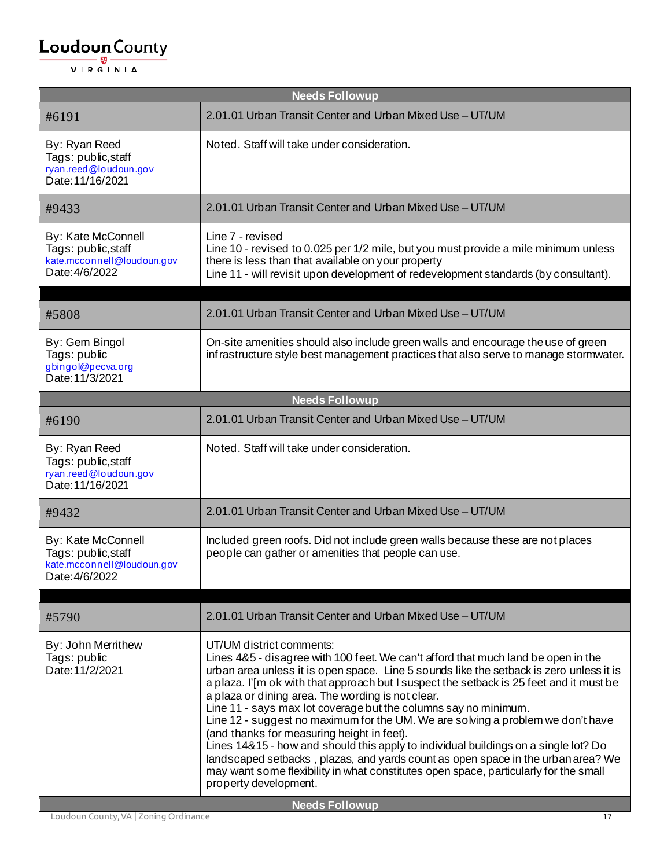| <b>Needs Followup</b>                                                                     |                                                                                                                                                                                                                                                                                                                                                                                                                                                                                                                                                                                                                                                                                                                                                                                                                                                          |  |
|-------------------------------------------------------------------------------------------|----------------------------------------------------------------------------------------------------------------------------------------------------------------------------------------------------------------------------------------------------------------------------------------------------------------------------------------------------------------------------------------------------------------------------------------------------------------------------------------------------------------------------------------------------------------------------------------------------------------------------------------------------------------------------------------------------------------------------------------------------------------------------------------------------------------------------------------------------------|--|
| #6191                                                                                     | 2.01.01 Urban Transit Center and Urban Mixed Use - UT/UM                                                                                                                                                                                                                                                                                                                                                                                                                                                                                                                                                                                                                                                                                                                                                                                                 |  |
| By: Ryan Reed<br>Tags: public, staff<br>ryan.reed@loudoun.gov<br>Date: 11/16/2021         | Noted. Staff will take under consideration.                                                                                                                                                                                                                                                                                                                                                                                                                                                                                                                                                                                                                                                                                                                                                                                                              |  |
| #9433                                                                                     | 2.01.01 Urban Transit Center and Urban Mixed Use - UT/UM                                                                                                                                                                                                                                                                                                                                                                                                                                                                                                                                                                                                                                                                                                                                                                                                 |  |
| By: Kate McConnell<br>Tags: public, staff<br>kate.mcconnell@loudoun.gov<br>Date: 4/6/2022 | Line 7 - revised<br>Line 10 - revised to 0.025 per 1/2 mile, but you must provide a mile minimum unless<br>there is less than that available on your property<br>Line 11 - will revisit upon development of redevelopment standards (by consultant).                                                                                                                                                                                                                                                                                                                                                                                                                                                                                                                                                                                                     |  |
| #5808                                                                                     | 2.01.01 Urban Transit Center and Urban Mixed Use - UT/UM                                                                                                                                                                                                                                                                                                                                                                                                                                                                                                                                                                                                                                                                                                                                                                                                 |  |
| By: Gem Bingol<br>Tags: public<br>gbingol@pecva.org<br>Date: 11/3/2021                    | On-site amenities should also include green walls and encourage the use of green<br>infrastructure style best management practices that also serve to manage stormwater.                                                                                                                                                                                                                                                                                                                                                                                                                                                                                                                                                                                                                                                                                 |  |
|                                                                                           | <b>Needs Followup</b>                                                                                                                                                                                                                                                                                                                                                                                                                                                                                                                                                                                                                                                                                                                                                                                                                                    |  |
| #6190                                                                                     | 2.01.01 Urban Transit Center and Urban Mixed Use - UT/UM                                                                                                                                                                                                                                                                                                                                                                                                                                                                                                                                                                                                                                                                                                                                                                                                 |  |
| By: Ryan Reed<br>Tags: public, staff<br>ryan.reed@loudoun.gov<br>Date: 11/16/2021         | Noted. Staff will take under consideration.                                                                                                                                                                                                                                                                                                                                                                                                                                                                                                                                                                                                                                                                                                                                                                                                              |  |
| #9432                                                                                     | 2.01.01 Urban Transit Center and Urban Mixed Use - UT/UM                                                                                                                                                                                                                                                                                                                                                                                                                                                                                                                                                                                                                                                                                                                                                                                                 |  |
| By: Kate McConnell<br>Tags: public, staff<br>kate.mcconnell@loudoun.gov<br>Date: 4/6/2022 | Included green roofs. Did not include green walls because these are not places<br>people can gather or amenities that people can use.                                                                                                                                                                                                                                                                                                                                                                                                                                                                                                                                                                                                                                                                                                                    |  |
| #5790                                                                                     | 2.01.01 Urban Transit Center and Urban Mixed Use - UT/UM                                                                                                                                                                                                                                                                                                                                                                                                                                                                                                                                                                                                                                                                                                                                                                                                 |  |
| By: John Merrithew<br>Tags: public<br>Date: 11/2/2021                                     | UT/UM district comments:<br>Lines 4&5 - disagree with 100 feet. We can't afford that much land be open in the<br>urban area unless it is open space. Line 5 sounds like the setback is zero unless it is<br>a plaza. I'[m ok with that approach but I suspect the setback is 25 feet and it must be<br>a plaza or dining area. The wording is not clear.<br>Line 11 - says max lot coverage but the columns say no minimum.<br>Line 12 - suggest no maximum for the UM. We are solving a problem we don't have<br>(and thanks for measuring height in feet).<br>Lines 14&15 - how and should this apply to individual buildings on a single lot? Do<br>landscaped setbacks, plazas, and yards count as open space in the urban area? We<br>may want some flexibility in what constitutes open space, particularly for the small<br>property development. |  |
| <b>Needs Followup</b>                                                                     |                                                                                                                                                                                                                                                                                                                                                                                                                                                                                                                                                                                                                                                                                                                                                                                                                                                          |  |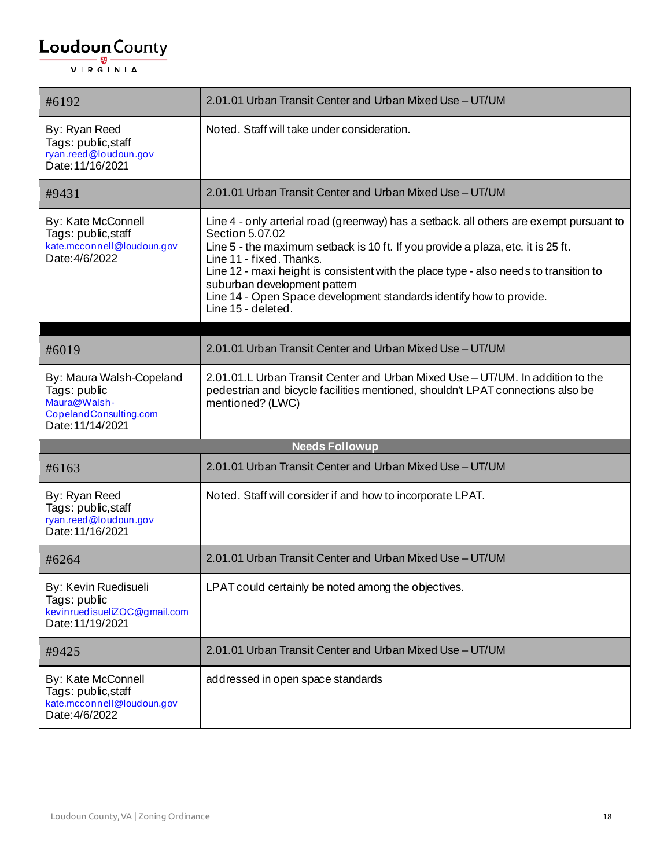| #6192                                                                                                  | 2.01.01 Urban Transit Center and Urban Mixed Use - UT/UM                                                                                                                                                                                                                                                                                                                                                                                         |
|--------------------------------------------------------------------------------------------------------|--------------------------------------------------------------------------------------------------------------------------------------------------------------------------------------------------------------------------------------------------------------------------------------------------------------------------------------------------------------------------------------------------------------------------------------------------|
| By: Ryan Reed<br>Tags: public, staff<br>ryan.reed@loudoun.gov<br>Date: 11/16/2021                      | Noted. Staff will take under consideration.                                                                                                                                                                                                                                                                                                                                                                                                      |
| #9431                                                                                                  | 2.01.01 Urban Transit Center and Urban Mixed Use - UT/UM                                                                                                                                                                                                                                                                                                                                                                                         |
| By: Kate McConnell<br>Tags: public, staff<br>kate.mcconnell@loudoun.gov<br>Date: 4/6/2022              | Line 4 - only arterial road (greenway) has a setback. all others are exempt pursuant to<br>Section 5.07.02<br>Line 5 - the maximum setback is 10 ft. If you provide a plaza, etc. it is 25 ft.<br>Line 11 - fixed. Thanks.<br>Line 12 - maxi height is consistent with the place type - also needs to transition to<br>suburban development pattern<br>Line 14 - Open Space development standards identify how to provide.<br>Line 15 - deleted. |
|                                                                                                        |                                                                                                                                                                                                                                                                                                                                                                                                                                                  |
| #6019                                                                                                  | 2.01.01 Urban Transit Center and Urban Mixed Use - UT/UM                                                                                                                                                                                                                                                                                                                                                                                         |
| By: Maura Walsh-Copeland<br>Tags: public<br>Maura@Walsh-<br>CopelandConsulting.com<br>Date: 11/14/2021 | 2.01.01.L Urban Transit Center and Urban Mixed Use - UT/UM. In addition to the<br>pedestrian and bicycle facilities mentioned, shouldn't LPAT connections also be<br>mentioned? (LWC)                                                                                                                                                                                                                                                            |
|                                                                                                        | <b>Needs Followup</b>                                                                                                                                                                                                                                                                                                                                                                                                                            |
| #6163                                                                                                  | 2.01.01 Urban Transit Center and Urban Mixed Use - UT/UM                                                                                                                                                                                                                                                                                                                                                                                         |
| By: Ryan Reed<br>Tags: public, staff<br>ryan.reed@loudoun.gov<br>Date: 11/16/2021                      | Noted. Staff will consider if and how to incorporate LPAT.                                                                                                                                                                                                                                                                                                                                                                                       |
| #6264                                                                                                  | 2.01.01 Urban Transit Center and Urban Mixed Use - UT/UM                                                                                                                                                                                                                                                                                                                                                                                         |
| By: Kevin Ruedisueli<br>Tags: public<br>kevinruedisueliZOC@gmail.com<br>Date: 11/19/2021               | LPAT could certainly be noted among the objectives.                                                                                                                                                                                                                                                                                                                                                                                              |
| #9425                                                                                                  | 2.01.01 Urban Transit Center and Urban Mixed Use - UT/UM                                                                                                                                                                                                                                                                                                                                                                                         |
| By: Kate McConnell<br>Tags: public,staff<br>kate.mcconnell@loudoun.gov<br>Date: 4/6/2022               | addressed in open space standards                                                                                                                                                                                                                                                                                                                                                                                                                |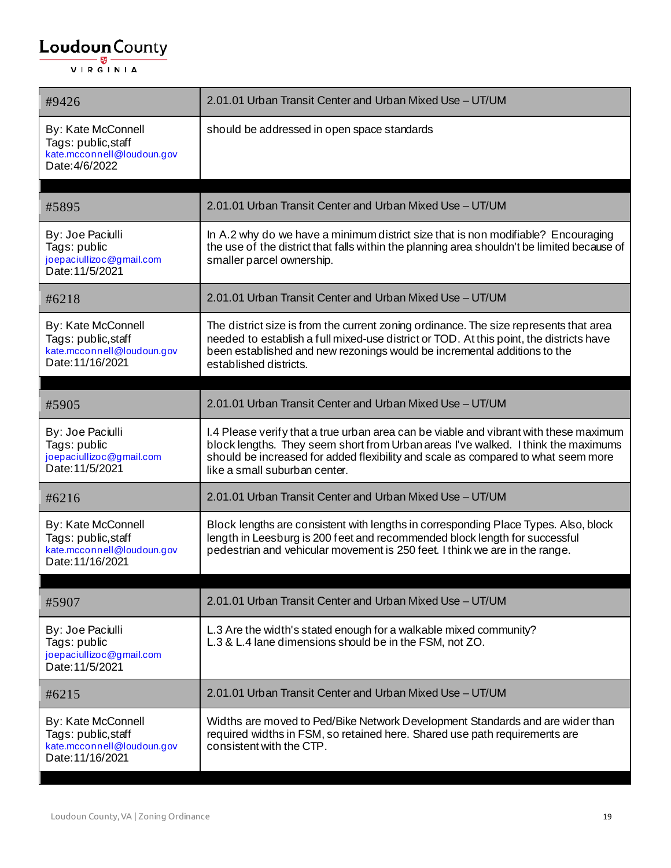| #9426                                                                                       | 2.01.01 Urban Transit Center and Urban Mixed Use - UT/UM                                                                                                                                                                                                                                         |
|---------------------------------------------------------------------------------------------|--------------------------------------------------------------------------------------------------------------------------------------------------------------------------------------------------------------------------------------------------------------------------------------------------|
| By: Kate McConnell<br>Tags: public, staff<br>kate.mcconnell@loudoun.gov<br>Date: 4/6/2022   | should be addressed in open space standards                                                                                                                                                                                                                                                      |
| #5895                                                                                       | 2.01.01 Urban Transit Center and Urban Mixed Use - UT/UM                                                                                                                                                                                                                                         |
| By: Joe Paciulli<br>Tags: public<br>joepaciullizoc@gmail.com<br>Date: 11/5/2021             | In A.2 why do we have a minimum district size that is non modifiable? Encouraging<br>the use of the district that falls within the planning area shouldn't be limited because of<br>smaller parcel ownership.                                                                                    |
| #6218                                                                                       | 2.01.01 Urban Transit Center and Urban Mixed Use - UT/UM                                                                                                                                                                                                                                         |
| By: Kate McConnell<br>Tags: public, staff<br>kate.mcconnell@loudoun.gov<br>Date: 11/16/2021 | The district size is from the current zoning ordinance. The size represents that area<br>needed to establish a full mixed-use district or TOD. At this point, the districts have<br>been established and new rezonings would be incremental additions to the<br>established districts.           |
| #5905                                                                                       | 2.01.01 Urban Transit Center and Urban Mixed Use - UT/UM                                                                                                                                                                                                                                         |
| By: Joe Paciulli<br>Tags: public<br>joepaciullizoc@gmail.com<br>Date: 11/5/2021             | I.4 Please verify that a true urban area can be viable and vibrant with these maximum<br>block lengths. They seem short from Urban areas I've walked. I think the maximums<br>should be increased for added flexibility and scale as compared to what seem more<br>like a small suburban center. |
| #6216                                                                                       | 2.01.01 Urban Transit Center and Urban Mixed Use - UT/UM                                                                                                                                                                                                                                         |
| By: Kate McConnell<br>Tags: public, staff<br>kate.mcconnell@loudoun.gov<br>Date: 11/16/2021 | Block lengths are consistent with lengths in corresponding Place Types. Also, block<br>length in Leesburg is 200 feet and recommended block length for successful<br>pedestrian and vehicular movement is 250 feet. I think we are in the range.                                                 |
| #5907                                                                                       | 2.01.01 Urban Transit Center and Urban Mixed Use - UT/UM                                                                                                                                                                                                                                         |
| By: Joe Paciulli<br>Tags: public<br>joepaciullizoc@gmail.com<br>Date: 11/5/2021             | L.3 Are the width's stated enough for a walkable mixed community?<br>L.3 & L.4 lane dimensions should be in the FSM, not ZO.                                                                                                                                                                     |
| #6215                                                                                       | 2.01.01 Urban Transit Center and Urban Mixed Use - UT/UM                                                                                                                                                                                                                                         |
| By: Kate McConnell<br>Tags: public, staff<br>kate.mcconnell@loudoun.gov<br>Date: 11/16/2021 | Widths are moved to Ped/Bike Network Development Standards and are wider than<br>required widths in FSM, so retained here. Shared use path requirements are<br>consistent with the CTP.                                                                                                          |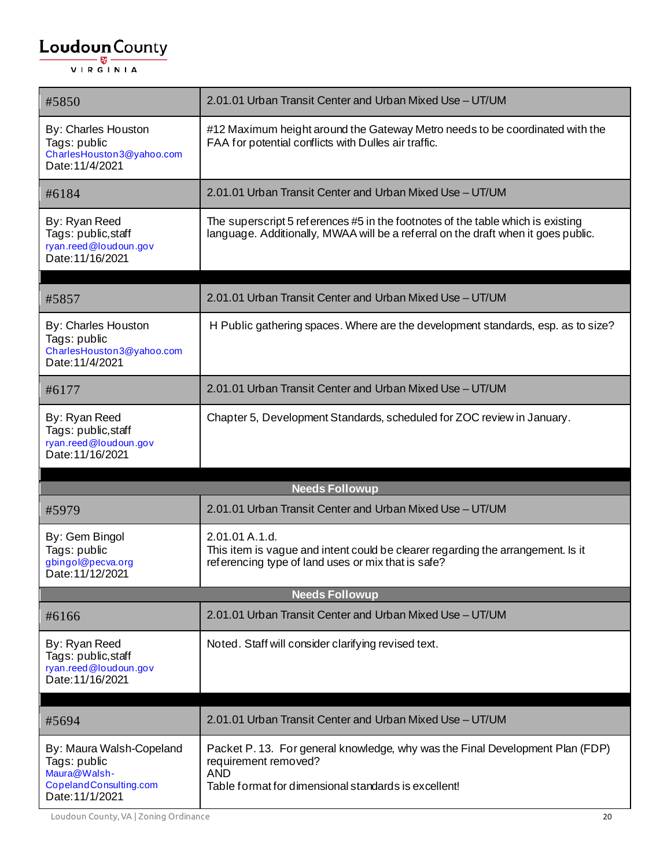| #5850                                                                                      | 2.01.01 Urban Transit Center and Urban Mixed Use - UT/UM                                                                                                                    |  |
|--------------------------------------------------------------------------------------------|-----------------------------------------------------------------------------------------------------------------------------------------------------------------------------|--|
| <b>By: Charles Houston</b><br>Tags: public<br>CharlesHouston3@yahoo.com<br>Date: 11/4/2021 | #12 Maximum height around the Gateway Metro needs to be coordinated with the<br>FAA for potential conflicts with Dulles air traffic.                                        |  |
| #6184                                                                                      | 2.01.01 Urban Transit Center and Urban Mixed Use - UT/UM                                                                                                                    |  |
| By: Ryan Reed<br>Tags: public, staff<br>ryan.reed@loudoun.gov<br>Date: 11/16/2021          | The superscript 5 references #5 in the footnotes of the table which is existing<br>language. Additionally, MWAA will be a referral on the draft when it goes public.        |  |
| #5857                                                                                      | 2.01.01 Urban Transit Center and Urban Mixed Use - UT/UM                                                                                                                    |  |
| By: Charles Houston<br>Tags: public<br>CharlesHouston3@yahoo.com<br>Date: 11/4/2021        | H Public gathering spaces. Where are the development standards, esp. as to size?                                                                                            |  |
| #6177                                                                                      | 2.01.01 Urban Transit Center and Urban Mixed Use - UT/UM                                                                                                                    |  |
| By: Ryan Reed<br>Tags: public, staff<br>ryan.reed@loudoun.gov<br>Date: 11/16/2021          | Chapter 5, Development Standards, scheduled for ZOC review in January.                                                                                                      |  |
|                                                                                            | <b>Needs Followup</b>                                                                                                                                                       |  |
| #5979                                                                                      | 2.01.01 Urban Transit Center and Urban Mixed Use - UT/UM                                                                                                                    |  |
| By: Gem Bingol<br>Tags: public<br>gbingol@pecva.org<br>Date: 11/12/2021                    | 2.01.01 A.1.d.<br>This item is vague and intent could be clearer regarding the arrangement. Is it<br>referencing type of land uses or mix that is safe?                     |  |
| <b>Needs Followup</b>                                                                      |                                                                                                                                                                             |  |
| #6166                                                                                      | 2.01.01 Urban Transit Center and Urban Mixed Use - UT/UM                                                                                                                    |  |
| By: Ryan Reed<br>Tags: public, staff<br>ryan.reed@loudoun.gov<br>Date: 11/16/2021          | Noted. Staff will consider clarifying revised text.                                                                                                                         |  |
| #5694                                                                                      | 2.01.01 Urban Transit Center and Urban Mixed Use - UT/UM                                                                                                                    |  |
| By: Maura Walsh-Copeland<br>Tags: public<br>Maura@Walsh-<br>CopelandConsulting.com         | Packet P. 13. For general knowledge, why was the Final Development Plan (FDP)<br>requirement removed?<br><b>AND</b><br>Table format for dimensional standards is excellent! |  |

Loudoun County, VA | Zoning Ordinance 20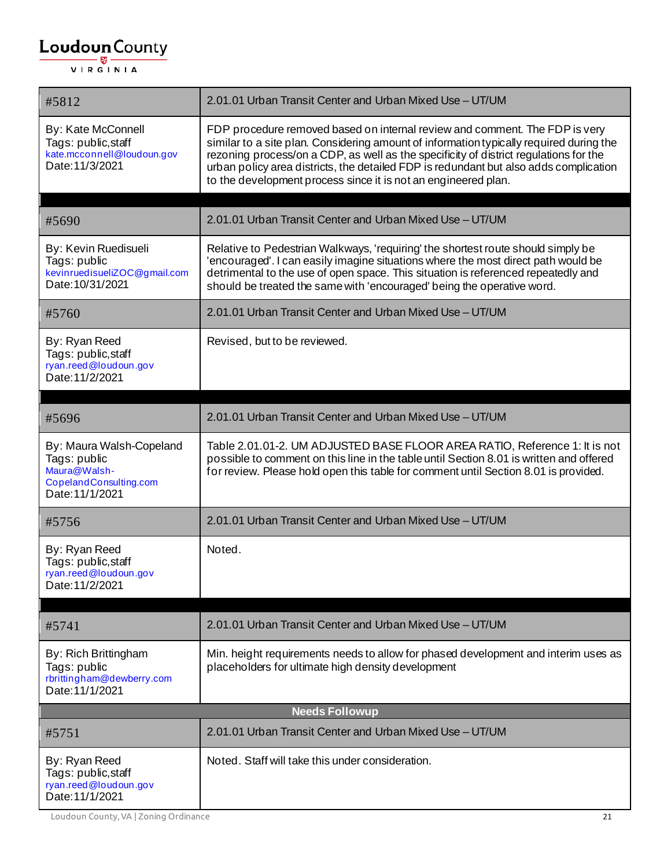| #5812                                                                                                 | 2.01.01 Urban Transit Center and Urban Mixed Use - UT/UM                                                                                                                                                                                                                                                                                                                                                                   |
|-------------------------------------------------------------------------------------------------------|----------------------------------------------------------------------------------------------------------------------------------------------------------------------------------------------------------------------------------------------------------------------------------------------------------------------------------------------------------------------------------------------------------------------------|
| By: Kate McConnell<br>Tags: public, staff<br>kate.mcconnell@loudoun.gov<br>Date: 11/3/2021            | FDP procedure removed based on internal review and comment. The FDP is very<br>similar to a site plan. Considering amount of information typically required during the<br>rezoning process/on a CDP, as well as the specificity of district regulations for the<br>urban policy area districts, the detailed FDP is redundant but also adds complication<br>to the development process since it is not an engineered plan. |
| #5690                                                                                                 | 2.01.01 Urban Transit Center and Urban Mixed Use - UT/UM                                                                                                                                                                                                                                                                                                                                                                   |
| By: Kevin Ruedisueli<br>Tags: public<br>kevinruedisueliZOC@gmail.com<br>Date: 10/31/2021              | Relative to Pedestrian Walkways, 'requiring' the shortest route should simply be<br>'encouraged'. I can easily imagine situations where the most direct path would be<br>detrimental to the use of open space. This situation is referenced repeatedly and<br>should be treated the same with 'encouraged' being the operative word.                                                                                       |
| #5760                                                                                                 | 2.01.01 Urban Transit Center and Urban Mixed Use - UT/UM                                                                                                                                                                                                                                                                                                                                                                   |
| By: Ryan Reed<br>Tags: public, staff<br>ryan.reed@loudoun.gov<br>Date: 11/2/2021                      | Revised, but to be reviewed.                                                                                                                                                                                                                                                                                                                                                                                               |
| #5696                                                                                                 | 2.01.01 Urban Transit Center and Urban Mixed Use - UT/UM                                                                                                                                                                                                                                                                                                                                                                   |
| By: Maura Walsh-Copeland<br>Tags: public<br>Maura@Walsh-<br>CopelandConsulting.com<br>Date: 11/1/2021 | Table 2.01.01-2. UM ADJUSTED BASE FLOOR AREA RATIO, Reference 1: It is not<br>possible to comment on this line in the table until Section 8.01 is written and offered<br>for review. Please hold open this table for comment until Section 8.01 is provided.                                                                                                                                                               |
| #5756                                                                                                 | 2.01.01 Urban Transit Center and Urban Mixed Use - UT/UM                                                                                                                                                                                                                                                                                                                                                                   |
| By: Ryan Reed<br>Tags: public, staff<br>ryan.reed@loudoun.gov<br>Date: 11/2/2021                      | Noted.                                                                                                                                                                                                                                                                                                                                                                                                                     |
| #5741                                                                                                 | 2.01.01 Urban Transit Center and Urban Mixed Use - UT/UM                                                                                                                                                                                                                                                                                                                                                                   |
| By: Rich Brittingham<br>Tags: public<br>rbrittingham@dewberry.com<br>Date: 11/1/2021                  | Min. height requirements needs to allow for phased development and interim uses as<br>placeholders for ultimate high density development                                                                                                                                                                                                                                                                                   |
|                                                                                                       | <b>Needs Followup</b>                                                                                                                                                                                                                                                                                                                                                                                                      |
| #5751                                                                                                 | 2.01.01 Urban Transit Center and Urban Mixed Use - UT/UM                                                                                                                                                                                                                                                                                                                                                                   |
| By: Ryan Reed<br>Tags: public, staff<br>ryan.reed@loudoun.gov<br>Date: 11/1/2021                      | Noted. Staff will take this under consideration.                                                                                                                                                                                                                                                                                                                                                                           |

Loudoun County, VA | Zoning Ordinance 21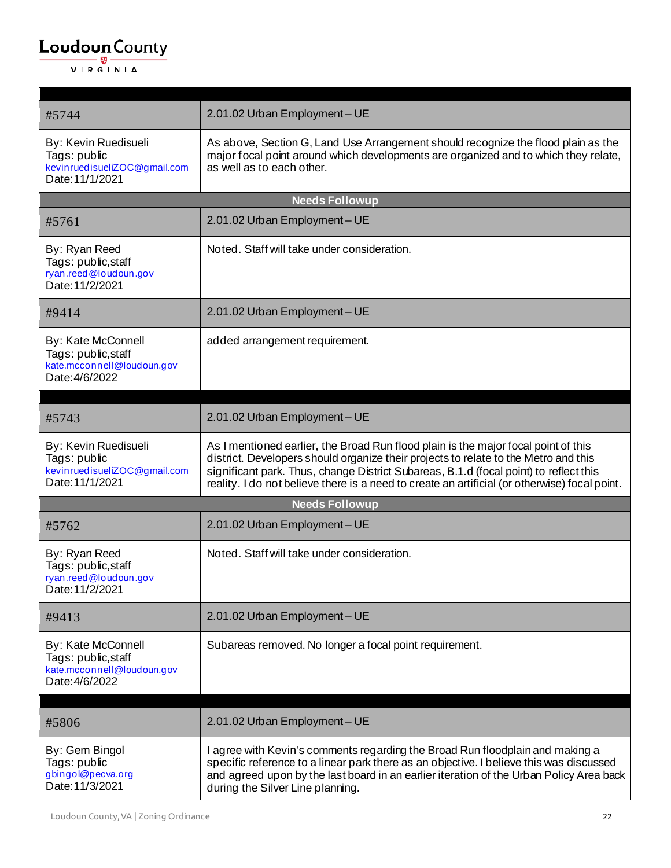| #5744                                                                                     | 2.01.02 Urban Employment - UE                                                                                                                                                                                                                                                                                                                                       |  |
|-------------------------------------------------------------------------------------------|---------------------------------------------------------------------------------------------------------------------------------------------------------------------------------------------------------------------------------------------------------------------------------------------------------------------------------------------------------------------|--|
| By: Kevin Ruedisueli<br>Tags: public<br>kevinruedisueliZOC@gmail.com<br>Date: 11/1/2021   | As above, Section G, Land Use Arrangement should recognize the flood plain as the<br>major focal point around which developments are organized and to which they relate,<br>as well as to each other.                                                                                                                                                               |  |
|                                                                                           | <b>Needs Followup</b>                                                                                                                                                                                                                                                                                                                                               |  |
| #5761                                                                                     | 2.01.02 Urban Employment - UE                                                                                                                                                                                                                                                                                                                                       |  |
| By: Ryan Reed<br>Tags: public, staff<br>ryan.reed@loudoun.gov<br>Date: 11/2/2021          | Noted. Staff will take under consideration.                                                                                                                                                                                                                                                                                                                         |  |
| #9414                                                                                     | 2.01.02 Urban Employment - UE                                                                                                                                                                                                                                                                                                                                       |  |
| By: Kate McConnell<br>Tags: public, staff<br>kate.mcconnell@loudoun.gov<br>Date: 4/6/2022 | added arrangement requirement.                                                                                                                                                                                                                                                                                                                                      |  |
| #5743                                                                                     | 2.01.02 Urban Employment - UE                                                                                                                                                                                                                                                                                                                                       |  |
| By: Kevin Ruedisueli<br>Tags: public<br>kevinruedisueliZOC@gmail.com<br>Date: 11/1/2021   | As I mentioned earlier, the Broad Run flood plain is the major focal point of this<br>district. Developers should organize their projects to relate to the Metro and this<br>significant park. Thus, change District Subareas, B.1.d (focal point) to reflect this<br>reality. I do not believe there is a need to create an artificial (or otherwise) focal point. |  |
|                                                                                           | <b>Needs Followup</b>                                                                                                                                                                                                                                                                                                                                               |  |
| #5762                                                                                     | 2.01.02 Urban Employment - UE                                                                                                                                                                                                                                                                                                                                       |  |
| By: Ryan Reed<br>Tags: public, staff<br>ryan.reed@loudoun.gov<br>Date: 11/2/2021          | Noted. Staff will take under consideration.                                                                                                                                                                                                                                                                                                                         |  |
| #9413                                                                                     | 2.01.02 Urban Employment - UE                                                                                                                                                                                                                                                                                                                                       |  |
| By: Kate McConnell<br>Tags: public, staff<br>kate.mcconnell@loudoun.gov<br>Date: 4/6/2022 | Subareas removed. No longer a focal point requirement.                                                                                                                                                                                                                                                                                                              |  |
|                                                                                           |                                                                                                                                                                                                                                                                                                                                                                     |  |
| #5806                                                                                     | 2.01.02 Urban Employment - UE                                                                                                                                                                                                                                                                                                                                       |  |
| By: Gem Bingol<br>Tags: public<br>gbingol@pecva.org<br>Date: 11/3/2021                    | I agree with Kevin's comments regarding the Broad Run floodplain and making a<br>specific reference to a linear park there as an objective. I believe this was discussed<br>and agreed upon by the last board in an earlier iteration of the Urban Policy Area back<br>during the Silver Line planning.                                                             |  |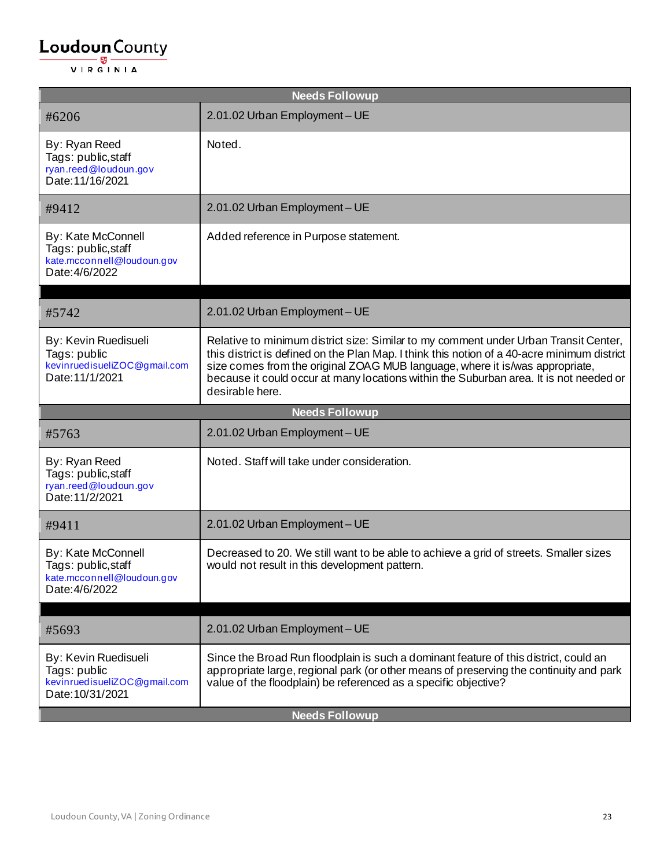| <b>Needs Followup</b>                                                                     |                                                                                                                                                                                                                                                                                                                                                                                  |
|-------------------------------------------------------------------------------------------|----------------------------------------------------------------------------------------------------------------------------------------------------------------------------------------------------------------------------------------------------------------------------------------------------------------------------------------------------------------------------------|
| #6206                                                                                     | 2.01.02 Urban Employment - UE                                                                                                                                                                                                                                                                                                                                                    |
| By: Ryan Reed<br>Tags: public, staff<br>ryan.reed@loudoun.gov<br>Date: 11/16/2021         | Noted.                                                                                                                                                                                                                                                                                                                                                                           |
| #9412                                                                                     | 2.01.02 Urban Employment - UE                                                                                                                                                                                                                                                                                                                                                    |
| By: Kate McConnell<br>Tags: public, staff<br>kate.mcconnell@loudoun.gov<br>Date: 4/6/2022 | Added reference in Purpose statement.                                                                                                                                                                                                                                                                                                                                            |
| #5742                                                                                     | 2.01.02 Urban Employment - UE                                                                                                                                                                                                                                                                                                                                                    |
| By: Kevin Ruedisueli<br>Tags: public<br>kevinruedisueliZOC@gmail.com<br>Date: 11/1/2021   | Relative to minimum district size: Similar to my comment under Urban Transit Center,<br>this district is defined on the Plan Map. I think this notion of a 40-acre minimum district<br>size comes from the original ZOAG MUB language, where it is/was appropriate,<br>because it could occur at many locations within the Suburban area. It is not needed or<br>desirable here. |
|                                                                                           | <b>Needs Followup</b>                                                                                                                                                                                                                                                                                                                                                            |
| #5763                                                                                     | 2.01.02 Urban Employment - UE                                                                                                                                                                                                                                                                                                                                                    |
| By: Ryan Reed<br>Tags: public, staff<br>ryan.reed@loudoun.gov<br>Date: 11/2/2021          | Noted. Staff will take under consideration.                                                                                                                                                                                                                                                                                                                                      |
| #9411                                                                                     | 2.01.02 Urban Employment - UE                                                                                                                                                                                                                                                                                                                                                    |
| By: Kate McConnell<br>Tags: public, staff<br>kate.mcconnell@loudoun.gov<br>Date: 4/6/2022 | Decreased to 20. We still want to be able to achieve a grid of streets. Smaller sizes<br>would not result in this development pattern.                                                                                                                                                                                                                                           |
| #5693                                                                                     | 2.01.02 Urban Employment - UE                                                                                                                                                                                                                                                                                                                                                    |
| By: Kevin Ruedisueli<br>Tags: public<br>kevinruedisueliZOC@gmail.com<br>Date: 10/31/2021  | Since the Broad Run floodplain is such a dominant feature of this district, could an<br>appropriate large, regional park (or other means of preserving the continuity and park<br>value of the floodplain) be referenced as a specific objective?                                                                                                                                |
| <b>Needs Followup</b>                                                                     |                                                                                                                                                                                                                                                                                                                                                                                  |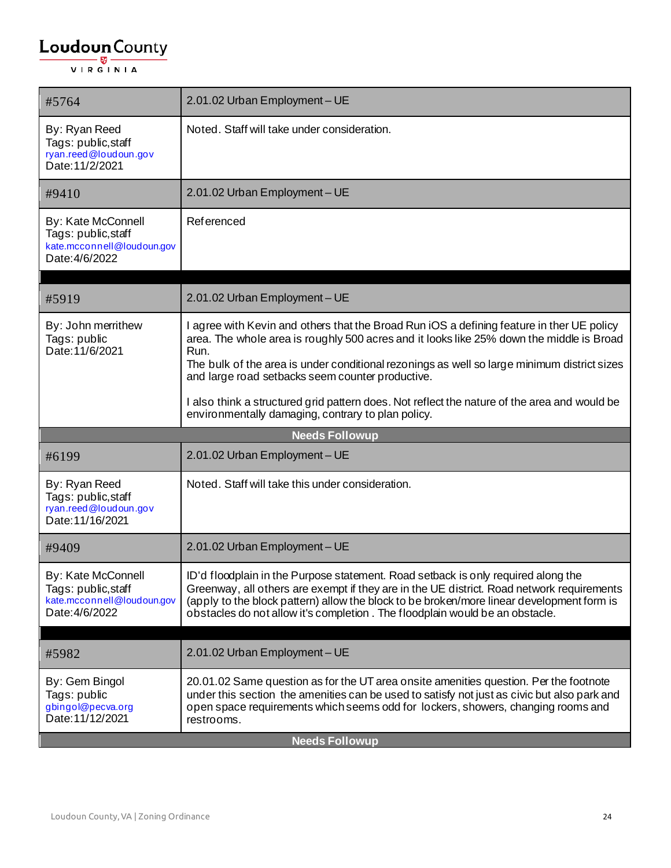| #5764                                                                                            | 2.01.02 Urban Employment - UE                                                                                                                                                                                                                                                                                                                               |
|--------------------------------------------------------------------------------------------------|-------------------------------------------------------------------------------------------------------------------------------------------------------------------------------------------------------------------------------------------------------------------------------------------------------------------------------------------------------------|
| By: Ryan Reed<br>Tags: public, staff<br>ryan.reed@loudoun.gov<br>Date: 11/2/2021                 | Noted. Staff will take under consideration.                                                                                                                                                                                                                                                                                                                 |
| #9410                                                                                            | 2.01.02 Urban Employment - UE                                                                                                                                                                                                                                                                                                                               |
| <b>By: Kate McConnell</b><br>Tags: public, staff<br>kate.mcconnell@loudoun.gov<br>Date: 4/6/2022 | Referenced                                                                                                                                                                                                                                                                                                                                                  |
| #5919                                                                                            | 2.01.02 Urban Employment - UE                                                                                                                                                                                                                                                                                                                               |
| By: John merrithew<br>Tags: public<br>Date: 11/6/2021                                            | I agree with Kevin and others that the Broad Run iOS a defining feature in ther UE policy<br>area. The whole area is roughly 500 acres and it looks like 25% down the middle is Broad<br>Run.<br>The bulk of the area is under conditional rezonings as well so large minimum district sizes<br>and large road setbacks seem counter productive.            |
|                                                                                                  | I also think a structured grid pattern does. Not reflect the nature of the area and would be<br>environmentally damaging, contrary to plan policy.                                                                                                                                                                                                          |
|                                                                                                  | <b>Needs Followup</b>                                                                                                                                                                                                                                                                                                                                       |
| #6199                                                                                            | 2.01.02 Urban Employment - UE                                                                                                                                                                                                                                                                                                                               |
| By: Ryan Reed<br>Tags: public, staff<br>ryan.reed@loudoun.gov<br>Date: 11/16/2021                | Noted. Staff will take this under consideration.                                                                                                                                                                                                                                                                                                            |
| #9409                                                                                            | 2.01.02 Urban Employment - UE                                                                                                                                                                                                                                                                                                                               |
| By: Kate McConnell<br>Tags: public, staff<br>kate.mcconnell@loudoun.gov<br>Date: 4/6/2022        | ID'd floodplain in the Purpose statement. Road setback is only required along the<br>Greenway, all others are exempt if they are in the UE district. Road network requirements<br>(apply to the block pattern) allow the block to be broken/more linear development form is<br>obstacles do not allow it's completion. The floodplain would be an obstacle. |
| #5982                                                                                            | 2.01.02 Urban Employment - UE                                                                                                                                                                                                                                                                                                                               |
| By: Gem Bingol<br>Tags: public<br>gbingol@pecva.org<br>Date: 11/12/2021                          | 20.01.02 Same question as for the UT area onsite amenities question. Per the footnote<br>under this section the amenities can be used to satisfy not just as civic but also park and<br>open space requirements which seems odd for lockers, showers, changing rooms and<br>restrooms.                                                                      |
|                                                                                                  | <b>Needs Followup</b>                                                                                                                                                                                                                                                                                                                                       |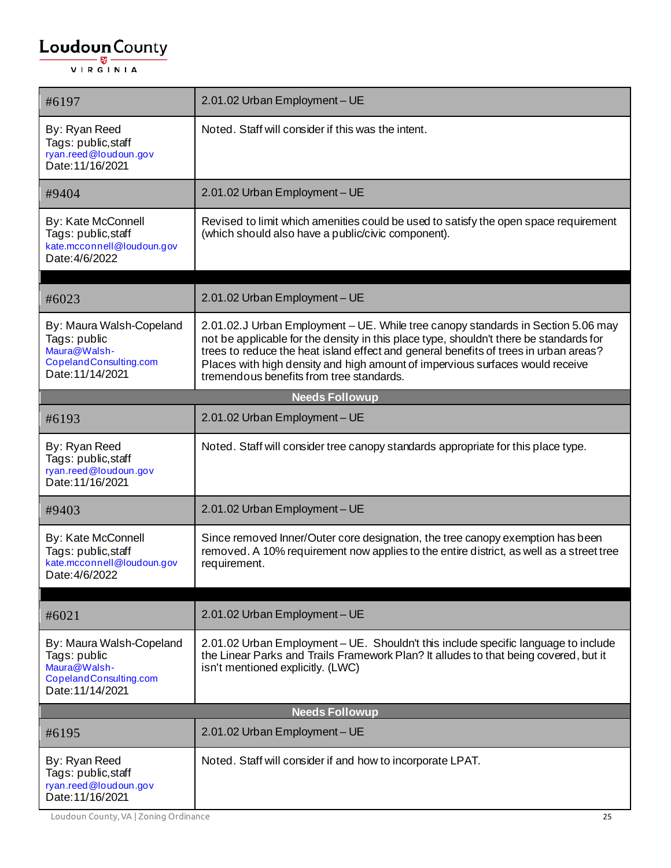| #6197                                                                                                  | 2.01.02 Urban Employment - UE                                                                                                                                                                                                                                                                                                                                                                   |  |  |
|--------------------------------------------------------------------------------------------------------|-------------------------------------------------------------------------------------------------------------------------------------------------------------------------------------------------------------------------------------------------------------------------------------------------------------------------------------------------------------------------------------------------|--|--|
| By: Ryan Reed<br>Tags: public, staff<br>ryan.reed@loudoun.gov<br>Date: 11/16/2021                      | Noted. Staff will consider if this was the intent.                                                                                                                                                                                                                                                                                                                                              |  |  |
| #9404                                                                                                  | 2.01.02 Urban Employment - UE                                                                                                                                                                                                                                                                                                                                                                   |  |  |
| By: Kate McConnell<br>Tags: public, staff<br>kate.mcconnell@loudoun.gov<br>Date: 4/6/2022              | Revised to limit which amenities could be used to satisfy the open space requirement<br>(which should also have a public/civic component).                                                                                                                                                                                                                                                      |  |  |
| #6023                                                                                                  | 2.01.02 Urban Employment - UE                                                                                                                                                                                                                                                                                                                                                                   |  |  |
| By: Maura Walsh-Copeland<br>Tags: public<br>Maura@Walsh-<br>CopelandConsulting.com<br>Date: 11/14/2021 | 2.01.02.J Urban Employment - UE. While tree canopy standards in Section 5.06 may<br>not be applicable for the density in this place type, shouldn't there be standards for<br>trees to reduce the heat island effect and general benefits of trees in urban areas?<br>Places with high density and high amount of impervious surfaces would receive<br>tremendous benefits from tree standards. |  |  |
|                                                                                                        | <b>Needs Followup</b>                                                                                                                                                                                                                                                                                                                                                                           |  |  |
| #6193                                                                                                  | 2.01.02 Urban Employment - UE                                                                                                                                                                                                                                                                                                                                                                   |  |  |
| By: Ryan Reed<br>Tags: public, staff<br>ryan.reed@loudoun.gov<br>Date: 11/16/2021                      | Noted. Staff will consider tree canopy standards appropriate for this place type.                                                                                                                                                                                                                                                                                                               |  |  |
| #9403                                                                                                  | 2.01.02 Urban Employment - UE                                                                                                                                                                                                                                                                                                                                                                   |  |  |
| By: Kate McConnell<br>Tags: public, staff<br>kate.mcconnell@loudoun.gov<br>Date: 4/6/2022              | Since removed Inner/Outer core designation, the tree canopy exemption has been<br>removed. A 10% requirement now applies to the entire district, as well as a street tree<br>requirement.                                                                                                                                                                                                       |  |  |
| #6021                                                                                                  | 2.01.02 Urban Employment - UE                                                                                                                                                                                                                                                                                                                                                                   |  |  |
| By: Maura Walsh-Copeland<br>Tags: public<br>Maura@Walsh-<br>CopelandConsulting.com<br>Date: 11/14/2021 | 2.01.02 Urban Employment - UE. Shouldn't this include specific language to include<br>the Linear Parks and Trails Framework Plan? It alludes to that being covered, but it<br>isn't mentioned explicitly. (LWC)                                                                                                                                                                                 |  |  |
|                                                                                                        | <b>Needs Followup</b>                                                                                                                                                                                                                                                                                                                                                                           |  |  |
| #6195                                                                                                  | 2.01.02 Urban Employment - UE                                                                                                                                                                                                                                                                                                                                                                   |  |  |
| By: Ryan Reed<br>Tags: public, staff<br>ryan.reed@loudoun.gov<br>Date: 11/16/2021                      | Noted. Staff will consider if and how to incorporate LPAT.                                                                                                                                                                                                                                                                                                                                      |  |  |

Loudoun County, VA | Zoning Ordinance 25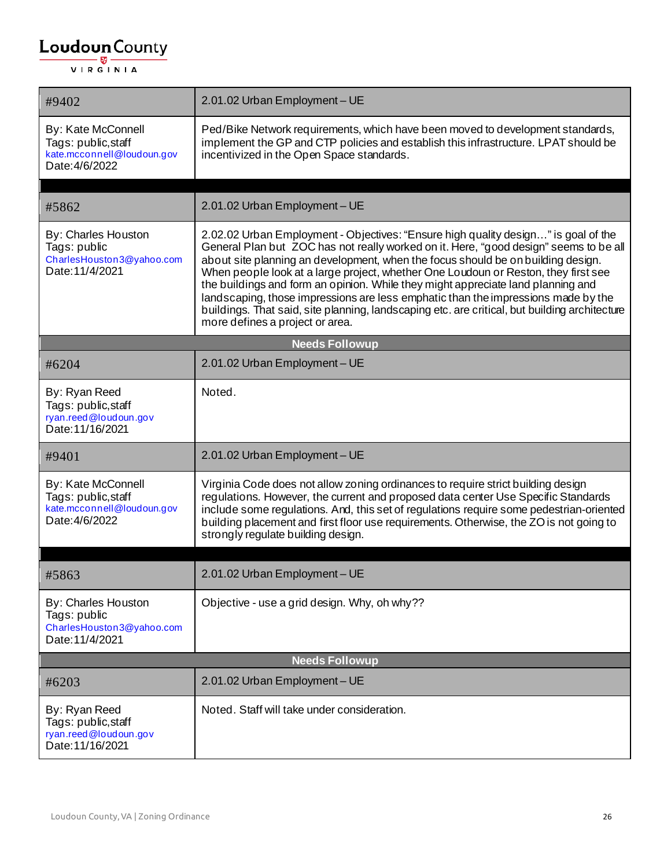| #9402                                                                                     | 2.01.02 Urban Employment - UE                                                                                                                                                                                                                                                                                                                                                                                                                                                                                                                                                                                                                                      |
|-------------------------------------------------------------------------------------------|--------------------------------------------------------------------------------------------------------------------------------------------------------------------------------------------------------------------------------------------------------------------------------------------------------------------------------------------------------------------------------------------------------------------------------------------------------------------------------------------------------------------------------------------------------------------------------------------------------------------------------------------------------------------|
| By: Kate McConnell<br>Tags: public, staff<br>kate.mcconnell@loudoun.gov<br>Date: 4/6/2022 | Ped/Bike Network requirements, which have been moved to development standards,<br>implement the GP and CTP policies and establish this infrastructure. LPAT should be<br>incentivized in the Open Space standards.                                                                                                                                                                                                                                                                                                                                                                                                                                                 |
|                                                                                           |                                                                                                                                                                                                                                                                                                                                                                                                                                                                                                                                                                                                                                                                    |
| #5862                                                                                     | 2.01.02 Urban Employment - UE                                                                                                                                                                                                                                                                                                                                                                                                                                                                                                                                                                                                                                      |
| By: Charles Houston<br>Tags: public<br>CharlesHouston3@yahoo.com<br>Date: 11/4/2021       | 2.02.02 Urban Employment - Objectives: "Ensure high quality design" is goal of the<br>General Plan but ZOC has not really worked on it. Here, "good design" seems to be all<br>about site planning an development, when the focus should be on building design.<br>When people look at a large project, whether One Loudoun or Reston, they first see<br>the buildings and form an opinion. While they might appreciate land planning and<br>landscaping, those impressions are less emphatic than the impressions made by the<br>buildings. That said, site planning, landscaping etc. are critical, but building architecture<br>more defines a project or area. |
|                                                                                           | <b>Needs Followup</b>                                                                                                                                                                                                                                                                                                                                                                                                                                                                                                                                                                                                                                              |
| #6204                                                                                     | 2.01.02 Urban Employment - UE                                                                                                                                                                                                                                                                                                                                                                                                                                                                                                                                                                                                                                      |
| By: Ryan Reed<br>Tags: public, staff<br>ryan.reed@loudoun.gov<br>Date: 11/16/2021         | Noted.                                                                                                                                                                                                                                                                                                                                                                                                                                                                                                                                                                                                                                                             |
| #9401                                                                                     | 2.01.02 Urban Employment - UE                                                                                                                                                                                                                                                                                                                                                                                                                                                                                                                                                                                                                                      |
| By: Kate McConnell<br>Tags: public, staff<br>kate.mcconnell@loudoun.gov<br>Date: 4/6/2022 | Virginia Code does not allow zoning ordinances to require strict building design<br>regulations. However, the current and proposed data center Use Specific Standards<br>include some regulations. And, this set of regulations require some pedestrian-oriented<br>building placement and first floor use requirements. Otherwise, the ZO is not going to<br>strongly regulate building design.                                                                                                                                                                                                                                                                   |
|                                                                                           |                                                                                                                                                                                                                                                                                                                                                                                                                                                                                                                                                                                                                                                                    |
| #5863                                                                                     | 2.01.02 Urban Employment - UE                                                                                                                                                                                                                                                                                                                                                                                                                                                                                                                                                                                                                                      |
| By: Charles Houston<br>Tags: public<br>CharlesHouston3@yahoo.com<br>Date: 11/4/2021       | Objective - use a grid design. Why, oh why??                                                                                                                                                                                                                                                                                                                                                                                                                                                                                                                                                                                                                       |
|                                                                                           | <b>Needs Followup</b>                                                                                                                                                                                                                                                                                                                                                                                                                                                                                                                                                                                                                                              |
| #6203                                                                                     | 2.01.02 Urban Employment - UE                                                                                                                                                                                                                                                                                                                                                                                                                                                                                                                                                                                                                                      |
| By: Ryan Reed<br>Tags: public, staff<br>ryan.reed@loudoun.gov<br>Date: 11/16/2021         | Noted. Staff will take under consideration.                                                                                                                                                                                                                                                                                                                                                                                                                                                                                                                                                                                                                        |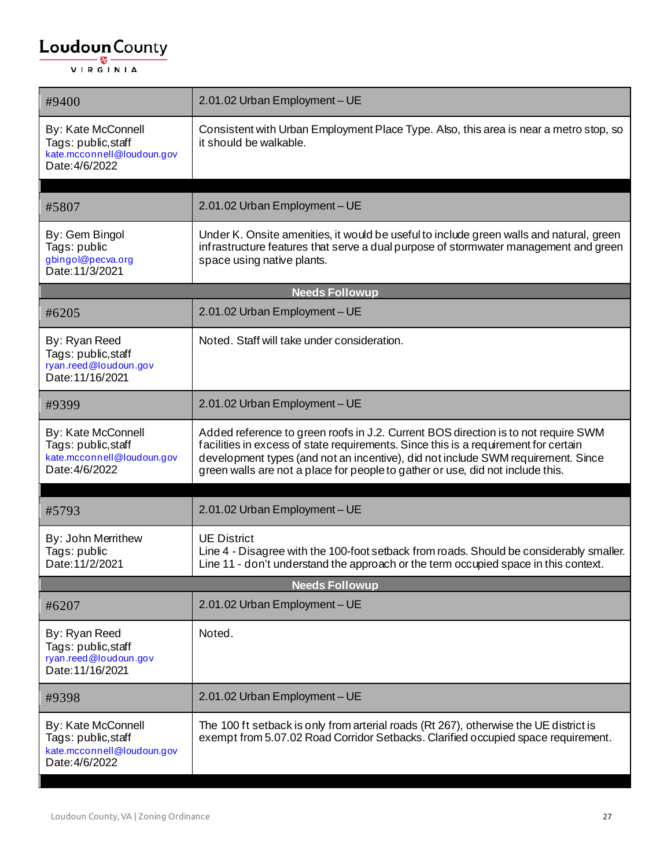| #9400                                                                                     | 2.01.02 Urban Employment - UE                                                                                                                                                                                                                                                                                                                   |  |
|-------------------------------------------------------------------------------------------|-------------------------------------------------------------------------------------------------------------------------------------------------------------------------------------------------------------------------------------------------------------------------------------------------------------------------------------------------|--|
| By: Kate McConnell<br>Tags: public, staff<br>kate.mcconnell@loudoun.gov<br>Date: 4/6/2022 | Consistent with Urban Employment Place Type. Also, this area is near a metro stop, so<br>it should be walkable.                                                                                                                                                                                                                                 |  |
| #5807                                                                                     | 2.01.02 Urban Employment - UE                                                                                                                                                                                                                                                                                                                   |  |
| By: Gem Bingol<br>Tags: public<br>gbingol@pecva.org<br>Date: 11/3/2021                    | Under K. Onsite amenities, it would be useful to include green walls and natural, green<br>infrastructure features that serve a dual purpose of stormwater management and green<br>space using native plants.                                                                                                                                   |  |
|                                                                                           | <b>Needs Followup</b>                                                                                                                                                                                                                                                                                                                           |  |
| #6205                                                                                     | 2.01.02 Urban Employment - UE                                                                                                                                                                                                                                                                                                                   |  |
| By: Ryan Reed<br>Tags: public, staff<br>ryan.reed@loudoun.gov<br>Date: 11/16/2021         | Noted. Staff will take under consideration.                                                                                                                                                                                                                                                                                                     |  |
| #9399                                                                                     | 2.01.02 Urban Employment - UE                                                                                                                                                                                                                                                                                                                   |  |
| By: Kate McConnell<br>Tags: public, staff<br>kate.mcconnell@loudoun.gov<br>Date: 4/6/2022 | Added reference to green roofs in J.2. Current BOS direction is to not require SWM<br>facilities in excess of state requirements. Since this is a requirement for certain<br>development types (and not an incentive), did not include SWM requirement. Since<br>green walls are not a place for people to gather or use, did not include this. |  |
| #5793                                                                                     | 2.01.02 Urban Employment - UE                                                                                                                                                                                                                                                                                                                   |  |
| By: John Merrithew<br>Tags: public<br>Date: 11/2/2021                                     | <b>UE District</b><br>Line 4 - Disagree with the 100-foot setback from roads. Should be considerably smaller.<br>Line 11 - don't understand the approach or the term occupied space in this context.                                                                                                                                            |  |
| <b>Needs Followup</b>                                                                     |                                                                                                                                                                                                                                                                                                                                                 |  |
| #6207                                                                                     | 2.01.02 Urban Employment - UE                                                                                                                                                                                                                                                                                                                   |  |
| By: Ryan Reed<br>Tags: public, staff<br>ryan.reed@loudoun.gov<br>Date: 11/16/2021         | Noted.                                                                                                                                                                                                                                                                                                                                          |  |
| #9398                                                                                     | 2.01.02 Urban Employment - UE                                                                                                                                                                                                                                                                                                                   |  |
| By: Kate McConnell<br>Tags: public, staff<br>kate.mcconnell@loudoun.gov<br>Date: 4/6/2022 | The 100 ft setback is only from arterial roads (Rt 267), otherwise the UE district is<br>exempt from 5.07.02 Road Corridor Setbacks. Clarified occupied space requirement.                                                                                                                                                                      |  |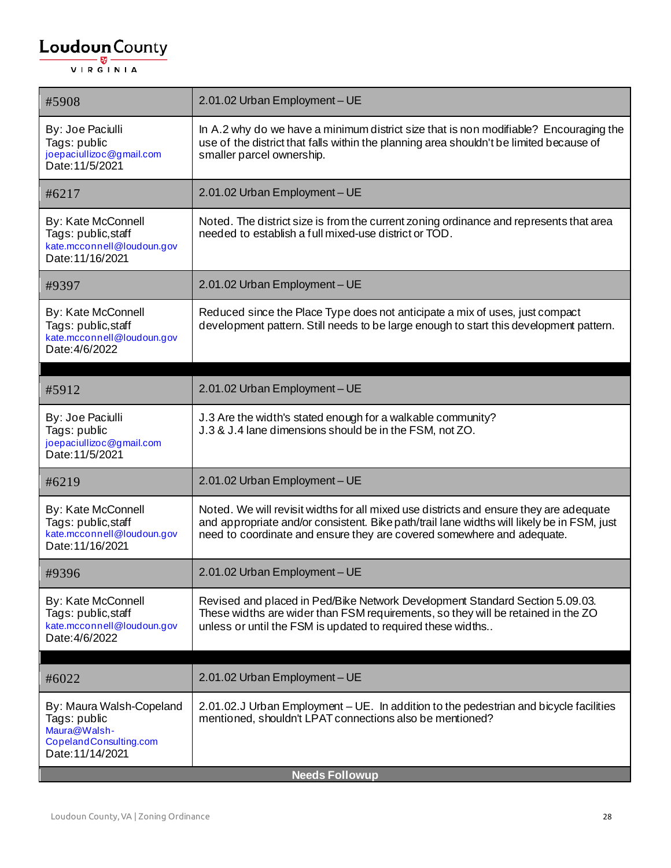| #5908                                                                                                  | 2.01.02 Urban Employment - UE                                                                                                                                                                                                                                  |
|--------------------------------------------------------------------------------------------------------|----------------------------------------------------------------------------------------------------------------------------------------------------------------------------------------------------------------------------------------------------------------|
| By: Joe Paciulli<br>Tags: public<br>joepaciullizoc@gmail.com<br>Date: 11/5/2021                        | In A.2 why do we have a minimum district size that is non modifiable? Encouraging the<br>use of the district that falls within the planning area shouldn't be limited because of<br>smaller parcel ownership.                                                  |
| #6217                                                                                                  | 2.01.02 Urban Employment - UE                                                                                                                                                                                                                                  |
| By: Kate McConnell<br>Tags: public, staff<br>kate.mcconnell@loudoun.gov<br>Date: 11/16/2021            | Noted. The district size is from the current zoning ordinance and represents that area<br>needed to establish a full mixed-use district or TOD.                                                                                                                |
| #9397                                                                                                  | 2.01.02 Urban Employment - UE                                                                                                                                                                                                                                  |
| By: Kate McConnell<br>Tags: public, staff<br>kate.mcconnell@loudoun.gov<br>Date: 4/6/2022              | Reduced since the Place Type does not anticipate a mix of uses, just compact<br>development pattern. Still needs to be large enough to start this development pattern.                                                                                         |
| #5912                                                                                                  | 2.01.02 Urban Employment - UE                                                                                                                                                                                                                                  |
| By: Joe Paciulli<br>Tags: public<br>joepaciullizoc@gmail.com<br>Date: 11/5/2021                        | J.3 Are the width's stated enough for a walkable community?<br>J.3 & J.4 lane dimensions should be in the FSM, not ZO.                                                                                                                                         |
| #6219                                                                                                  | 2.01.02 Urban Employment - UE                                                                                                                                                                                                                                  |
| By: Kate McConnell<br>Tags: public, staff<br>kate.mcconnell@loudoun.gov<br>Date: 11/16/2021            | Noted. We will revisit widths for all mixed use districts and ensure they are adequate<br>and appropriate and/or consistent. Bike path/trail lane widths will likely be in FSM, just<br>need to coordinate and ensure they are covered somewhere and adequate. |
| #9396                                                                                                  | 2.01.02 Urban Employment - UE                                                                                                                                                                                                                                  |
| By: Kate McConnell<br>Tags: public, staff<br>kate.mcconnell@loudoun.gov<br>Date: 4/6/2022              | Revised and placed in Ped/Bike Network Development Standard Section 5.09.03.<br>These widths are wider than FSM requirements, so they will be retained in the ZO<br>unless or until the FSM is updated to required these widths                                |
|                                                                                                        | 2.01.02 Urban Employment - UE                                                                                                                                                                                                                                  |
| #6022                                                                                                  |                                                                                                                                                                                                                                                                |
| By: Maura Walsh-Copeland<br>Tags: public<br>Maura@Walsh-<br>CopelandConsulting.com<br>Date: 11/14/2021 | 2.01.02.J Urban Employment – UE. In addition to the pedestrian and bicycle facilities<br>mentioned, shouldn't LPAT connections also be mentioned?                                                                                                              |
| <b>Needs Followup</b>                                                                                  |                                                                                                                                                                                                                                                                |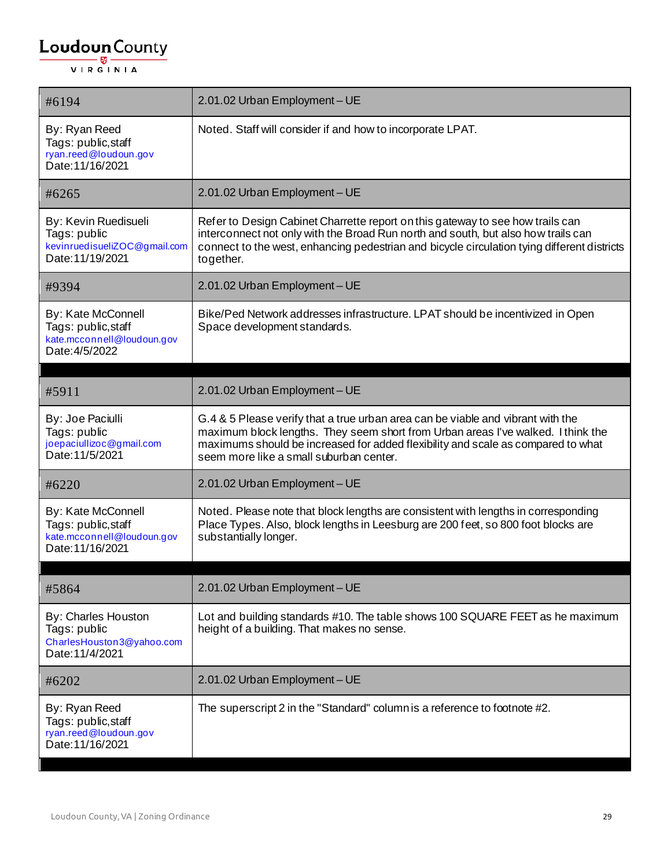| #6194                                                                                       | 2.01.02 Urban Employment - UE                                                                                                                                                                                                                                                                      |
|---------------------------------------------------------------------------------------------|----------------------------------------------------------------------------------------------------------------------------------------------------------------------------------------------------------------------------------------------------------------------------------------------------|
| By: Ryan Reed<br>Tags: public, staff<br>ryan.reed@loudoun.gov<br>Date: 11/16/2021           | Noted. Staff will consider if and how to incorporate LPAT.                                                                                                                                                                                                                                         |
| #6265                                                                                       | 2.01.02 Urban Employment - UE                                                                                                                                                                                                                                                                      |
| By: Kevin Ruedisueli<br>Tags: public<br>kevinruedisueliZOC@gmail.com<br>Date: 11/19/2021    | Refer to Design Cabinet Charrette report on this gateway to see how trails can<br>interconnect not only with the Broad Run north and south, but also how trails can<br>connect to the west, enhancing pedestrian and bicycle circulation tying different districts<br>together.                    |
| #9394                                                                                       | 2.01.02 Urban Employment - UE                                                                                                                                                                                                                                                                      |
| By: Kate McConnell<br>Tags: public, staff<br>kate.mcconnell@loudoun.gov<br>Date: 4/5/2022   | Bike/Ped Network addresses infrastructure. LPAT should be incentivized in Open<br>Space development standards.                                                                                                                                                                                     |
| #5911                                                                                       | 2.01.02 Urban Employment - UE                                                                                                                                                                                                                                                                      |
| By: Joe Paciulli<br>Tags: public<br>joepaciullizoc@gmail.com<br>Date: 11/5/2021             | G.4 & 5 Please verify that a true urban area can be viable and vibrant with the<br>maximum block lengths. They seem short from Urban areas I've walked. I think the<br>maximums should be increased for added flexibility and scale as compared to what<br>seem more like a small suburban center. |
| #6220                                                                                       | 2.01.02 Urban Employment - UE                                                                                                                                                                                                                                                                      |
| By: Kate McConnell<br>Tags: public, staff<br>kate.mcconnell@loudoun.gov<br>Date: 11/16/2021 | Noted. Please note that block lengths are consistent with lengths in corresponding<br>Place Types. Also, block lengths in Leesburg are 200 feet, so 800 foot blocks are<br>substantially longer.                                                                                                   |
| #5864                                                                                       | 2.01.02 Urban Employment - UE                                                                                                                                                                                                                                                                      |
| By: Charles Houston<br>Tags: public<br>CharlesHouston3@yahoo.com<br>Date: 11/4/2021         | Lot and building standards #10. The table shows 100 SQUARE FEET as he maximum<br>height of a building. That makes no sense.                                                                                                                                                                        |
| #6202                                                                                       | 2.01.02 Urban Employment - UE                                                                                                                                                                                                                                                                      |
| By: Ryan Reed<br>Tags: public, staff<br>ryan.reed@loudoun.gov<br>Date: 11/16/2021           | The superscript 2 in the "Standard" column is a reference to footnote #2.                                                                                                                                                                                                                          |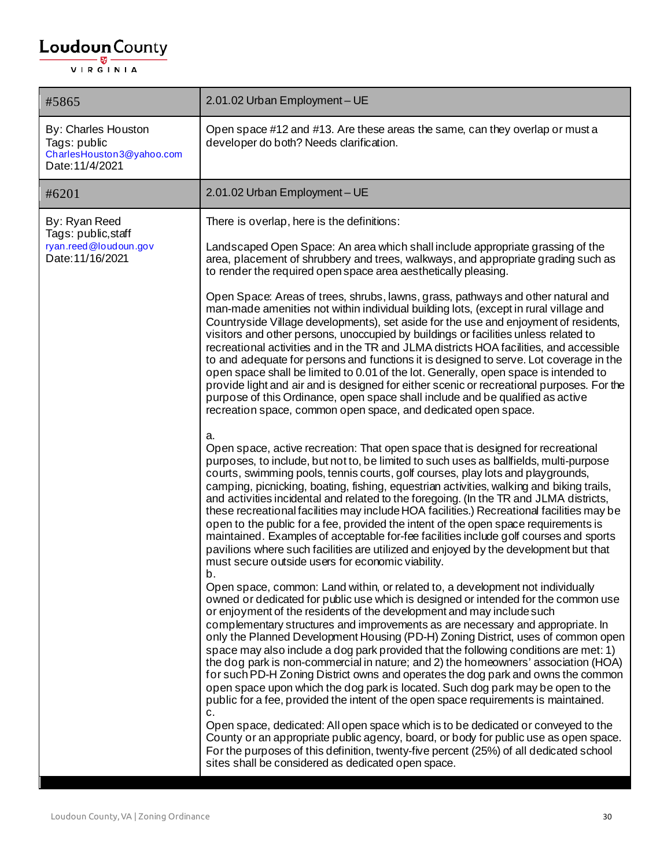| #5865                                                                               | 2.01.02 Urban Employment - UE                                                                                                                                                                                                                                                                                                                                                                                                                                                                                                                                                                                                                                                                                                                                                                                                                                                                                                                                                                                                                                                                                                                                                                                                                                                                                                                                                                                                                                                                                                                                                                                                                                                                                                                                                                                                                                                                                                                                                                                                                                                                                                                                                                                                                                                                                                                                                                                                                                                                                                                                                                                                                                                                                                                                                                                                                                                                                                                                                                                                                                                                                                                                                                                                                                                   |
|-------------------------------------------------------------------------------------|---------------------------------------------------------------------------------------------------------------------------------------------------------------------------------------------------------------------------------------------------------------------------------------------------------------------------------------------------------------------------------------------------------------------------------------------------------------------------------------------------------------------------------------------------------------------------------------------------------------------------------------------------------------------------------------------------------------------------------------------------------------------------------------------------------------------------------------------------------------------------------------------------------------------------------------------------------------------------------------------------------------------------------------------------------------------------------------------------------------------------------------------------------------------------------------------------------------------------------------------------------------------------------------------------------------------------------------------------------------------------------------------------------------------------------------------------------------------------------------------------------------------------------------------------------------------------------------------------------------------------------------------------------------------------------------------------------------------------------------------------------------------------------------------------------------------------------------------------------------------------------------------------------------------------------------------------------------------------------------------------------------------------------------------------------------------------------------------------------------------------------------------------------------------------------------------------------------------------------------------------------------------------------------------------------------------------------------------------------------------------------------------------------------------------------------------------------------------------------------------------------------------------------------------------------------------------------------------------------------------------------------------------------------------------------------------------------------------------------------------------------------------------------------------------------------------------------------------------------------------------------------------------------------------------------------------------------------------------------------------------------------------------------------------------------------------------------------------------------------------------------------------------------------------------------------------------------------------------------------------------------------------------------|
| By: Charles Houston<br>Tags: public<br>CharlesHouston3@yahoo.com<br>Date: 11/4/2021 | Open space #12 and #13. Are these areas the same, can they overlap or must a<br>developer do both? Needs clarification.                                                                                                                                                                                                                                                                                                                                                                                                                                                                                                                                                                                                                                                                                                                                                                                                                                                                                                                                                                                                                                                                                                                                                                                                                                                                                                                                                                                                                                                                                                                                                                                                                                                                                                                                                                                                                                                                                                                                                                                                                                                                                                                                                                                                                                                                                                                                                                                                                                                                                                                                                                                                                                                                                                                                                                                                                                                                                                                                                                                                                                                                                                                                                         |
| #6201                                                                               | 2.01.02 Urban Employment - UE                                                                                                                                                                                                                                                                                                                                                                                                                                                                                                                                                                                                                                                                                                                                                                                                                                                                                                                                                                                                                                                                                                                                                                                                                                                                                                                                                                                                                                                                                                                                                                                                                                                                                                                                                                                                                                                                                                                                                                                                                                                                                                                                                                                                                                                                                                                                                                                                                                                                                                                                                                                                                                                                                                                                                                                                                                                                                                                                                                                                                                                                                                                                                                                                                                                   |
| By: Ryan Reed<br>Tags: public, staff<br>ryan.reed@loudoun.gov<br>Date: 11/16/2021   | There is overlap, here is the definitions:<br>Landscaped Open Space: An area which shall include appropriate grassing of the<br>area, placement of shrubbery and trees, walkways, and appropriate grading such as<br>to render the required open space area aesthetically pleasing.<br>Open Space: Areas of trees, shrubs, lawns, grass, pathways and other natural and<br>man-made amenities not within individual building lots, (except in rural village and<br>Countryside Village developments), set aside for the use and enjoyment of residents,<br>visitors and other persons, unoccupied by buildings or facilities unless related to<br>recreational activities and in the TR and JLMA districts HOA facilities, and accessible<br>to and adequate for persons and functions it is designed to serve. Lot coverage in the<br>open space shall be limited to 0.01 of the lot. Generally, open space is intended to<br>provide light and air and is designed for either scenic or recreational purposes. For the<br>purpose of this Ordinance, open space shall include and be qualified as active<br>recreation space, common open space, and dedicated open space.<br>a.<br>Open space, active recreation: That open space that is designed for recreational<br>purposes, to include, but not to, be limited to such uses as ballfields, multi-purpose<br>courts, swimming pools, tennis courts, golf courses, play lots and playgrounds,<br>camping, picnicking, boating, fishing, equestrian activities, walking and biking trails,<br>and activities incidental and related to the foregoing. (In the TR and JLMA districts,<br>these recreational facilities may include HOA facilities.) Recreational facilities may be<br>open to the public for a fee, provided the intent of the open space requirements is<br>maintained. Examples of acceptable for-fee facilities include golf courses and sports<br>pavilions where such facilities are utilized and enjoyed by the development but that<br>must secure outside users for economic viability.<br>b.<br>Open space, common: Land within, or related to, a development not individually<br>owned or dedicated for public use which is designed or intended for the common use<br>or enjoyment of the residents of the development and may include such<br>complementary structures and improvements as are necessary and appropriate. In<br>only the Planned Development Housing (PD-H) Zoning District, uses of common open<br>space may also include a dog park provided that the following conditions are met: 1)<br>the dog park is non-commercial in nature; and 2) the homeowners' association (HOA)<br>for such PD-H Zoning District owns and operates the dog park and owns the common<br>open space upon which the dog park is located. Such dog park may be open to the<br>public for a fee, provided the intent of the open space requirements is maintained.<br>c.<br>Open space, dedicated: All open space which is to be dedicated or conveyed to the<br>County or an appropriate public agency, board, or body for public use as open space.<br>For the purposes of this definition, twenty-five percent (25%) of all dedicated school<br>sites shall be considered as dedicated open space. |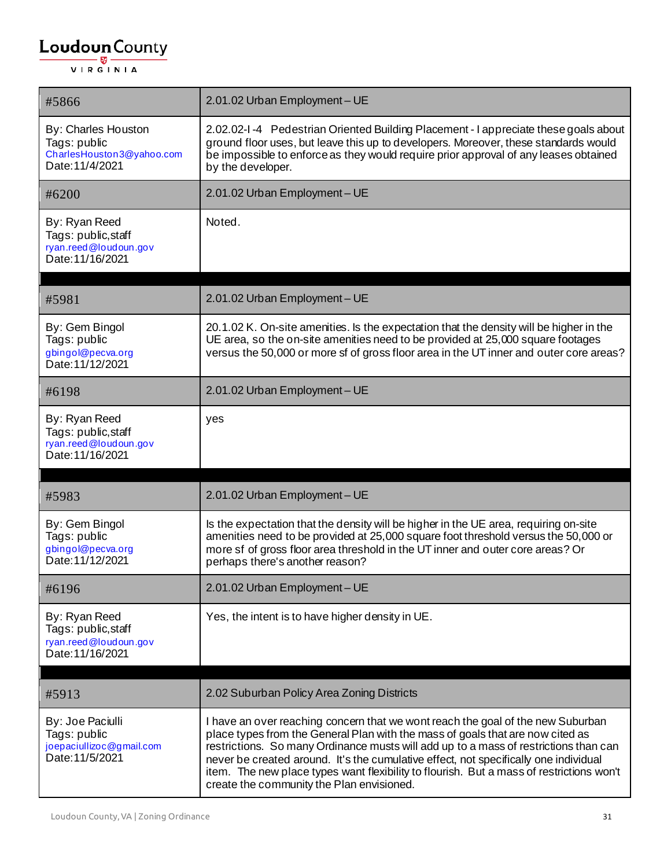| #5866                                                                               | 2.01.02 Urban Employment - UE                                                                                                                                                                                                                                                                   |
|-------------------------------------------------------------------------------------|-------------------------------------------------------------------------------------------------------------------------------------------------------------------------------------------------------------------------------------------------------------------------------------------------|
| By: Charles Houston<br>Tags: public<br>CharlesHouston3@yahoo.com<br>Date: 11/4/2021 | 2.02.02-1-4 Pedestrian Oriented Building Placement - I appreciate these goals about<br>ground floor uses, but leave this up to developers. Moreover, these standards would<br>be impossible to enforce as they would require prior approval of any leases obtained<br>by the developer.         |
| #6200                                                                               | 2.01.02 Urban Employment - UE                                                                                                                                                                                                                                                                   |
| By: Ryan Reed<br>Tags: public, staff<br>ryan.reed@loudoun.gov<br>Date: 11/16/2021   | Noted.                                                                                                                                                                                                                                                                                          |
| #5981                                                                               | 2.01.02 Urban Employment - UE                                                                                                                                                                                                                                                                   |
| By: Gem Bingol<br>Tags: public<br>gbingol@pecva.org<br>Date: 11/12/2021             | 20.1.02 K. On-site amenities. Is the expectation that the density will be higher in the<br>UE area, so the on-site amenities need to be provided at 25,000 square footages<br>versus the 50,000 or more sf of gross floor area in the UT inner and outer core areas?                            |
| #6198                                                                               | 2.01.02 Urban Employment - UE                                                                                                                                                                                                                                                                   |
| By: Ryan Reed<br>Tags: public, staff<br>ryan.reed@loudoun.gov<br>Date: 11/16/2021   | yes                                                                                                                                                                                                                                                                                             |
|                                                                                     |                                                                                                                                                                                                                                                                                                 |
| #5983                                                                               | 2.01.02 Urban Employment - UE                                                                                                                                                                                                                                                                   |
| By: Gem Bingol<br>Tags: public<br>gbingol@pecva.org<br>Date: 11/12/2021             | Is the expectation that the density will be higher in the UE area, requiring on-site<br>amenities need to be provided at 25,000 square foot threshold versus the 50,000 or<br>more sf of gross floor area threshold in the UT inner and outer core areas? Or<br>perhaps there's another reason? |
| #6196                                                                               | 2.01.02 Urban Employment - UE                                                                                                                                                                                                                                                                   |
| By: Ryan Reed<br>Tags: public, staff<br>ryan.reed@loudoun.gov<br>Date: 11/16/2021   | Yes, the intent is to have higher density in UE.                                                                                                                                                                                                                                                |
| #5913                                                                               | 2.02 Suburban Policy Area Zoning Districts                                                                                                                                                                                                                                                      |
| By: Joe Paciulli<br>Tags: public                                                    | I have an over reaching concern that we wont reach the goal of the new Suburban                                                                                                                                                                                                                 |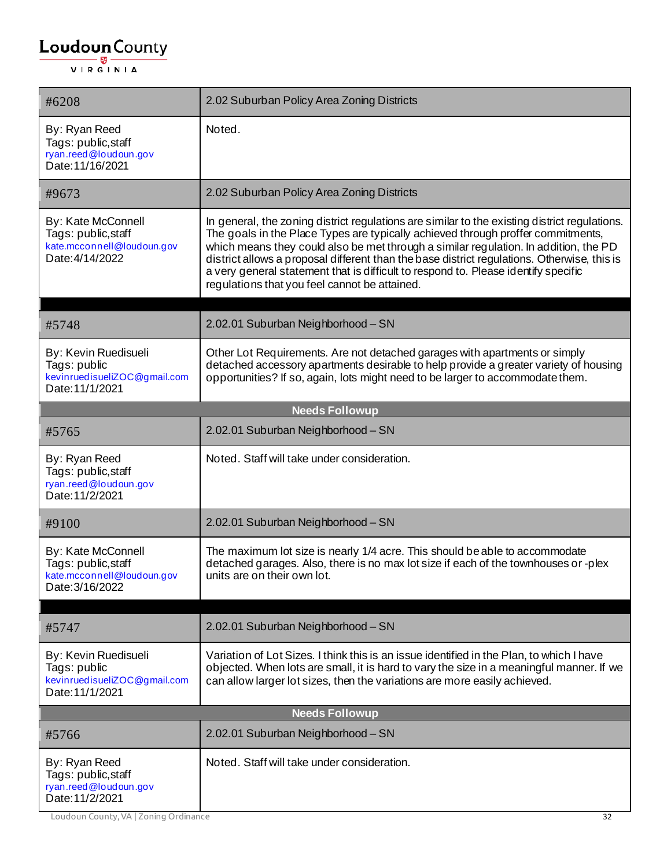| #6208                                                                                      | 2.02 Suburban Policy Area Zoning Districts                                                                                                                                                                                                                                                                                                                                                                                                                                                                      |
|--------------------------------------------------------------------------------------------|-----------------------------------------------------------------------------------------------------------------------------------------------------------------------------------------------------------------------------------------------------------------------------------------------------------------------------------------------------------------------------------------------------------------------------------------------------------------------------------------------------------------|
| By: Ryan Reed<br>Tags: public, staff<br>ryan.reed@loudoun.gov<br>Date: 11/16/2021          | Noted.                                                                                                                                                                                                                                                                                                                                                                                                                                                                                                          |
| #9673                                                                                      | 2.02 Suburban Policy Area Zoning Districts                                                                                                                                                                                                                                                                                                                                                                                                                                                                      |
| By: Kate McConnell<br>Tags: public, staff<br>kate.mcconnell@loudoun.gov<br>Date: 4/14/2022 | In general, the zoning district regulations are similar to the existing district regulations.<br>The goals in the Place Types are typically achieved through proffer commitments,<br>which means they could also be met through a similar regulation. In addition, the PD<br>district allows a proposal different than the base district regulations. Otherwise, this is<br>a very general statement that is difficult to respond to. Please identify specific<br>regulations that you feel cannot be attained. |
| #5748                                                                                      | 2.02.01 Suburban Neighborhood - SN                                                                                                                                                                                                                                                                                                                                                                                                                                                                              |
| By: Kevin Ruedisueli<br>Tags: public<br>kevinruedisueliZOC@gmail.com<br>Date: 11/1/2021    | Other Lot Requirements. Are not detached garages with apartments or simply<br>detached accessory apartments desirable to help provide a greater variety of housing<br>opportunities? If so, again, lots might need to be larger to accommodate them.                                                                                                                                                                                                                                                            |
|                                                                                            | <b>Needs Followup</b>                                                                                                                                                                                                                                                                                                                                                                                                                                                                                           |
| #5765                                                                                      | 2.02.01 Suburban Neighborhood - SN                                                                                                                                                                                                                                                                                                                                                                                                                                                                              |
| By: Ryan Reed<br>Tags: public, staff<br>ryan.reed@loudoun.gov<br>Date: 11/2/2021           | Noted. Staff will take under consideration.                                                                                                                                                                                                                                                                                                                                                                                                                                                                     |
| #9100                                                                                      | 2.02.01 Suburban Neighborhood - SN                                                                                                                                                                                                                                                                                                                                                                                                                                                                              |
| By: Kate McConnell<br>Tags: public, staff<br>kate.mcconnell@loudoun.gov<br>Date: 3/16/2022 | The maximum lot size is nearly 1/4 acre. This should be able to accommodate<br>detached garages. Also, there is no max lot size if each of the townhouses or -plex<br>units are on their own lot.                                                                                                                                                                                                                                                                                                               |
| #5747                                                                                      | 2.02.01 Suburban Neighborhood - SN                                                                                                                                                                                                                                                                                                                                                                                                                                                                              |
| By: Kevin Ruedisueli<br>Tags: public<br>kevinruedisueliZOC@gmail.com<br>Date: 11/1/2021    | Variation of Lot Sizes. I think this is an issue identified in the Plan, to which I have<br>objected. When lots are small, it is hard to vary the size in a meaningful manner. If we<br>can allow larger lot sizes, then the variations are more easily achieved.                                                                                                                                                                                                                                               |
|                                                                                            | <b>Needs Followup</b>                                                                                                                                                                                                                                                                                                                                                                                                                                                                                           |
| #5766                                                                                      | 2.02.01 Suburban Neighborhood - SN                                                                                                                                                                                                                                                                                                                                                                                                                                                                              |
| By: Ryan Reed<br>Tags: public, staff<br>ryan.reed@loudoun.gov<br>Date: 11/2/2021           | Noted. Staff will take under consideration.                                                                                                                                                                                                                                                                                                                                                                                                                                                                     |

Loudoun County, VA | Zoning Ordinance 32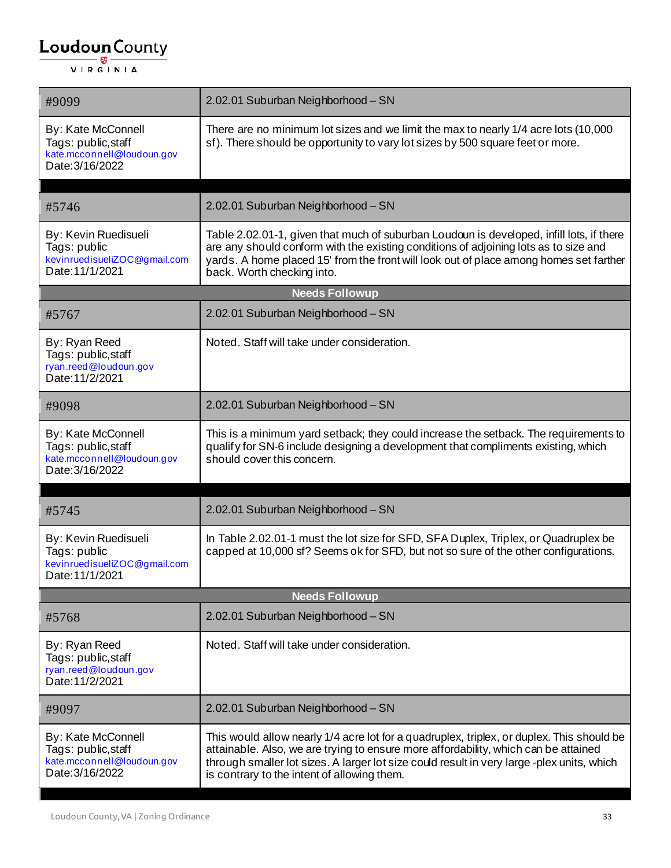| #9099                                                                                      | 2.02.01 Suburban Neighborhood - SN                                                                                                                                                                                                                                                                                            |  |  |
|--------------------------------------------------------------------------------------------|-------------------------------------------------------------------------------------------------------------------------------------------------------------------------------------------------------------------------------------------------------------------------------------------------------------------------------|--|--|
| By: Kate McConnell<br>Tags: public, staff<br>kate.mcconnell@loudoun.gov<br>Date: 3/16/2022 | There are no minimum lot sizes and we limit the max to nearly 1/4 acre lots (10,000<br>sf). There should be opportunity to vary lot sizes by 500 square feet or more.                                                                                                                                                         |  |  |
| #5746                                                                                      | 2.02.01 Suburban Neighborhood - SN                                                                                                                                                                                                                                                                                            |  |  |
| By: Kevin Ruedisueli<br>Tags: public<br>kevinruedisueliZOC@gmail.com<br>Date: 11/1/2021    | Table 2.02.01-1, given that much of suburban Loudoun is developed, infill lots, if there<br>are any should conform with the existing conditions of adjoining lots as to size and<br>yards. A home placed 15' from the front will look out of place among homes set farther<br>back. Worth checking into.                      |  |  |
|                                                                                            | <b>Needs Followup</b>                                                                                                                                                                                                                                                                                                         |  |  |
| #5767                                                                                      | 2.02.01 Suburban Neighborhood - SN                                                                                                                                                                                                                                                                                            |  |  |
| By: Ryan Reed<br>Tags: public, staff<br>ryan.reed@loudoun.gov<br>Date: 11/2/2021           | Noted. Staff will take under consideration.                                                                                                                                                                                                                                                                                   |  |  |
| #9098                                                                                      | 2.02.01 Suburban Neighborhood - SN                                                                                                                                                                                                                                                                                            |  |  |
| By: Kate McConnell<br>Tags: public, staff<br>kate.mcconnell@loudoun.gov<br>Date: 3/16/2022 | This is a minimum yard setback; they could increase the setback. The requirements to<br>qualify for SN-6 include designing a development that compliments existing, which<br>should cover this concern.                                                                                                                       |  |  |
|                                                                                            |                                                                                                                                                                                                                                                                                                                               |  |  |
| #5745                                                                                      | 2.02.01 Suburban Neighborhood - SN                                                                                                                                                                                                                                                                                            |  |  |
| By: Kevin Ruedisueli<br>Tags: public<br>kevinruedisueliZOC@gmail.com<br>Date: 11/1/2021    | In Table 2.02.01-1 must the lot size for SFD, SFA Duplex, Triplex, or Quadruplex be<br>capped at 10,000 sf? Seems ok for SFD, but not so sure of the other configurations.                                                                                                                                                    |  |  |
|                                                                                            | <b>Needs Followup</b>                                                                                                                                                                                                                                                                                                         |  |  |
| #5768                                                                                      | 2.02.01 Suburban Neighborhood - SN                                                                                                                                                                                                                                                                                            |  |  |
| By: Ryan Reed<br>Tags: public, staff<br>ryan.reed@loudoun.gov<br>Date: 11/2/2021           | Noted. Staff will take under consideration.                                                                                                                                                                                                                                                                                   |  |  |
| #9097                                                                                      | 2.02.01 Suburban Neighborhood - SN                                                                                                                                                                                                                                                                                            |  |  |
| By: Kate McConnell<br>Tags: public, staff<br>kate.mcconnell@loudoun.gov<br>Date: 3/16/2022 | This would allow nearly 1/4 acre lot for a quadruplex, triplex, or duplex. This should be<br>attainable. Also, we are trying to ensure more affordability, which can be attained<br>through smaller lot sizes. A larger lot size could result in very large -plex units, which<br>is contrary to the intent of allowing them. |  |  |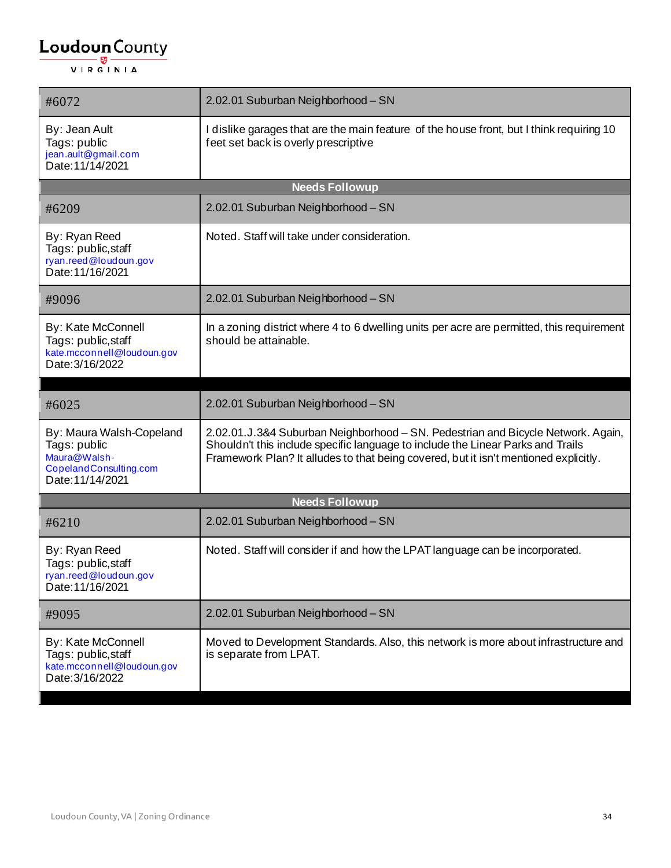| #6072                                                                                                  | 2.02.01 Suburban Neighborhood - SN                                                                                                                                                                                                                          |  |
|--------------------------------------------------------------------------------------------------------|-------------------------------------------------------------------------------------------------------------------------------------------------------------------------------------------------------------------------------------------------------------|--|
| By: Jean Ault<br>Tags: public<br>jean.ault@gmail.com<br>Date: 11/14/2021                               | I dislike garages that are the main feature of the house front, but I think requiring 10<br>feet set back is overly prescriptive                                                                                                                            |  |
|                                                                                                        | <b>Needs Followup</b>                                                                                                                                                                                                                                       |  |
| #6209                                                                                                  | 2.02.01 Suburban Neighborhood - SN                                                                                                                                                                                                                          |  |
| By: Ryan Reed<br>Tags: public, staff<br>ryan.reed@loudoun.gov<br>Date: 11/16/2021                      | Noted. Staff will take under consideration.                                                                                                                                                                                                                 |  |
| #9096                                                                                                  | 2.02.01 Suburban Neighborhood - SN                                                                                                                                                                                                                          |  |
| By: Kate McConnell<br>Tags: public, staff<br>kate.mcconnell@loudoun.gov<br>Date: 3/16/2022             | In a zoning district where 4 to 6 dwelling units per acre are permitted, this requirement<br>should be attainable.                                                                                                                                          |  |
|                                                                                                        |                                                                                                                                                                                                                                                             |  |
| #6025                                                                                                  | 2.02.01 Suburban Neighborhood - SN                                                                                                                                                                                                                          |  |
| By: Maura Walsh-Copeland<br>Tags: public<br>Maura@Walsh-<br>CopelandConsulting.com<br>Date: 11/14/2021 | 2.02.01.J.3&4 Suburban Neighborhood - SN. Pedestrian and Bicycle Network. Again,<br>Shouldn't this include specific language to include the Linear Parks and Trails<br>Framework Plan? It alludes to that being covered, but it isn't mentioned explicitly. |  |
| <b>Needs Followup</b>                                                                                  |                                                                                                                                                                                                                                                             |  |
| #6210                                                                                                  | 2.02.01 Suburban Neighborhood - SN                                                                                                                                                                                                                          |  |
| By: Ryan Reed<br>Tags: public, staff<br>ryan.reed@loudoun.gov<br>Date: 11/16/2021                      | Noted. Staff will consider if and how the LPAT language can be incorporated.                                                                                                                                                                                |  |
| #9095                                                                                                  | 2.02.01 Suburban Neighborhood - SN                                                                                                                                                                                                                          |  |
| By: Kate McConnell<br>Tags: public, staff<br>kate.mcconnell@loudoun.gov<br>Date: 3/16/2022             | Moved to Development Standards. Also, this network is more about infrastructure and<br>is separate from LPAT.                                                                                                                                               |  |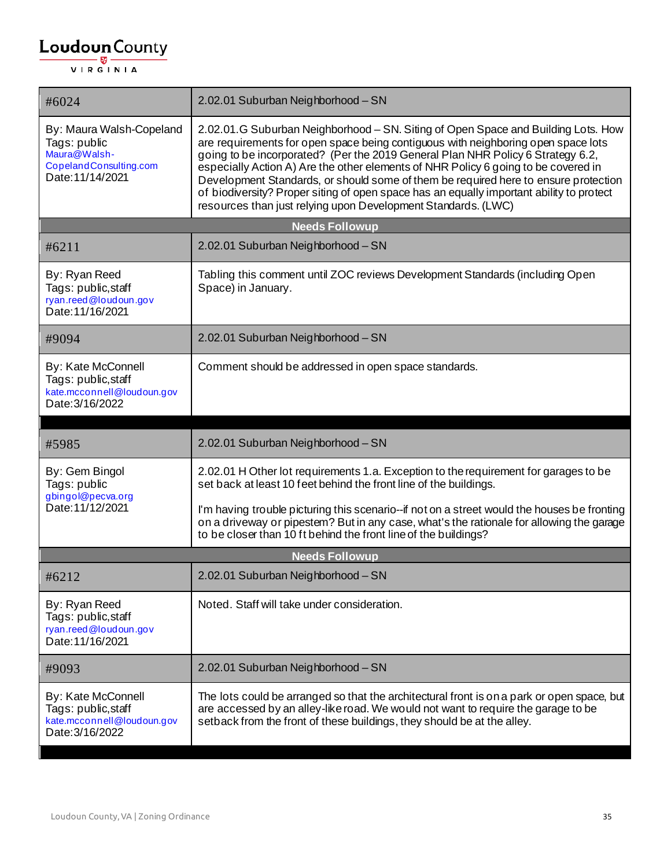| #6024                                                                                                  | 2.02.01 Suburban Neighborhood - SN                                                                                                                                                                                                                                                                                                                                                                                                                                                                                                                                                                  |
|--------------------------------------------------------------------------------------------------------|-----------------------------------------------------------------------------------------------------------------------------------------------------------------------------------------------------------------------------------------------------------------------------------------------------------------------------------------------------------------------------------------------------------------------------------------------------------------------------------------------------------------------------------------------------------------------------------------------------|
| By: Maura Walsh-Copeland<br>Tags: public<br>Maura@Walsh-<br>CopelandConsulting.com<br>Date: 11/14/2021 | 2.02.01.G Suburban Neighborhood - SN. Siting of Open Space and Building Lots. How<br>are requirements for open space being contiguous with neighboring open space lots<br>going to be incorporated? (Per the 2019 General Plan NHR Policy 6 Strategy 6.2,<br>especially Action A) Are the other elements of NHR Policy 6 going to be covered in<br>Development Standards, or should some of them be required here to ensure protection<br>of biodiversity? Proper siting of open space has an equally important ability to protect<br>resources than just relying upon Development Standards. (LWC) |
|                                                                                                        | <b>Needs Followup</b>                                                                                                                                                                                                                                                                                                                                                                                                                                                                                                                                                                               |
| #6211                                                                                                  | 2.02.01 Suburban Neighborhood - SN                                                                                                                                                                                                                                                                                                                                                                                                                                                                                                                                                                  |
| By: Ryan Reed<br>Tags: public, staff<br>ryan.reed@loudoun.gov<br>Date: 11/16/2021                      | Tabling this comment until ZOC reviews Development Standards (including Open<br>Space) in January.                                                                                                                                                                                                                                                                                                                                                                                                                                                                                                  |
| #9094                                                                                                  | 2.02.01 Suburban Neighborhood - SN                                                                                                                                                                                                                                                                                                                                                                                                                                                                                                                                                                  |
| <b>By: Kate McConnell</b><br>Tags: public, staff<br>kate.mcconnell@loudoun.gov<br>Date: 3/16/2022      | Comment should be addressed in open space standards.                                                                                                                                                                                                                                                                                                                                                                                                                                                                                                                                                |
|                                                                                                        |                                                                                                                                                                                                                                                                                                                                                                                                                                                                                                                                                                                                     |
|                                                                                                        |                                                                                                                                                                                                                                                                                                                                                                                                                                                                                                                                                                                                     |
| #5985                                                                                                  | 2.02.01 Suburban Neighborhood - SN                                                                                                                                                                                                                                                                                                                                                                                                                                                                                                                                                                  |
| By: Gem Bingol<br>Tags: public                                                                         | 2.02.01 H Other lot requirements 1.a. Exception to the requirement for garages to be<br>set back at least 10 feet behind the front line of the buildings.                                                                                                                                                                                                                                                                                                                                                                                                                                           |
| gbingol@pecva.org<br>Date: 11/12/2021                                                                  | I'm having trouble picturing this scenario--if not on a street would the houses be fronting<br>on a driveway or pipestem? But in any case, what's the rationale for allowing the garage<br>to be closer than 10 ft behind the front line of the buildings?                                                                                                                                                                                                                                                                                                                                          |
|                                                                                                        | <b>Needs Followup</b>                                                                                                                                                                                                                                                                                                                                                                                                                                                                                                                                                                               |
| #6212                                                                                                  | 2.02.01 Suburban Neighborhood - SN                                                                                                                                                                                                                                                                                                                                                                                                                                                                                                                                                                  |
| By: Ryan Reed<br>Tags: public, staff<br>ryan.reed@loudoun.gov<br>Date: 11/16/2021                      | Noted. Staff will take under consideration.                                                                                                                                                                                                                                                                                                                                                                                                                                                                                                                                                         |
| #9093                                                                                                  | 2.02.01 Suburban Neighborhood - SN                                                                                                                                                                                                                                                                                                                                                                                                                                                                                                                                                                  |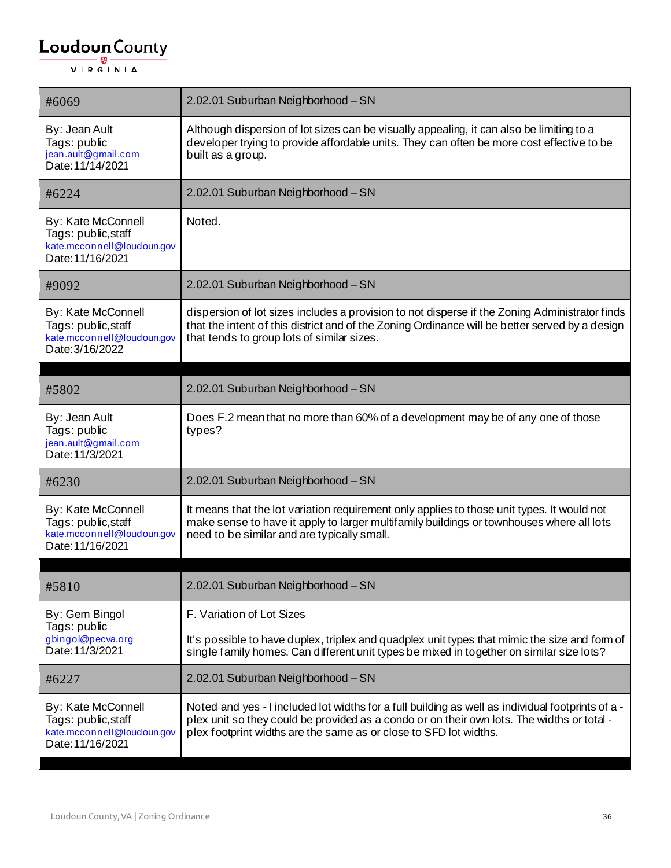| #6069                                                                                       | 2.02.01 Suburban Neighborhood - SN                                                                                                                                                                                                                                   |
|---------------------------------------------------------------------------------------------|----------------------------------------------------------------------------------------------------------------------------------------------------------------------------------------------------------------------------------------------------------------------|
| By: Jean Ault<br>Tags: public<br>jean.ault@gmail.com<br>Date: 11/14/2021                    | Although dispersion of lot sizes can be visually appealing, it can also be limiting to a<br>developer trying to provide affordable units. They can often be more cost effective to be<br>built as a group.                                                           |
| #6224                                                                                       | 2.02.01 Suburban Neighborhood - SN                                                                                                                                                                                                                                   |
| By: Kate McConnell<br>Tags: public, staff<br>kate.mcconnell@loudoun.gov<br>Date: 11/16/2021 | Noted.                                                                                                                                                                                                                                                               |
| #9092                                                                                       | 2.02.01 Suburban Neighborhood - SN                                                                                                                                                                                                                                   |
| By: Kate McConnell<br>Tags: public, staff<br>kate.mcconnell@loudoun.gov<br>Date: 3/16/2022  | dispersion of lot sizes includes a provision to not disperse if the Zoning Administrator finds<br>that the intent of this district and of the Zoning Ordinance will be better served by a design<br>that tends to group lots of similar sizes.                       |
| #5802                                                                                       | 2.02.01 Suburban Neighborhood - SN                                                                                                                                                                                                                                   |
| By: Jean Ault<br>Tags: public<br>jean.ault@gmail.com<br>Date: 11/3/2021                     | Does F.2 mean that no more than 60% of a development may be of any one of those<br>types?                                                                                                                                                                            |
| #6230                                                                                       | 2.02.01 Suburban Neighborhood - SN                                                                                                                                                                                                                                   |
| By: Kate McConnell<br>Tags: public, staff<br>kate.mcconnell@loudoun.gov<br>Date: 11/16/2021 | It means that the lot variation requirement only applies to those unit types. It would not<br>make sense to have it apply to larger multifamily buildings or townhouses where all lots<br>need to be similar and are typically small.                                |
| #5810                                                                                       | 2.02.01 Suburban Neighborhood - SN                                                                                                                                                                                                                                   |
| By: Gem Bingol<br>Tags: public                                                              | F. Variation of Lot Sizes                                                                                                                                                                                                                                            |
| gbingol@pecva.org<br>Date: 11/3/2021                                                        | It's possible to have duplex, triplex and quadplex unit types that mimic the size and form of<br>single family homes. Can different unit types be mixed in together on similar size lots?                                                                            |
| #6227                                                                                       | 2.02.01 Suburban Neighborhood - SN                                                                                                                                                                                                                                   |
| By: Kate McConnell<br>Tags: public, staff<br>kate.mcconnell@loudoun.gov<br>Date: 11/16/2021 | Noted and yes - I included lot widths for a full building as well as individual footprints of a -<br>plex unit so they could be provided as a condo or on their own lots. The widths or total -<br>plex footprint widths are the same as or close to SFD lot widths. |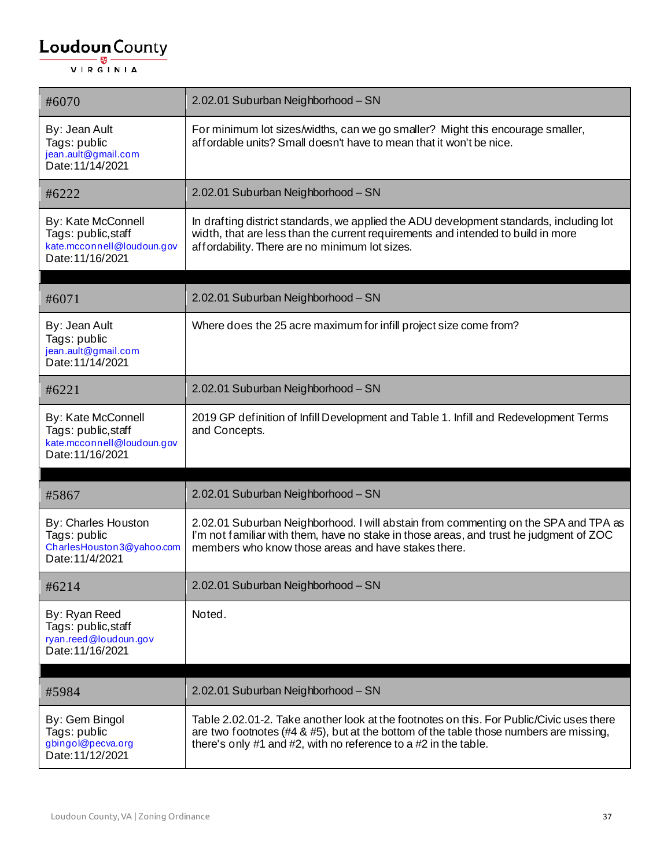| #6070                                                                                       | 2.02.01 Suburban Neighborhood - SN                                                                                                                                                                                                                       |
|---------------------------------------------------------------------------------------------|----------------------------------------------------------------------------------------------------------------------------------------------------------------------------------------------------------------------------------------------------------|
| By: Jean Ault<br>Tags: public<br>jean.ault@gmail.com<br>Date: 11/14/2021                    | For minimum lot sizes/widths, can we go smaller? Might this encourage smaller,<br>affordable units? Small doesn't have to mean that it won't be nice.                                                                                                    |
| #6222                                                                                       | 2.02.01 Suburban Neighborhood - SN                                                                                                                                                                                                                       |
| By: Kate McConnell<br>Tags: public, staff<br>kate.mcconnell@loudoun.gov<br>Date: 11/16/2021 | In drafting district standards, we applied the ADU development standards, including lot<br>width, that are less than the current requirements and intended to build in more<br>affordability. There are no minimum lot sizes.                            |
| #6071                                                                                       | 2.02.01 Suburban Neighborhood - SN                                                                                                                                                                                                                       |
| By: Jean Ault<br>Tags: public<br>jean.ault@gmail.com<br>Date: 11/14/2021                    | Where does the 25 acre maximum for infill project size come from?                                                                                                                                                                                        |
| #6221                                                                                       | 2.02.01 Suburban Neighborhood - SN                                                                                                                                                                                                                       |
| By: Kate McConnell<br>Tags: public, staff<br>kate.mcconnell@loudoun.gov<br>Date: 11/16/2021 | 2019 GP definition of Infill Development and Table 1. Infill and Redevelopment Terms<br>and Concepts.                                                                                                                                                    |
| #5867                                                                                       | 2.02.01 Suburban Neighborhood - SN                                                                                                                                                                                                                       |
|                                                                                             |                                                                                                                                                                                                                                                          |
| By: Charles Houston<br>Tags: public<br>CharlesHouston3@yahoo.com<br>Date: 11/4/2021         | 2.02.01 Suburban Neighborhood. I will abstain from commenting on the SPA and TPA as<br>I'm not familiar with them, have no stake in those areas, and trust he judgment of ZOC<br>members who know those areas and have stakes there.                     |
| #6214                                                                                       | 2.02.01 Suburban Neighborhood - SN                                                                                                                                                                                                                       |
| By: Ryan Reed<br>Tags: public, staff<br>ryan.reed@loudoun.gov<br>Date: 11/16/2021           | Noted.                                                                                                                                                                                                                                                   |
|                                                                                             |                                                                                                                                                                                                                                                          |
| #5984                                                                                       | 2.02.01 Suburban Neighborhood - SN                                                                                                                                                                                                                       |
| By: Gem Bingol<br>Tags: public<br>gbingol@pecva.org<br>Date: 11/12/2021                     | Table 2.02.01-2. Take another look at the footnotes on this. For Public/Civic uses there<br>are two footnotes (#4 $\&$ #5), but at the bottom of the table those numbers are missing,<br>there's only #1 and #2, with no reference to a #2 in the table. |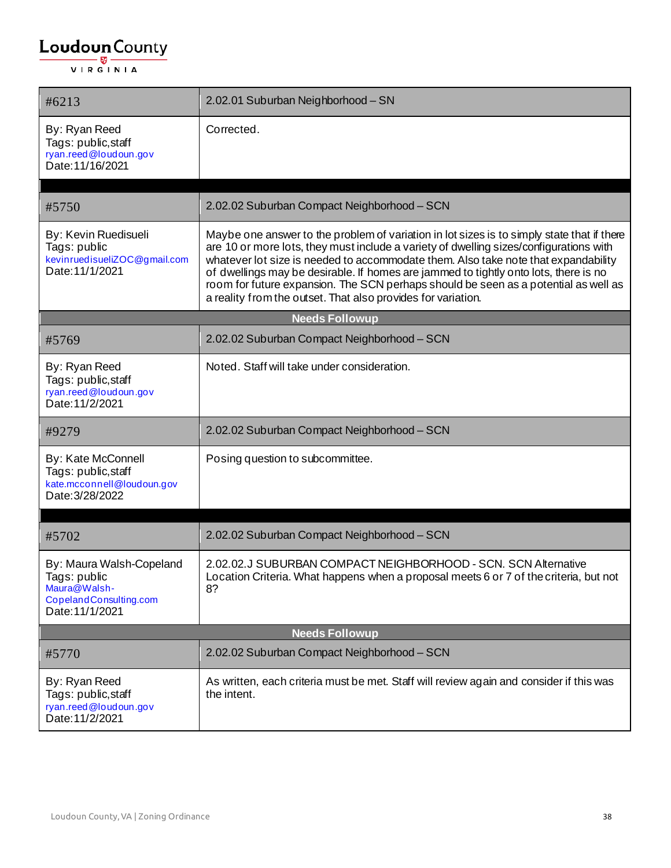| #6213                                                                                                 | 2.02.01 Suburban Neighborhood - SN                                                                                                                                                                                                                                                                                                                                                                                                                                                                                        |
|-------------------------------------------------------------------------------------------------------|---------------------------------------------------------------------------------------------------------------------------------------------------------------------------------------------------------------------------------------------------------------------------------------------------------------------------------------------------------------------------------------------------------------------------------------------------------------------------------------------------------------------------|
| By: Ryan Reed<br>Tags: public, staff<br>ryan.reed@loudoun.gov<br>Date: 11/16/2021                     | Corrected.                                                                                                                                                                                                                                                                                                                                                                                                                                                                                                                |
| #5750                                                                                                 | 2.02.02 Suburban Compact Neighborhood - SCN                                                                                                                                                                                                                                                                                                                                                                                                                                                                               |
| By: Kevin Ruedisueli<br>Tags: public<br>kevinruedisueliZOC@gmail.com<br>Date: 11/1/2021               | Maybe one answer to the problem of variation in lot sizes is to simply state that if there<br>are 10 or more lots, they must include a variety of dwelling sizes/configurations with<br>whatever lot size is needed to accommodate them. Also take note that expandability<br>of dwellings may be desirable. If homes are jammed to tightly onto lots, there is no<br>room for future expansion. The SCN perhaps should be seen as a potential as well as<br>a reality from the outset. That also provides for variation. |
|                                                                                                       | <b>Needs Followup</b>                                                                                                                                                                                                                                                                                                                                                                                                                                                                                                     |
| #5769                                                                                                 | 2.02.02 Suburban Compact Neighborhood - SCN                                                                                                                                                                                                                                                                                                                                                                                                                                                                               |
| By: Ryan Reed<br>Tags: public, staff<br>ryan.reed@loudoun.gov<br>Date: 11/2/2021                      | Noted. Staff will take under consideration.                                                                                                                                                                                                                                                                                                                                                                                                                                                                               |
| #9279                                                                                                 | 2.02.02 Suburban Compact Neighborhood - SCN                                                                                                                                                                                                                                                                                                                                                                                                                                                                               |
| By: Kate McConnell<br>Tags: public, staff<br>kate.mcconnell@loudoun.gov<br>Date: 3/28/2022            | Posing question to subcommittee.                                                                                                                                                                                                                                                                                                                                                                                                                                                                                          |
| #5702                                                                                                 | 2.02.02 Suburban Compact Neighborhood - SCN                                                                                                                                                                                                                                                                                                                                                                                                                                                                               |
| By: Maura Walsh-Copeland<br>Tags: public<br>Maura@Walsh-<br>CopelandConsulting.com<br>Date: 11/1/2021 | 2.02.02.J SUBURBAN COMPACT NEIGHBORHOOD - SCN. SCN Alternative<br>Location Criteria. What happens when a proposal meets 6 or 7 of the criteria, but not<br>8?                                                                                                                                                                                                                                                                                                                                                             |
|                                                                                                       | <b>Needs Followup</b>                                                                                                                                                                                                                                                                                                                                                                                                                                                                                                     |
| #5770                                                                                                 | 2.02.02 Suburban Compact Neighborhood - SCN                                                                                                                                                                                                                                                                                                                                                                                                                                                                               |
| By: Ryan Reed<br>Tags: public,staff<br>ryan.reed@loudoun.gov<br>Date: 11/2/2021                       | As written, each criteria must be met. Staff will review again and consider if this was<br>the intent.                                                                                                                                                                                                                                                                                                                                                                                                                    |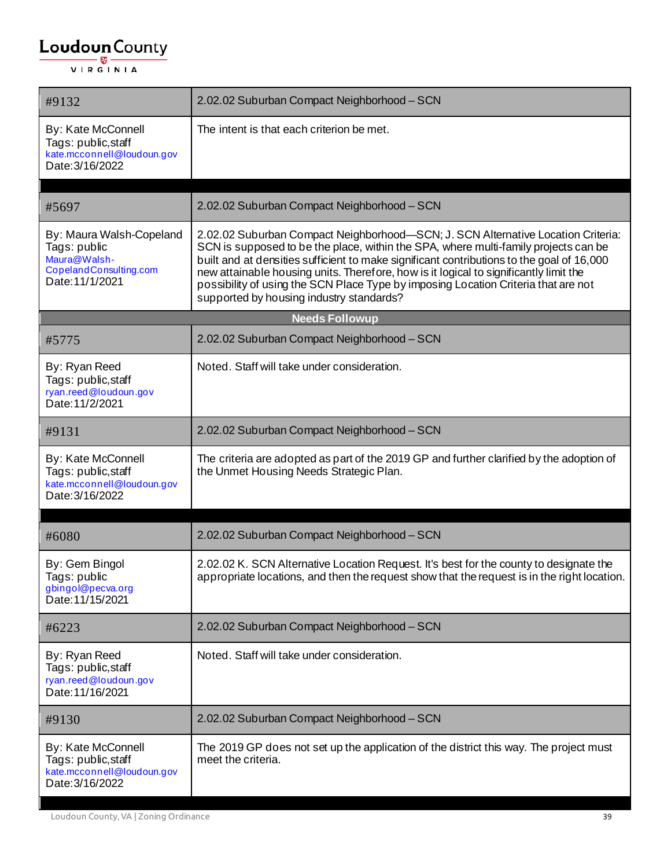| #9132                                                                                                 | 2.02.02 Suburban Compact Neighborhood - SCN                                                                                                                                                                                                                                                                                                                                                                                                                                                     |
|-------------------------------------------------------------------------------------------------------|-------------------------------------------------------------------------------------------------------------------------------------------------------------------------------------------------------------------------------------------------------------------------------------------------------------------------------------------------------------------------------------------------------------------------------------------------------------------------------------------------|
| By: Kate McConnell<br>Tags: public, staff<br>kate.mcconnell@loudoun.gov<br>Date: 3/16/2022            | The intent is that each criterion be met.                                                                                                                                                                                                                                                                                                                                                                                                                                                       |
| #5697                                                                                                 | 2.02.02 Suburban Compact Neighborhood - SCN                                                                                                                                                                                                                                                                                                                                                                                                                                                     |
| By: Maura Walsh-Copeland<br>Tags: public<br>Maura@Walsh-<br>CopelandConsulting.com<br>Date: 11/1/2021 | 2.02.02 Suburban Compact Neighborhood-SCN; J. SCN Alternative Location Criteria:<br>SCN is supposed to be the place, within the SPA, where multi-family projects can be<br>built and at densities sufficient to make significant contributions to the goal of 16,000<br>new attainable housing units. Therefore, how is it logical to significantly limit the<br>possibility of using the SCN Place Type by imposing Location Criteria that are not<br>supported by housing industry standards? |
|                                                                                                       | <b>Needs Followup</b>                                                                                                                                                                                                                                                                                                                                                                                                                                                                           |
| #5775                                                                                                 | 2.02.02 Suburban Compact Neighborhood - SCN                                                                                                                                                                                                                                                                                                                                                                                                                                                     |
| By: Ryan Reed<br>Tags: public, staff<br>ryan.reed@loudoun.gov<br>Date: 11/2/2021                      | Noted. Staff will take under consideration.                                                                                                                                                                                                                                                                                                                                                                                                                                                     |
| #9131                                                                                                 | 2.02.02 Suburban Compact Neighborhood - SCN                                                                                                                                                                                                                                                                                                                                                                                                                                                     |
| By: Kate McConnell<br>Tags: public, staff<br>kate.mcconnell@loudoun.gov<br>Date: 3/16/2022            | The criteria are adopted as part of the 2019 GP and further clarified by the adoption of<br>the Unmet Housing Needs Strategic Plan.                                                                                                                                                                                                                                                                                                                                                             |
|                                                                                                       |                                                                                                                                                                                                                                                                                                                                                                                                                                                                                                 |
| #6080                                                                                                 | 2.02.02 Suburban Compact Neighborhood - SCN                                                                                                                                                                                                                                                                                                                                                                                                                                                     |
| By: Gem Bingol<br>Tags: public<br>gbingol@pecva.org<br>Date: 11/15/2021                               | 2.02.02 K. SCN Alternative Location Request. It's best for the county to designate the<br>appropriate locations, and then the request show that the request is in the right location.                                                                                                                                                                                                                                                                                                           |
| #6223                                                                                                 | 2.02.02 Suburban Compact Neighborhood - SCN                                                                                                                                                                                                                                                                                                                                                                                                                                                     |
| By: Ryan Reed<br>Tags: public, staff<br>ryan.reed@loudoun.gov<br>Date: 11/16/2021                     | Noted. Staff will take under consideration.                                                                                                                                                                                                                                                                                                                                                                                                                                                     |
| #9130                                                                                                 | 2.02.02 Suburban Compact Neighborhood - SCN                                                                                                                                                                                                                                                                                                                                                                                                                                                     |
| By: Kate McConnell<br>Tags: public, staff<br>kate.mcconnell@loudoun.gov<br>Date: 3/16/2022            | The 2019 GP does not set up the application of the district this way. The project must<br>meet the criteria.                                                                                                                                                                                                                                                                                                                                                                                    |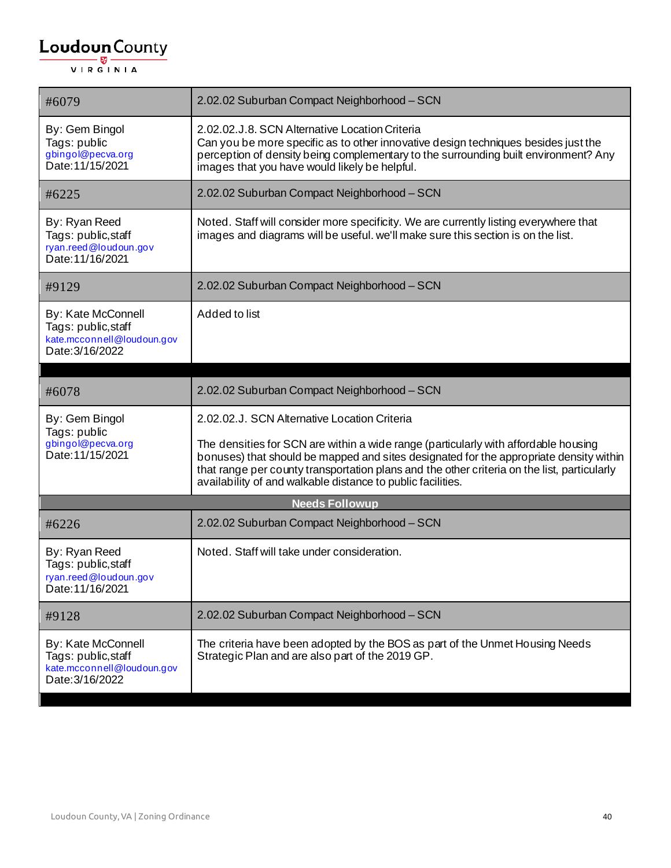| #6079                                                                                      | 2.02.02 Suburban Compact Neighborhood - SCN                                                                                                                                                                                                                                                                                                 |
|--------------------------------------------------------------------------------------------|---------------------------------------------------------------------------------------------------------------------------------------------------------------------------------------------------------------------------------------------------------------------------------------------------------------------------------------------|
| By: Gem Bingol<br>Tags: public<br>gbingol@pecva.org<br>Date: 11/15/2021                    | 2.02.02.J.8. SCN Alternative Location Criteria<br>Can you be more specific as to other innovative design techniques besides just the<br>perception of density being complementary to the surrounding built environment? Any<br>images that you have would likely be helpful.                                                                |
| #6225                                                                                      | 2.02.02 Suburban Compact Neighborhood - SCN                                                                                                                                                                                                                                                                                                 |
| By: Ryan Reed<br>Tags: public, staff<br>ryan.reed@loudoun.gov<br>Date: 11/16/2021          | Noted. Staff will consider more specificity. We are currently listing everywhere that<br>images and diagrams will be useful. we'll make sure this section is on the list.                                                                                                                                                                   |
| #9129                                                                                      | 2.02.02 Suburban Compact Neighborhood - SCN                                                                                                                                                                                                                                                                                                 |
| By: Kate McConnell<br>Tags: public, staff<br>kate.mcconnell@loudoun.gov<br>Date: 3/16/2022 | Added to list                                                                                                                                                                                                                                                                                                                               |
|                                                                                            |                                                                                                                                                                                                                                                                                                                                             |
| #6078                                                                                      | 2.02.02 Suburban Compact Neighborhood - SCN                                                                                                                                                                                                                                                                                                 |
| By: Gem Bingol<br>Tags: public                                                             | 2.02.02.J. SCN Alternative Location Criteria                                                                                                                                                                                                                                                                                                |
| gbingol@pecva.org<br>Date: 11/15/2021                                                      | The densities for SCN are within a wide range (particularly with affordable housing<br>bonuses) that should be mapped and sites designated for the appropriate density within<br>that range per county transportation plans and the other criteria on the list, particularly<br>availability of and walkable distance to public facilities. |
|                                                                                            | <b>Needs Followup</b>                                                                                                                                                                                                                                                                                                                       |
| #6226                                                                                      | 2.02.02 Suburban Compact Neighborhood - SCN                                                                                                                                                                                                                                                                                                 |
| By: Ryan Reed<br>Tags: public, staff<br>ryan.reed@loudoun.gov<br>Date: 11/16/2021          | Noted. Staff will take under consideration.                                                                                                                                                                                                                                                                                                 |
| #9128                                                                                      | 2.02.02 Suburban Compact Neighborhood - SCN                                                                                                                                                                                                                                                                                                 |
| By: Kate McConnell<br>Tags: public, staff<br>kate.mcconnell@loudoun.gov<br>Date: 3/16/2022 | The criteria have been adopted by the BOS as part of the Unmet Housing Needs<br>Strategic Plan and are also part of the 2019 GP.                                                                                                                                                                                                            |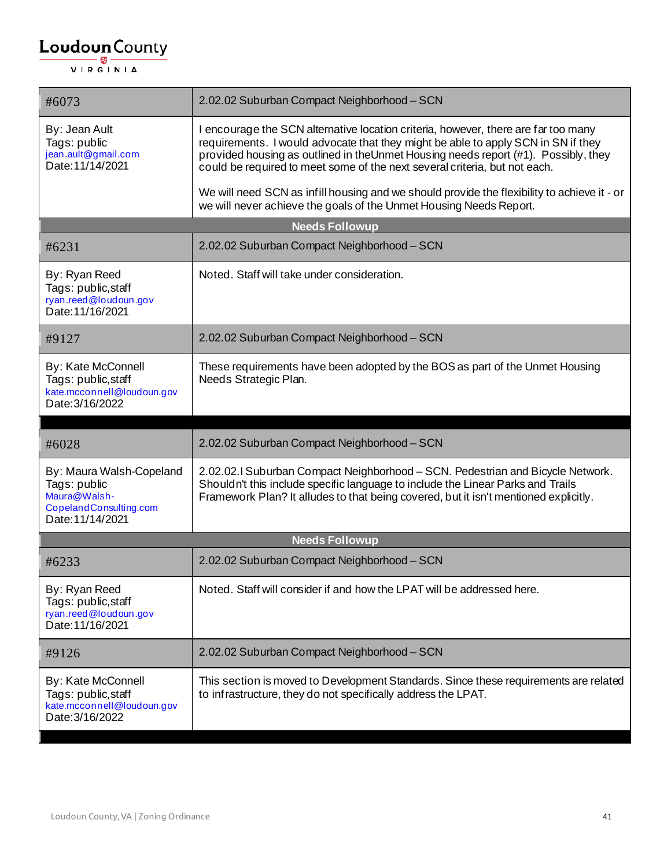| I encourage the SCN alternative location criteria, however, there are far too many<br>requirements. I would advocate that they might be able to apply SCN in SN if they<br>provided housing as outlined in the Unmet Housing needs report (#1). Possibly, they<br>could be required to meet some of the next several criteria, but not each. |
|----------------------------------------------------------------------------------------------------------------------------------------------------------------------------------------------------------------------------------------------------------------------------------------------------------------------------------------------|
| We will need SCN as infill housing and we should provide the flexibility to achieve it - or<br>we will never achieve the goals of the Unmet Housing Needs Report.                                                                                                                                                                            |
| <b>Needs Followup</b>                                                                                                                                                                                                                                                                                                                        |
| 2.02.02 Suburban Compact Neighborhood - SCN                                                                                                                                                                                                                                                                                                  |
| Noted. Staff will take under consideration.                                                                                                                                                                                                                                                                                                  |
| 2.02.02 Suburban Compact Neighborhood - SCN                                                                                                                                                                                                                                                                                                  |
| These requirements have been adopted by the BOS as part of the Unmet Housing<br>Needs Strategic Plan.                                                                                                                                                                                                                                        |
| 2.02.02 Suburban Compact Neighborhood - SCN                                                                                                                                                                                                                                                                                                  |
| 2.02.02.1 Suburban Compact Neighborhood - SCN. Pedestrian and Bicycle Network.<br>Shouldn't this include specific language to include the Linear Parks and Trails<br>Framework Plan? It alludes to that being covered, but it isn't mentioned explicitly.                                                                                    |
| <b>Needs Followup</b>                                                                                                                                                                                                                                                                                                                        |
| 2.02.02 Suburban Compact Neighborhood - SCN                                                                                                                                                                                                                                                                                                  |
| Noted. Staff will consider if and how the LPAT will be addressed here.                                                                                                                                                                                                                                                                       |
| 2.02.02 Suburban Compact Neighborhood - SCN                                                                                                                                                                                                                                                                                                  |
| This section is moved to Development Standards. Since these requirements are related<br>to infrastructure, they do not specifically address the LPAT.                                                                                                                                                                                        |
|                                                                                                                                                                                                                                                                                                                                              |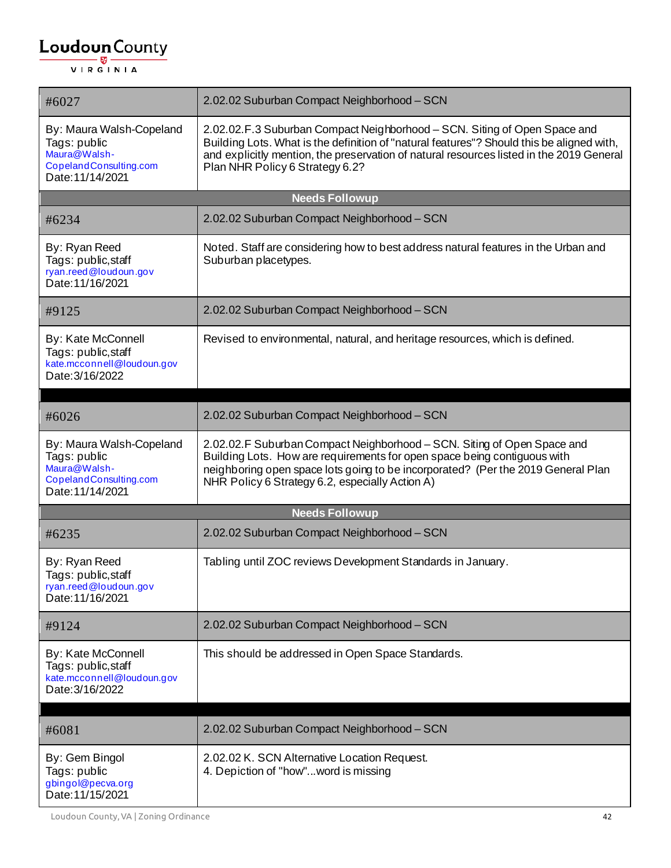| #6027                                                                                                  | 2.02.02 Suburban Compact Neighborhood - SCN                                                                                                                                                                                                                                                           |  |
|--------------------------------------------------------------------------------------------------------|-------------------------------------------------------------------------------------------------------------------------------------------------------------------------------------------------------------------------------------------------------------------------------------------------------|--|
| By: Maura Walsh-Copeland<br>Tags: public<br>Maura@Walsh-<br>CopelandConsulting.com<br>Date: 11/14/2021 | 2.02.02.F.3 Suburban Compact Neighborhood - SCN. Siting of Open Space and<br>Building Lots. What is the definition of "natural features"? Should this be aligned with,<br>and explicitly mention, the preservation of natural resources listed in the 2019 General<br>Plan NHR Policy 6 Strategy 6.2? |  |
|                                                                                                        | <b>Needs Followup</b>                                                                                                                                                                                                                                                                                 |  |
| #6234                                                                                                  | 2.02.02 Suburban Compact Neighborhood - SCN                                                                                                                                                                                                                                                           |  |
| By: Ryan Reed<br>Tags: public,staff<br>ryan.reed@loudoun.gov<br>Date: 11/16/2021                       | Noted. Staff are considering how to best address natural features in the Urban and<br>Suburban placetypes.                                                                                                                                                                                            |  |
| #9125                                                                                                  | 2.02.02 Suburban Compact Neighborhood - SCN                                                                                                                                                                                                                                                           |  |
| By: Kate McConnell<br>Tags: public, staff<br>kate.mcconnell@loudoun.gov<br>Date: 3/16/2022             | Revised to environmental, natural, and heritage resources, which is defined.                                                                                                                                                                                                                          |  |
| #6026                                                                                                  | 2.02.02 Suburban Compact Neighborhood - SCN                                                                                                                                                                                                                                                           |  |
| By: Maura Walsh-Copeland<br>Tags: public<br>Maura@Walsh-<br>CopelandConsulting.com<br>Date: 11/14/2021 | 2.02.02.F Suburban Compact Neighborhood - SCN. Siting of Open Space and<br>Building Lots. How are requirements for open space being contiguous with<br>neighboring open space lots going to be incorporated? (Per the 2019 General Plan<br>NHR Policy 6 Strategy 6.2, especially Action A)            |  |
| <b>Needs Followup</b>                                                                                  |                                                                                                                                                                                                                                                                                                       |  |
| #6235                                                                                                  | 2.02.02 Suburban Compact Neighborhood - SCN                                                                                                                                                                                                                                                           |  |
| By: Ryan Reed<br>Tags: public, staff<br>ryan.reed@loudoun.gov<br>Date: 11/16/2021                      | Tabling until ZOC reviews Development Standards in January.                                                                                                                                                                                                                                           |  |
| #9124                                                                                                  | 2.02.02 Suburban Compact Neighborhood - SCN                                                                                                                                                                                                                                                           |  |
| By: Kate McConnell<br>Tags: public, staff<br>kate.mcconnell@loudoun.gov<br>Date: 3/16/2022             | This should be addressed in Open Space Standards.                                                                                                                                                                                                                                                     |  |
| #6081                                                                                                  | 2.02.02 Suburban Compact Neighborhood - SCN                                                                                                                                                                                                                                                           |  |
| By: Gem Bingol<br>Tags: public<br>gbingol@pecva.org<br>Date: 11/15/2021                                | 2.02.02 K. SCN Alternative Location Request.<br>4. Depiction of "how"word is missing                                                                                                                                                                                                                  |  |

Loudoun County, VA | Zoning Ordinance 42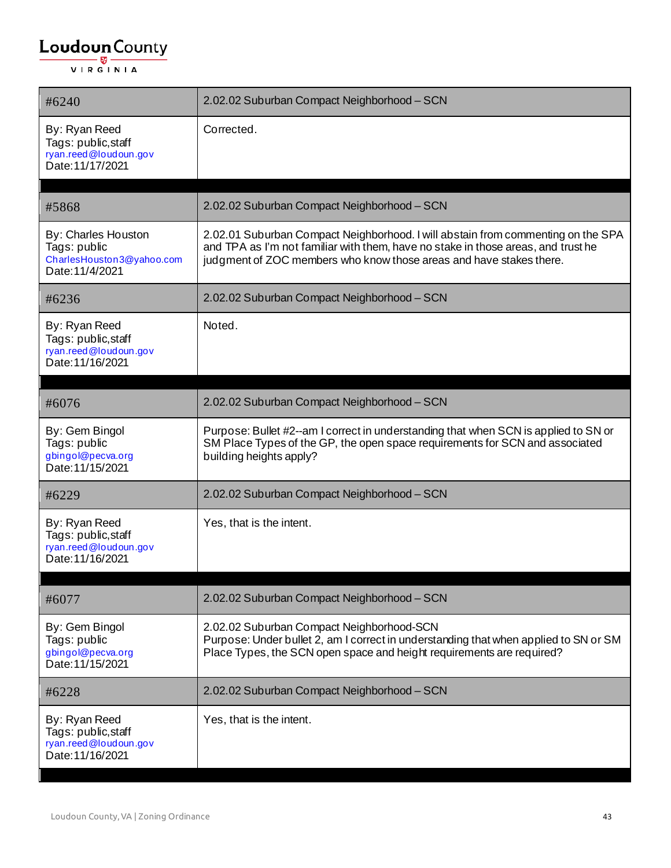| #6240                                                                                      | 2.02.02 Suburban Compact Neighborhood - SCN                                                                                                                                                                                                  |
|--------------------------------------------------------------------------------------------|----------------------------------------------------------------------------------------------------------------------------------------------------------------------------------------------------------------------------------------------|
| By: Ryan Reed<br>Tags: public, staff<br>ryan.reed@loudoun.gov<br>Date: 11/17/2021          | Corrected.                                                                                                                                                                                                                                   |
| #5868                                                                                      | 2.02.02 Suburban Compact Neighborhood - SCN                                                                                                                                                                                                  |
| <b>By: Charles Houston</b><br>Tags: public<br>CharlesHouston3@yahoo.com<br>Date: 11/4/2021 | 2.02.01 Suburban Compact Neighborhood. I will abstain from commenting on the SPA<br>and TPA as I'm not familiar with them, have no stake in those areas, and trust he<br>judgment of ZOC members who know those areas and have stakes there. |
| #6236                                                                                      | 2.02.02 Suburban Compact Neighborhood - SCN                                                                                                                                                                                                  |
| By: Ryan Reed<br>Tags: public, staff<br>ryan.reed@loudoun.gov<br>Date: 11/16/2021          | Noted.                                                                                                                                                                                                                                       |
| #6076                                                                                      | 2.02.02 Suburban Compact Neighborhood - SCN                                                                                                                                                                                                  |
| By: Gem Bingol<br>Tags: public<br>gbingol@pecva.org<br>Date: 11/15/2021                    | Purpose: Bullet #2--am I correct in understanding that when SCN is applied to SN or<br>SM Place Types of the GP, the open space requirements for SCN and associated<br>building heights apply?                                               |
| #6229                                                                                      | 2.02.02 Suburban Compact Neighborhood - SCN                                                                                                                                                                                                  |
| By: Ryan Reed<br>Tags: public, staff<br>ryan.reed@loudoun.gov<br>Date: 11/16/2021          | Yes, that is the intent.                                                                                                                                                                                                                     |
| #6077                                                                                      | 2.02.02 Suburban Compact Neighborhood - SCN                                                                                                                                                                                                  |
| By: Gem Bingol<br>Tags: public<br>gbingol@pecva.org<br>Date: 11/15/2021                    | 2.02.02 Suburban Compact Neighborhood-SCN<br>Purpose: Under bullet 2, am I correct in understanding that when applied to SN or SM<br>Place Types, the SCN open space and height requirements are required?                                   |
| #6228                                                                                      | 2.02.02 Suburban Compact Neighborhood - SCN                                                                                                                                                                                                  |
| By: Ryan Reed<br>Tags: public, staff<br>ryan.reed@loudoun.gov<br>Date: 11/16/2021          | Yes, that is the intent.                                                                                                                                                                                                                     |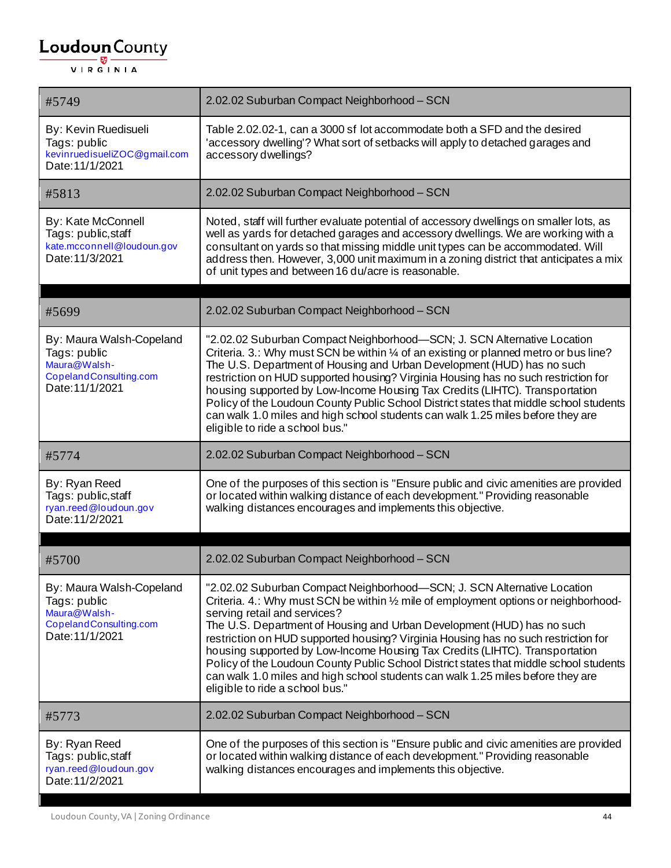| #5749                                                                                                 | 2.02.02 Suburban Compact Neighborhood - SCN                                                                                                                                                                                                                                                                                                                                                                                                                                                                                                                                                                                                                    |
|-------------------------------------------------------------------------------------------------------|----------------------------------------------------------------------------------------------------------------------------------------------------------------------------------------------------------------------------------------------------------------------------------------------------------------------------------------------------------------------------------------------------------------------------------------------------------------------------------------------------------------------------------------------------------------------------------------------------------------------------------------------------------------|
| By: Kevin Ruedisueli<br>Tags: public<br>kevinruedisueliZOC@gmail.com<br>Date: 11/1/2021               | Table 2.02.02-1, can a 3000 sf lot accommodate both a SFD and the desired<br>'accessory dwelling'? What sort of setbacks will apply to detached garages and<br>accessory dwellings?                                                                                                                                                                                                                                                                                                                                                                                                                                                                            |
| #5813                                                                                                 | 2.02.02 Suburban Compact Neighborhood - SCN                                                                                                                                                                                                                                                                                                                                                                                                                                                                                                                                                                                                                    |
| By: Kate McConnell<br>Tags: public, staff<br>kate.mcconnell@loudoun.gov<br>Date: 11/3/2021            | Noted, staff will further evaluate potential of accessory dwellings on smaller lots, as<br>well as yards for detached garages and accessory dwellings. We are working with a<br>consultant on yards so that missing middle unit types can be accommodated. Will<br>address then. However, 3,000 unit maximum in a zoning district that anticipates a mix<br>of unit types and between 16 du/acre is reasonable.                                                                                                                                                                                                                                                |
| #5699                                                                                                 | 2.02.02 Suburban Compact Neighborhood - SCN                                                                                                                                                                                                                                                                                                                                                                                                                                                                                                                                                                                                                    |
| By: Maura Walsh-Copeland<br>Tags: public<br>Maura@Walsh-<br>CopelandConsulting.com<br>Date: 11/1/2021 | "2.02.02 Suburban Compact Neighborhood-SCN; J. SCN Alternative Location<br>Criteria. 3.: Why must SCN be within 1/4 of an existing or planned metro or bus line?<br>The U.S. Department of Housing and Urban Development (HUD) has no such<br>restriction on HUD supported housing? Virginia Housing has no such restriction for<br>housing supported by Low-Income Housing Tax Credits (LIHTC). Transportation<br>Policy of the Loudoun County Public School District states that middle school students<br>can walk 1.0 miles and high school students can walk 1.25 miles before they are<br>eligible to ride a school bus."                                |
| #5774                                                                                                 | 2.02.02 Suburban Compact Neighborhood - SCN                                                                                                                                                                                                                                                                                                                                                                                                                                                                                                                                                                                                                    |
| By: Ryan Reed<br>Tags: public, staff<br>ryan.reed@loudoun.gov<br>Date: 11/2/2021                      | One of the purposes of this section is "Ensure public and civic amenities are provided<br>or located within walking distance of each development." Providing reasonable<br>walking distances encourages and implements this objective.                                                                                                                                                                                                                                                                                                                                                                                                                         |
| #5700                                                                                                 | 2.02.02 Suburban Compact Neighborhood - SCN                                                                                                                                                                                                                                                                                                                                                                                                                                                                                                                                                                                                                    |
| By: Maura Walsh-Copeland<br>Tags: public<br>Maura@Walsh-<br>CopelandConsulting.com<br>Date: 11/1/2021 | "2.02.02 Suburban Compact Neighborhood-SCN; J. SCN Alternative Location<br>Criteria. 4.: Why must SCN be within 1/2 mile of employment options or neighborhood-<br>serving retail and services?<br>The U.S. Department of Housing and Urban Development (HUD) has no such<br>restriction on HUD supported housing? Virginia Housing has no such restriction for<br>housing supported by Low-Income Housing Tax Credits (LIHTC). Transportation<br>Policy of the Loudoun County Public School District states that middle school students<br>can walk 1.0 miles and high school students can walk 1.25 miles before they are<br>eligible to ride a school bus." |
| #5773                                                                                                 | 2.02.02 Suburban Compact Neighborhood - SCN                                                                                                                                                                                                                                                                                                                                                                                                                                                                                                                                                                                                                    |
| By: Ryan Reed<br>Tags: public, staff<br>ryan.reed@loudoun.gov<br>Date: 11/2/2021                      | One of the purposes of this section is "Ensure public and civic amenities are provided<br>or located within walking distance of each development." Providing reasonable<br>walking distances encourages and implements this objective.                                                                                                                                                                                                                                                                                                                                                                                                                         |

Loudoun County, VA | Zoning Ordinance 44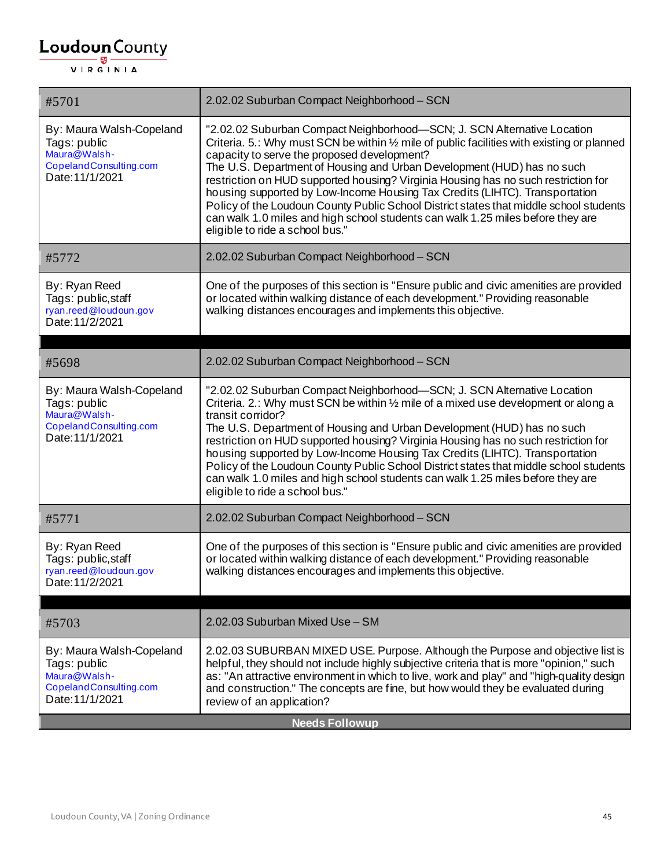| #5701                                                                                                 | 2.02.02 Suburban Compact Neighborhood - SCN                                                                                                                                                                                                                                                                                                                                                                                                                                                                                                                                                                                                                                          |
|-------------------------------------------------------------------------------------------------------|--------------------------------------------------------------------------------------------------------------------------------------------------------------------------------------------------------------------------------------------------------------------------------------------------------------------------------------------------------------------------------------------------------------------------------------------------------------------------------------------------------------------------------------------------------------------------------------------------------------------------------------------------------------------------------------|
| By: Maura Walsh-Copeland<br>Tags: public<br>Maura@Walsh-<br>CopelandConsulting.com<br>Date: 11/1/2021 | "2.02.02 Suburban Compact Neighborhood-SCN; J. SCN Alternative Location<br>Criteria. 5.: Why must SCN be within 1/2 mile of public facilities with existing or planned<br>capacity to serve the proposed development?<br>The U.S. Department of Housing and Urban Development (HUD) has no such<br>restriction on HUD supported housing? Virginia Housing has no such restriction for<br>housing supported by Low-Income Housing Tax Credits (LIHTC). Transportation<br>Policy of the Loudoun County Public School District states that middle school students<br>can walk 1.0 miles and high school students can walk 1.25 miles before they are<br>eligible to ride a school bus." |
| #5772                                                                                                 | 2.02.02 Suburban Compact Neighborhood - SCN                                                                                                                                                                                                                                                                                                                                                                                                                                                                                                                                                                                                                                          |
| By: Ryan Reed<br>Tags: public, staff<br>ryan.reed@loudoun.gov<br>Date: 11/2/2021                      | One of the purposes of this section is "Ensure public and civic amenities are provided<br>or located within walking distance of each development." Providing reasonable<br>walking distances encourages and implements this objective.                                                                                                                                                                                                                                                                                                                                                                                                                                               |
|                                                                                                       | 2.02.02 Suburban Compact Neighborhood - SCN                                                                                                                                                                                                                                                                                                                                                                                                                                                                                                                                                                                                                                          |
| #5698                                                                                                 |                                                                                                                                                                                                                                                                                                                                                                                                                                                                                                                                                                                                                                                                                      |
| By: Maura Walsh-Copeland<br>Tags: public<br>Maura@Walsh-<br>CopelandConsulting.com<br>Date: 11/1/2021 | "2.02.02 Suburban Compact Neighborhood-SCN; J. SCN Alternative Location<br>Criteria. 2.: Why must SCN be within 1/2 mile of a mixed use development or along a<br>transit corridor?<br>The U.S. Department of Housing and Urban Development (HUD) has no such<br>restriction on HUD supported housing? Virginia Housing has no such restriction for<br>housing supported by Low-Income Housing Tax Credits (LIHTC). Transportation<br>Policy of the Loudoun County Public School District states that middle school students<br>can walk 1.0 miles and high school students can walk 1.25 miles before they are<br>eligible to ride a school bus."                                   |
| #5771                                                                                                 | 2.02.02 Suburban Compact Neighborhood - SCN                                                                                                                                                                                                                                                                                                                                                                                                                                                                                                                                                                                                                                          |
| By: Ryan Reed<br>Tags: public, staff<br>ryan.reed@loudoun.gov<br>Date: 11/2/2021                      | One of the purposes of this section is "Ensure public and civic amenities are provided<br>or located within walking distance of each development." Providing reasonable<br>walking distances encourages and implements this objective.                                                                                                                                                                                                                                                                                                                                                                                                                                               |
|                                                                                                       | 2.02.03 Suburban Mixed Use - SM                                                                                                                                                                                                                                                                                                                                                                                                                                                                                                                                                                                                                                                      |
| #5703                                                                                                 |                                                                                                                                                                                                                                                                                                                                                                                                                                                                                                                                                                                                                                                                                      |
| By: Maura Walsh-Copeland<br>Tags: public<br>Maura@Walsh-<br>CopelandConsulting.com<br>Date: 11/1/2021 | 2.02.03 SUBURBAN MIXED USE. Purpose. Although the Purpose and objective list is<br>helpful, they should not include highly subjective criteria that is more "opinion," such<br>as: "An attractive environment in which to live, work and play" and "high-quality design<br>and construction." The concepts are fine, but how would they be evaluated during<br>review of an application?                                                                                                                                                                                                                                                                                             |
| <b>Needs Followup</b>                                                                                 |                                                                                                                                                                                                                                                                                                                                                                                                                                                                                                                                                                                                                                                                                      |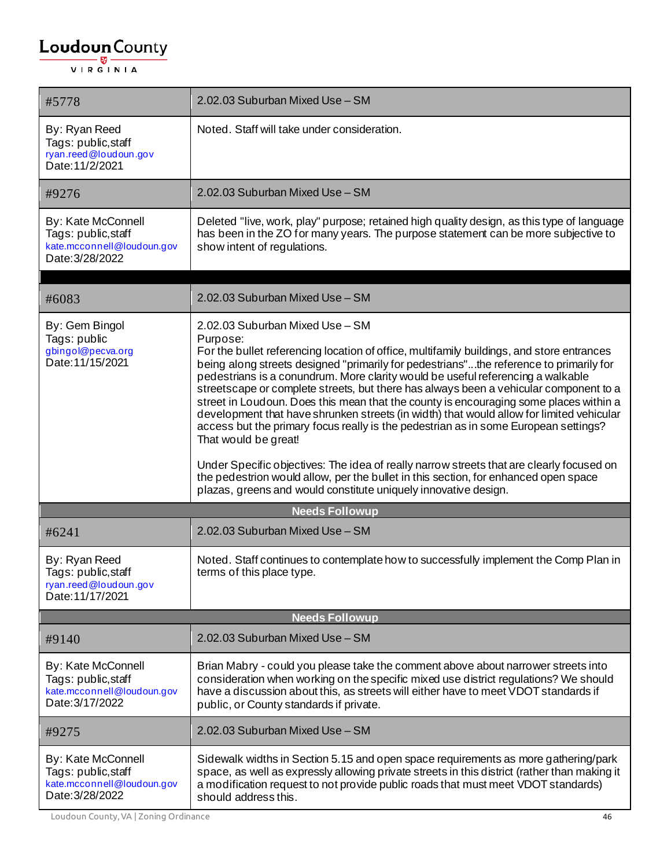| #5778                                                                                      | 2.02.03 Suburban Mixed Use - SM                                                                                                                                                                                                                                                                                                                                                                                                                                                                                                                                                                                                                                                                                                                                                                                                                                                                                                                                          |
|--------------------------------------------------------------------------------------------|--------------------------------------------------------------------------------------------------------------------------------------------------------------------------------------------------------------------------------------------------------------------------------------------------------------------------------------------------------------------------------------------------------------------------------------------------------------------------------------------------------------------------------------------------------------------------------------------------------------------------------------------------------------------------------------------------------------------------------------------------------------------------------------------------------------------------------------------------------------------------------------------------------------------------------------------------------------------------|
| By: Ryan Reed<br>Tags: public, staff<br>ryan.reed@loudoun.gov<br>Date: 11/2/2021           | Noted. Staff will take under consideration.                                                                                                                                                                                                                                                                                                                                                                                                                                                                                                                                                                                                                                                                                                                                                                                                                                                                                                                              |
| #9276                                                                                      | 2.02.03 Suburban Mixed Use - SM                                                                                                                                                                                                                                                                                                                                                                                                                                                                                                                                                                                                                                                                                                                                                                                                                                                                                                                                          |
| By: Kate McConnell<br>Tags: public, staff<br>kate.mcconnell@loudoun.gov<br>Date: 3/28/2022 | Deleted "live, work, play" purpose; retained high quality design, as this type of language<br>has been in the ZO for many years. The purpose statement can be more subjective to<br>show intent of regulations.                                                                                                                                                                                                                                                                                                                                                                                                                                                                                                                                                                                                                                                                                                                                                          |
| #6083                                                                                      | 2.02.03 Suburban Mixed Use - SM                                                                                                                                                                                                                                                                                                                                                                                                                                                                                                                                                                                                                                                                                                                                                                                                                                                                                                                                          |
| By: Gem Bingol<br>Tags: public<br>gbingol@pecva.org<br>Date: 11/15/2021                    | 2.02.03 Suburban Mixed Use - SM<br>Purpose:<br>For the bullet referencing location of office, multifamily buildings, and store entrances<br>being along streets designed "primarily for pedestrians"the reference to primarily for<br>pedestrians is a conundrum. More clarity would be useful referencing a walkable<br>streetscape or complete streets, but there has always been a vehicular component to a<br>street in Loudoun. Does this mean that the county is encouraging some places within a<br>development that have shrunken streets (in width) that would allow for limited vehicular<br>access but the primary focus really is the pedestrian as in some European settings?<br>That would be great!<br>Under Specific objectives: The idea of really narrow streets that are clearly focused on<br>the pedestrion would allow, per the bullet in this section, for enhanced open space<br>plazas, greens and would constitute uniquely innovative design. |
| <b>Needs Followup</b>                                                                      |                                                                                                                                                                                                                                                                                                                                                                                                                                                                                                                                                                                                                                                                                                                                                                                                                                                                                                                                                                          |
| #6241                                                                                      | 2.02.03 Suburban Mixed Use - SM                                                                                                                                                                                                                                                                                                                                                                                                                                                                                                                                                                                                                                                                                                                                                                                                                                                                                                                                          |
| By: Ryan Reed<br>Tags: public, staff<br>ryan.reed@loudoun.gov<br>Date: 11/17/2021          | Noted. Staff continues to contemplate how to successfully implement the Comp Plan in<br>terms of this place type.                                                                                                                                                                                                                                                                                                                                                                                                                                                                                                                                                                                                                                                                                                                                                                                                                                                        |
| <b>Needs Followup</b>                                                                      |                                                                                                                                                                                                                                                                                                                                                                                                                                                                                                                                                                                                                                                                                                                                                                                                                                                                                                                                                                          |
| #9140                                                                                      | 2.02.03 Suburban Mixed Use - SM                                                                                                                                                                                                                                                                                                                                                                                                                                                                                                                                                                                                                                                                                                                                                                                                                                                                                                                                          |
| By: Kate McConnell<br>Tags: public, staff<br>kate.mcconnell@loudoun.gov<br>Date: 3/17/2022 | Brian Mabry - could you please take the comment above about narrower streets into<br>consideration when working on the specific mixed use district regulations? We should<br>have a discussion about this, as streets will either have to meet VDOT standards if<br>public, or County standards if private.                                                                                                                                                                                                                                                                                                                                                                                                                                                                                                                                                                                                                                                              |
| #9275                                                                                      | 2.02.03 Suburban Mixed Use - SM                                                                                                                                                                                                                                                                                                                                                                                                                                                                                                                                                                                                                                                                                                                                                                                                                                                                                                                                          |
| By: Kate McConnell<br>Tags: public, staff<br>kate.mcconnell@loudoun.gov<br>Date: 3/28/2022 | Sidewalk widths in Section 5.15 and open space requirements as more gathering/park<br>space, as well as expressly allowing private streets in this district (rather than making it<br>a modification request to not provide public roads that must meet VDOT standards)<br>should address this.                                                                                                                                                                                                                                                                                                                                                                                                                                                                                                                                                                                                                                                                          |

Loudoun County, VA | Zoning Ordinance 46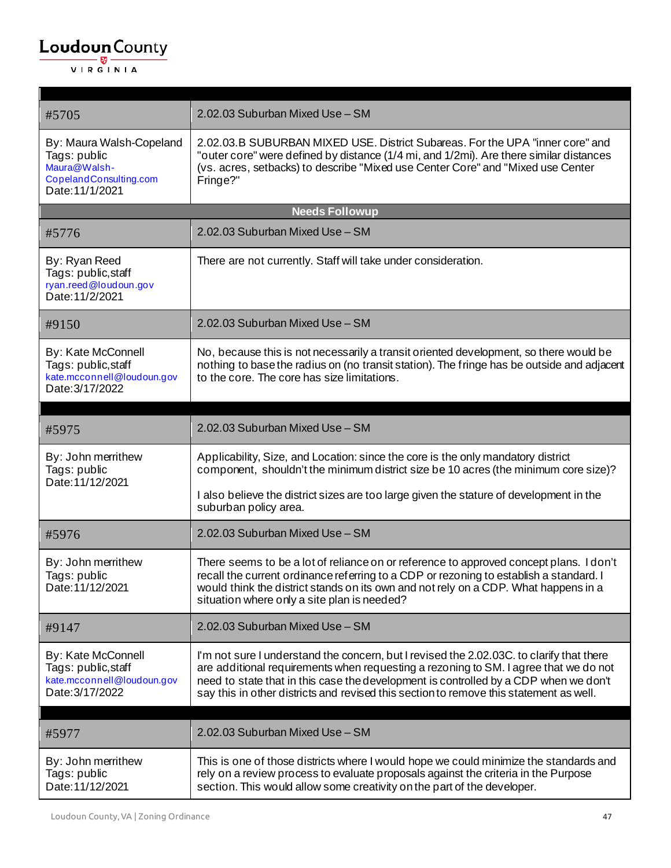r

| #5705                                                                                                 | 2.02.03 Suburban Mixed Use - SM                                                                                                                                                                                                                                                                                                                                    |
|-------------------------------------------------------------------------------------------------------|--------------------------------------------------------------------------------------------------------------------------------------------------------------------------------------------------------------------------------------------------------------------------------------------------------------------------------------------------------------------|
| By: Maura Walsh-Copeland<br>Tags: public<br>Maura@Walsh-<br>CopelandConsulting.com<br>Date: 11/1/2021 | 2.02.03.B SUBURBAN MIXED USE. District Subareas. For the UPA "inner core" and<br>"outer core" were defined by distance (1/4 mi, and 1/2mi). Are there similar distances<br>(vs. acres, setbacks) to describe "Mixed use Center Core" and "Mixed use Center<br>Fringe?"                                                                                             |
|                                                                                                       | <b>Needs Followup</b>                                                                                                                                                                                                                                                                                                                                              |
| #5776                                                                                                 | 2.02.03 Suburban Mixed Use - SM                                                                                                                                                                                                                                                                                                                                    |
| By: Ryan Reed<br>Tags: public, staff<br>ryan.reed@loudoun.gov<br>Date: 11/2/2021                      | There are not currently. Staff will take under consideration.                                                                                                                                                                                                                                                                                                      |
| #9150                                                                                                 | 2.02.03 Suburban Mixed Use - SM                                                                                                                                                                                                                                                                                                                                    |
| By: Kate McConnell<br>Tags: public, staff<br>kate.mcconnell@loudoun.gov<br>Date: 3/17/2022            | No, because this is not necessarily a transit oriented development, so there would be<br>nothing to base the radius on (no transit station). The fringe has be outside and adjacent<br>to the core. The core has size limitations.                                                                                                                                 |
| #5975                                                                                                 | 2.02.03 Suburban Mixed Use - SM                                                                                                                                                                                                                                                                                                                                    |
| By: John merrithew<br>Tags: public<br>Date: 11/12/2021                                                | Applicability, Size, and Location: since the core is the only mandatory district<br>component, shouldn't the minimum district size be 10 acres (the minimum core size)?                                                                                                                                                                                            |
|                                                                                                       | I also believe the district sizes are too large given the stature of development in the<br>suburban policy area.                                                                                                                                                                                                                                                   |
| #5976                                                                                                 | 2.02.03 Suburban Mixed Use - SM                                                                                                                                                                                                                                                                                                                                    |
| By: John merrithew<br>Tags: public<br>Date: 11/12/2021                                                | There seems to be a lot of reliance on or reference to approved concept plans. I don't<br>recall the current ordinance referring to a CDP or rezoning to establish a standard. I<br>would think the district stands on its own and not rely on a CDP. What happens in a<br>situation where only a site plan is needed?                                             |
| #9147                                                                                                 | 2.02.03 Suburban Mixed Use - SM                                                                                                                                                                                                                                                                                                                                    |
| By: Kate McConnell<br>Tags: public, staff<br>kate.mcconnell@loudoun.gov<br>Date: 3/17/2022            | I'm not sure I understand the concern, but I revised the 2.02.03C. to clarify that there<br>are additional requirements when requesting a rezoning to SM. I agree that we do not<br>need to state that in this case the development is controlled by a CDP when we don't<br>say this in other districts and revised this section to remove this statement as well. |
| #5977                                                                                                 | 2.02.03 Suburban Mixed Use - SM                                                                                                                                                                                                                                                                                                                                    |
| By: John merrithew<br>Tags: public<br>Date: 11/12/2021                                                | This is one of those districts where I would hope we could minimize the standards and<br>rely on a review process to evaluate proposals against the criteria in the Purpose<br>section. This would allow some creativity on the part of the developer.                                                                                                             |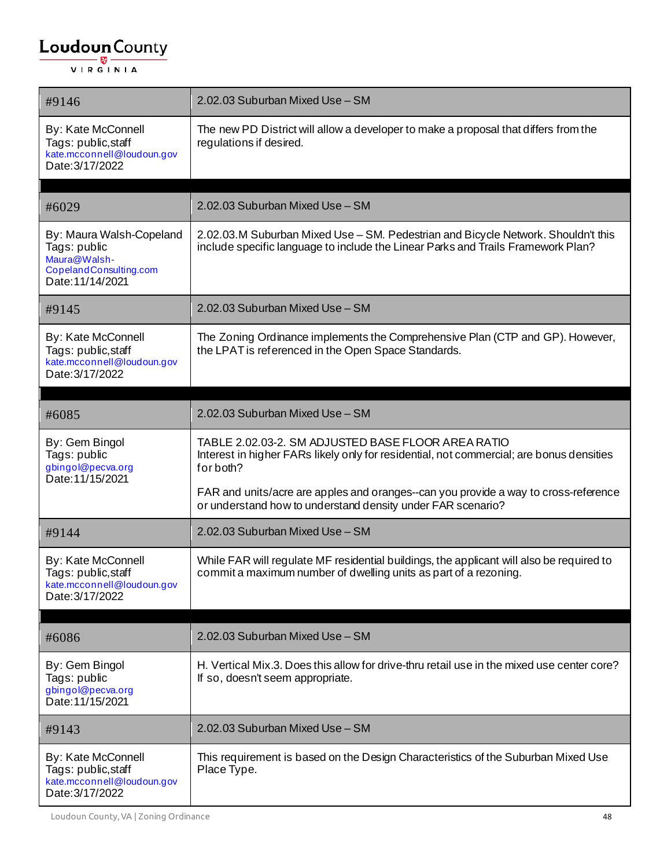| #9146                                                                                                  | 2.02.03 Suburban Mixed Use - SM                                                                                                                                       |
|--------------------------------------------------------------------------------------------------------|-----------------------------------------------------------------------------------------------------------------------------------------------------------------------|
| By: Kate McConnell<br>Tags: public, staff<br>kate.mcconnell@loudoun.gov<br>Date: 3/17/2022             | The new PD District will allow a developer to make a proposal that differs from the<br>regulations if desired.                                                        |
|                                                                                                        |                                                                                                                                                                       |
| #6029                                                                                                  | 2.02.03 Suburban Mixed Use - SM                                                                                                                                       |
| By: Maura Walsh-Copeland<br>Tags: public<br>Maura@Walsh-<br>CopelandConsulting.com<br>Date: 11/14/2021 | 2.02.03.M Suburban Mixed Use - SM. Pedestrian and Bicycle Network. Shouldn't this<br>include specific language to include the Linear Parks and Trails Framework Plan? |
| #9145                                                                                                  | 2.02.03 Suburban Mixed Use - SM                                                                                                                                       |
| By: Kate McConnell<br>Tags: public, staff<br>kate.mcconnell@loudoun.gov<br>Date: 3/17/2022             | The Zoning Ordinance implements the Comprehensive Plan (CTP and GP). However,<br>the LPAT is referenced in the Open Space Standards.                                  |
|                                                                                                        |                                                                                                                                                                       |
| #6085                                                                                                  | 2.02.03 Suburban Mixed Use - SM                                                                                                                                       |
| By: Gem Bingol<br>Tags: public<br>gbingol@pecva.org                                                    | TABLE 2.02.03-2. SM ADJUSTED BASE FLOOR AREA RATIO<br>Interest in higher FARs likely only for residential, not commercial; are bonus densities<br>for both?           |
| Date: 11/15/2021                                                                                       | FAR and units/acre are apples and oranges--can you provide a way to cross-reference<br>or understand how to understand density under FAR scenario?                    |
| #9144                                                                                                  | 2.02.03 Suburban Mixed Use - SM                                                                                                                                       |
| By: Kate McConnell<br>Tags: public, staff<br>kate.mcconnell@loudoun.gov<br>Date: 3/17/2022             | While FAR will regulate MF residential buildings, the applicant will also be required to<br>commit a maximum number of dwelling units as part of a rezoning.          |
| #6086                                                                                                  | 2.02.03 Suburban Mixed Use - SM                                                                                                                                       |
| By: Gem Bingol<br>Tags: public<br>gbingol@pecva.org<br>Date: 11/15/2021                                | H. Vertical Mix.3. Does this allow for drive-thru retail use in the mixed use center core?<br>If so, doesn't seem appropriate.                                        |
| #9143                                                                                                  | 2.02.03 Suburban Mixed Use - SM                                                                                                                                       |
| By: Kate McConnell<br>Tags: public,staff<br>kate.mcconnell@loudoun.gov<br>Date: 3/17/2022              | This requirement is based on the Design Characteristics of the Suburban Mixed Use<br>Place Type.                                                                      |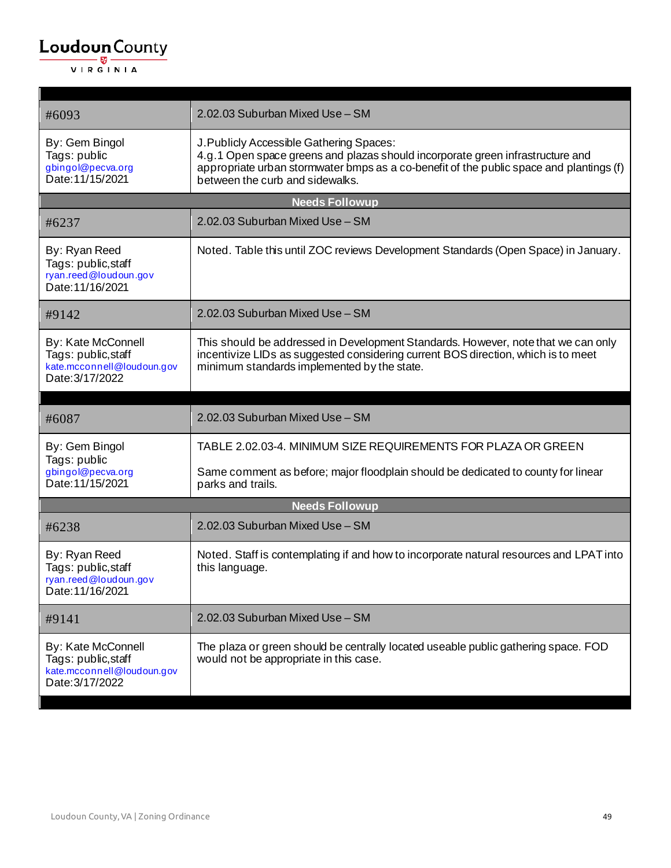| #6093                                                                                      | 2.02.03 Suburban Mixed Use - SM                                                                                                                                                                                                                          |  |
|--------------------------------------------------------------------------------------------|----------------------------------------------------------------------------------------------------------------------------------------------------------------------------------------------------------------------------------------------------------|--|
| By: Gem Bingol<br>Tags: public<br>gbingol@pecva.org<br>Date: 11/15/2021                    | J. Publicly Accessible Gathering Spaces:<br>4.g.1 Open space greens and plazas should incorporate green infrastructure and<br>appropriate urban stormwater bmps as a co-benefit of the public space and plantings (f)<br>between the curb and sidewalks. |  |
|                                                                                            | <b>Needs Followup</b>                                                                                                                                                                                                                                    |  |
| #6237                                                                                      | 2.02.03 Suburban Mixed Use - SM                                                                                                                                                                                                                          |  |
| By: Ryan Reed<br>Tags: public, staff<br>ryan.reed@loudoun.gov<br>Date: 11/16/2021          | Noted. Table this until ZOC reviews Development Standards (Open Space) in January.                                                                                                                                                                       |  |
| #9142                                                                                      | 2.02.03 Suburban Mixed Use - SM                                                                                                                                                                                                                          |  |
| By: Kate McConnell<br>Tags: public, staff<br>kate.mcconnell@loudoun.gov<br>Date: 3/17/2022 | This should be addressed in Development Standards. However, note that we can only<br>incentivize LIDs as suggested considering current BOS direction, which is to meet<br>minimum standards implemented by the state.                                    |  |
|                                                                                            |                                                                                                                                                                                                                                                          |  |
| #6087                                                                                      | 2.02.03 Suburban Mixed Use - SM                                                                                                                                                                                                                          |  |
| By: Gem Bingol<br>Tags: public                                                             | TABLE 2.02.03-4. MINIMUM SIZE REQUIREMENTS FOR PLAZA OR GREEN                                                                                                                                                                                            |  |
| gbingol@pecva.org<br>Date: 11/15/2021                                                      | Same comment as before; major floodplain should be dedicated to county for linear<br>parks and trails.                                                                                                                                                   |  |
|                                                                                            | <b>Needs Followup</b>                                                                                                                                                                                                                                    |  |
| #6238                                                                                      | 2.02.03 Suburban Mixed Use - SM                                                                                                                                                                                                                          |  |
| By: Ryan Reed<br>Tags: public, staff<br>ryan.reed@loudoun.gov<br>Date: 11/16/2021          | Noted. Staff is contemplating if and how to incorporate natural resources and LPAT into<br>this language.                                                                                                                                                |  |
| #9141                                                                                      | 2.02.03 Suburban Mixed Use - SM                                                                                                                                                                                                                          |  |
| By: Kate McConnell<br>Tags: public, staff<br>kate.mcconnell@loudoun.gov<br>Date: 3/17/2022 | The plaza or green should be centrally located useable public gathering space. FOD<br>would not be appropriate in this case.                                                                                                                             |  |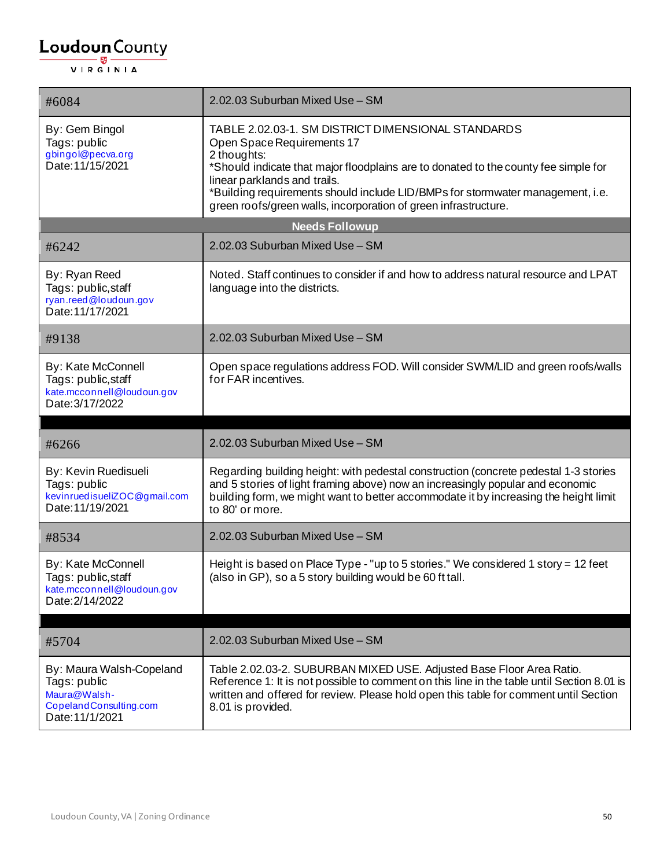| #6084                                                                                                 | 2.02.03 Suburban Mixed Use - SM                                                                                                                                                                                                                                                                                                                                             |
|-------------------------------------------------------------------------------------------------------|-----------------------------------------------------------------------------------------------------------------------------------------------------------------------------------------------------------------------------------------------------------------------------------------------------------------------------------------------------------------------------|
| By: Gem Bingol<br>Tags: public<br>gbingol@pecva.org<br>Date: 11/15/2021                               | TABLE 2.02.03-1. SM DISTRICT DIMENSIONAL STANDARDS<br>Open Space Requirements 17<br>2 thoughts:<br>*Should indicate that major floodplains are to donated to the county fee simple for<br>linear parklands and trails.<br>*Building requirements should include LID/BMPs for stormwater management, i.e.<br>green roofs/green walls, incorporation of green infrastructure. |
|                                                                                                       | <b>Needs Followup</b>                                                                                                                                                                                                                                                                                                                                                       |
| #6242                                                                                                 | 2.02.03 Suburban Mixed Use - SM                                                                                                                                                                                                                                                                                                                                             |
| By: Ryan Reed<br>Tags: public, staff<br>ryan.reed@loudoun.gov<br>Date: 11/17/2021                     | Noted. Staff continues to consider if and how to address natural resource and LPAT<br>language into the districts.                                                                                                                                                                                                                                                          |
| #9138                                                                                                 | 2.02.03 Suburban Mixed Use - SM                                                                                                                                                                                                                                                                                                                                             |
| By: Kate McConnell<br>Tags: public, staff<br>kate.mcconnell@loudoun.gov<br>Date: 3/17/2022            | Open space regulations address FOD. Will consider SWM/LID and green roofs/walls<br>for FAR incentives.                                                                                                                                                                                                                                                                      |
|                                                                                                       |                                                                                                                                                                                                                                                                                                                                                                             |
| #6266                                                                                                 | 2.02.03 Suburban Mixed Use - SM                                                                                                                                                                                                                                                                                                                                             |
| By: Kevin Ruedisueli<br>Tags: public<br>kevinruedisueliZOC@gmail.com<br>Date: 11/19/2021              | Regarding building height: with pedestal construction (concrete pedestal 1-3 stories<br>and 5 stories of light framing above) now an increasingly popular and economic<br>building form, we might want to better accommodate it by increasing the height limit<br>to 80' or more.                                                                                           |
| #8534                                                                                                 | 2.02.03 Suburban Mixed Use - SM                                                                                                                                                                                                                                                                                                                                             |
| By: Kate McConnell<br>Tags: public, staff<br>kate.mcconnell@loudoun.gov<br>Date: 2/14/2022            | Height is based on Place Type - "up to 5 stories." We considered 1 story = 12 feet<br>(also in GP), so a 5 story building would be 60 ft tall.                                                                                                                                                                                                                              |
| #5704                                                                                                 | 2.02.03 Suburban Mixed Use - SM                                                                                                                                                                                                                                                                                                                                             |
| By: Maura Walsh-Copeland<br>Tags: public<br>Maura@Walsh-<br>CopelandConsulting.com<br>Date: 11/1/2021 | Table 2.02.03-2. SUBURBAN MIXED USE. Adjusted Base Floor Area Ratio.<br>Reference 1: It is not possible to comment on this line in the table until Section 8.01 is<br>written and offered for review. Please hold open this table for comment until Section<br>8.01 is provided.                                                                                            |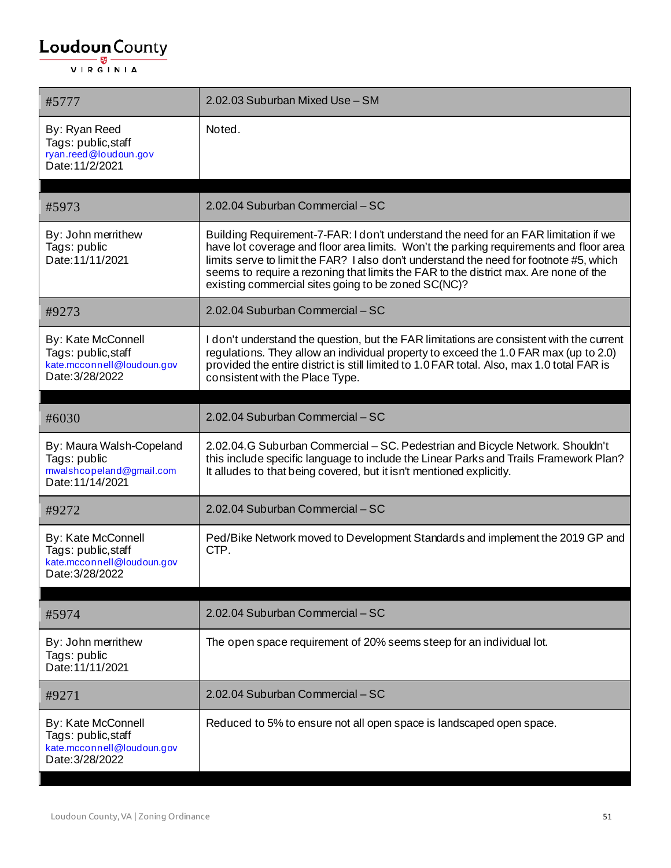| #5777                                                                                      | 2.02.03 Suburban Mixed Use - SM                                                                                                                                                                                                                                                                                                                                                                                        |
|--------------------------------------------------------------------------------------------|------------------------------------------------------------------------------------------------------------------------------------------------------------------------------------------------------------------------------------------------------------------------------------------------------------------------------------------------------------------------------------------------------------------------|
| By: Ryan Reed<br>Tags: public, staff<br>ryan.reed@loudoun.gov<br>Date: 11/2/2021           | Noted.                                                                                                                                                                                                                                                                                                                                                                                                                 |
| #5973                                                                                      | 2.02.04 Suburban Commercial - SC                                                                                                                                                                                                                                                                                                                                                                                       |
| By: John merrithew<br>Tags: public<br>Date: 11/11/2021                                     | Building Requirement-7-FAR: I don't understand the need for an FAR limitation if we<br>have lot coverage and floor area limits. Won't the parking requirements and floor area<br>limits serve to limit the FAR? I also don't understand the need for footnote #5, which<br>seems to require a rezoning that limits the FAR to the district max. Are none of the<br>existing commercial sites going to be zoned SC(NC)? |
| #9273                                                                                      | 2.02.04 Suburban Commercial - SC                                                                                                                                                                                                                                                                                                                                                                                       |
| By: Kate McConnell<br>Tags: public, staff<br>kate.mcconnell@loudoun.gov<br>Date: 3/28/2022 | I don't understand the question, but the FAR limitations are consistent with the current<br>regulations. They allow an individual property to exceed the 1.0 FAR max (up to 2.0)<br>provided the entire district is still limited to 1.0 FAR total. Also, max 1.0 total FAR is<br>consistent with the Place Type.                                                                                                      |
| #6030                                                                                      | 2.02.04 Suburban Commercial - SC                                                                                                                                                                                                                                                                                                                                                                                       |
| By: Maura Walsh-Copeland<br>Tags: public<br>mwalshcopeland@gmail.com<br>Date: 11/14/2021   | 2.02.04.G Suburban Commercial - SC. Pedestrian and Bicycle Network. Shouldn't<br>this include specific language to include the Linear Parks and Trails Framework Plan?<br>It alludes to that being covered, but it isn't mentioned explicitly.                                                                                                                                                                         |
| #9272                                                                                      | 2.02.04 Suburban Commercial - SC                                                                                                                                                                                                                                                                                                                                                                                       |
| By: Kate McConnell<br>Tags: public, staff<br>kate.mcconnell@loudoun.gov<br>Date: 3/28/2022 | Ped/Bike Network moved to Development Standards and implement the 2019 GP and<br>CTP.                                                                                                                                                                                                                                                                                                                                  |
| #5974                                                                                      | 2.02.04 Suburban Commercial - SC                                                                                                                                                                                                                                                                                                                                                                                       |
| By: John merrithew<br>Tags: public<br>Date: 11/11/2021                                     | The open space requirement of 20% seems steep for an individual lot.                                                                                                                                                                                                                                                                                                                                                   |
| #9271                                                                                      | 2.02.04 Suburban Commercial - SC                                                                                                                                                                                                                                                                                                                                                                                       |
| By: Kate McConnell<br>Tags: public, staff<br>kate.mcconnell@loudoun.gov<br>Date: 3/28/2022 | Reduced to 5% to ensure not all open space is landscaped open space.                                                                                                                                                                                                                                                                                                                                                   |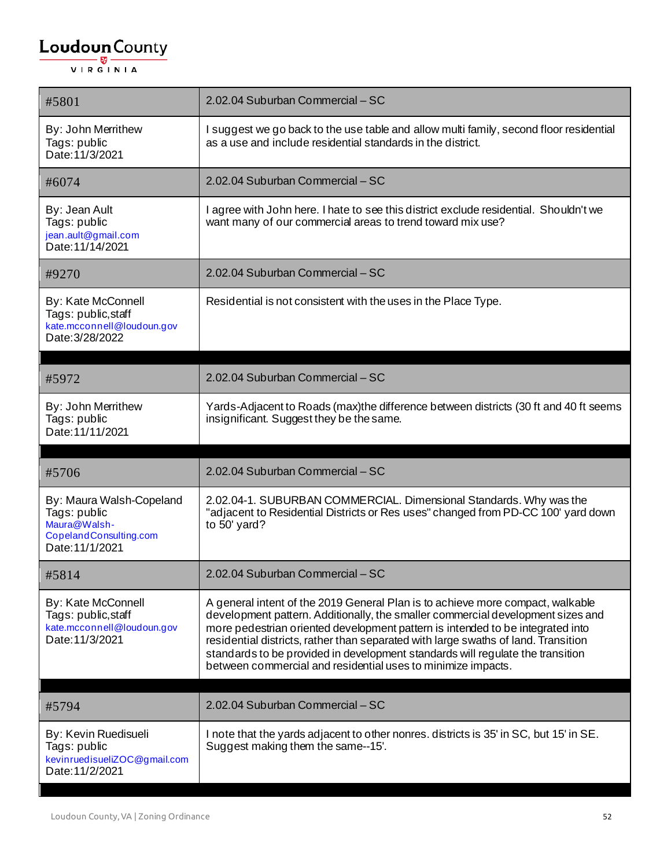| #5801                                                                                             | 2.02.04 Suburban Commercial - SC                                                                                                                                                                                                                                                                                                                                                                                                                                                            |
|---------------------------------------------------------------------------------------------------|---------------------------------------------------------------------------------------------------------------------------------------------------------------------------------------------------------------------------------------------------------------------------------------------------------------------------------------------------------------------------------------------------------------------------------------------------------------------------------------------|
| By: John Merrithew<br>Tags: public<br>Date: 11/3/2021                                             | I suggest we go back to the use table and allow multi family, second floor residential<br>as a use and include residential standards in the district.                                                                                                                                                                                                                                                                                                                                       |
| #6074                                                                                             | 2.02.04 Suburban Commercial - SC                                                                                                                                                                                                                                                                                                                                                                                                                                                            |
| By: Jean Ault<br>Tags: public<br>jean.ault@gmail.com<br>Date: 11/14/2021                          | I agree with John here. I hate to see this district exclude residential. Shouldn't we<br>want many of our commercial areas to trend toward mix use?                                                                                                                                                                                                                                                                                                                                         |
| #9270                                                                                             | 2.02.04 Suburban Commercial - SC                                                                                                                                                                                                                                                                                                                                                                                                                                                            |
| By: Kate McConnell<br>Tags: public, staff<br>kate.mcconnell@loudoun.gov<br>Date: 3/28/2022        | Residential is not consistent with the uses in the Place Type.                                                                                                                                                                                                                                                                                                                                                                                                                              |
| #5972                                                                                             | 2.02.04 Suburban Commercial - SC                                                                                                                                                                                                                                                                                                                                                                                                                                                            |
| By: John Merrithew<br>Tags: public<br>Date: 11/11/2021                                            | Yards-Adjacent to Roads (max)the difference between districts (30 ft and 40 ft seems<br>insignificant. Suggest they be the same.                                                                                                                                                                                                                                                                                                                                                            |
| #5706                                                                                             | 2.02.04 Suburban Commercial - SC                                                                                                                                                                                                                                                                                                                                                                                                                                                            |
| By: Maura Walsh-Copeland                                                                          | 2.02.04-1. SUBURBAN COMMERCIAL. Dimensional Standards. Why was the                                                                                                                                                                                                                                                                                                                                                                                                                          |
| Tags: public<br>Maura@Walsh-<br>CopelandConsulting.com<br>Date: 11/1/2021                         | "adjacent to Residential Districts or Res uses" changed from PD-CC 100' yard down<br>to 50' yard?                                                                                                                                                                                                                                                                                                                                                                                           |
| #5814                                                                                             | 2.02.04 Suburban Commercial - SC                                                                                                                                                                                                                                                                                                                                                                                                                                                            |
| <b>By: Kate McConnell</b><br>Tags: public, staff<br>kate.mcconnell@loudoun.gov<br>Date: 11/3/2021 | A general intent of the 2019 General Plan is to achieve more compact, walkable<br>development pattern. Additionally, the smaller commercial development sizes and<br>more pedestrian oriented development pattern is intended to be integrated into<br>residential districts, rather than separated with large swaths of land. Transition<br>standards to be provided in development standards will regulate the transition<br>between commercial and residential uses to minimize impacts. |
| #5794                                                                                             | 2.02.04 Suburban Commercial - SC                                                                                                                                                                                                                                                                                                                                                                                                                                                            |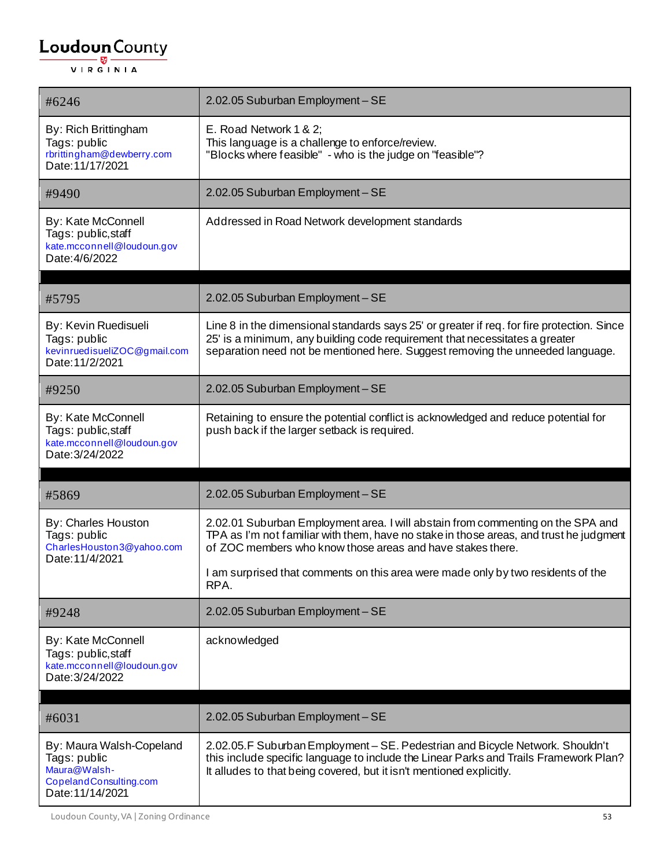| #6246                                                                                      | 2.02.05 Suburban Employment - SE                                                                                                                                                                                                                            |
|--------------------------------------------------------------------------------------------|-------------------------------------------------------------------------------------------------------------------------------------------------------------------------------------------------------------------------------------------------------------|
| By: Rich Brittingham<br>Tags: public<br>rbrittingham@dewberry.com<br>Date: 11/17/2021      | E. Road Network 1 & 2;<br>This language is a challenge to enforce/review.<br>"Blocks where feasible" - who is the judge on "feasible"?                                                                                                                      |
| #9490                                                                                      | 2.02.05 Suburban Employment - SE                                                                                                                                                                                                                            |
| By: Kate McConnell<br>Tags: public, staff<br>kate.mcconnell@loudoun.gov<br>Date: 4/6/2022  | Addressed in Road Network development standards                                                                                                                                                                                                             |
| #5795                                                                                      | 2.02.05 Suburban Employment - SE                                                                                                                                                                                                                            |
| By: Kevin Ruedisueli<br>Tags: public<br>kevinruedisueliZOC@gmail.com<br>Date: 11/2/2021    | Line 8 in the dimensional standards says 25' or greater if req. for fire protection. Since<br>25' is a minimum, any building code requirement that necessitates a greater<br>separation need not be mentioned here. Suggest removing the unneeded language. |
| #9250                                                                                      | 2.02.05 Suburban Employment - SE                                                                                                                                                                                                                            |
| By: Kate McConnell<br>Tags: public, staff<br>kate.mcconnell@loudoun.gov<br>Date: 3/24/2022 | Retaining to ensure the potential conflict is acknowledged and reduce potential for<br>push back if the larger setback is required.                                                                                                                         |
| #5869                                                                                      | 2.02.05 Suburban Employment - SE                                                                                                                                                                                                                            |
| By: Charles Houston<br>Tags: public<br>CharlesHouston3@yahoo.com<br>Date: 11/4/2021        | 2.02.01 Suburban Employment area. I will abstain from commenting on the SPA and<br>TPA as I'm not familiar with them, have no stake in those areas, and trust he judgment<br>of ZOC members who know those areas and have stakes there.                     |
|                                                                                            | I am surprised that comments on this area were made only by two residents of the<br>RPA.                                                                                                                                                                    |
| #9248                                                                                      | 2.02.05 Suburban Employment - SE                                                                                                                                                                                                                            |
| By: Kate McConnell<br>Tags: public, staff<br>kate.mcconnell@loudoun.gov<br>Date: 3/24/2022 | acknowledged                                                                                                                                                                                                                                                |
|                                                                                            |                                                                                                                                                                                                                                                             |
| #6031                                                                                      | 2.02.05 Suburban Employment - SE                                                                                                                                                                                                                            |

Loudoun County, VA | Zoning Ordinance 53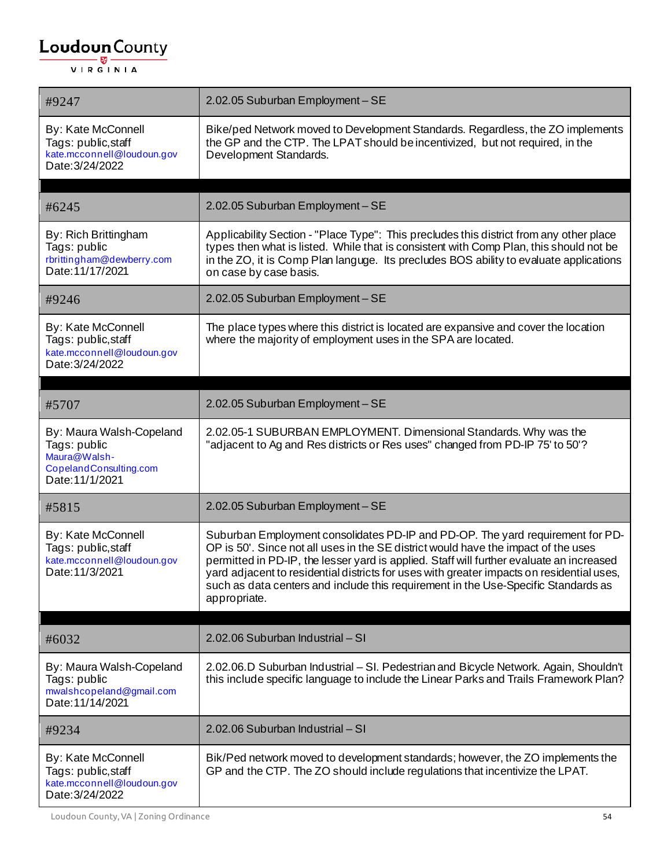| #9247                                                                                                 | 2.02.05 Suburban Employment - SE                                                                                                                                                                                                                                                                                                                                                                                                                                    |
|-------------------------------------------------------------------------------------------------------|---------------------------------------------------------------------------------------------------------------------------------------------------------------------------------------------------------------------------------------------------------------------------------------------------------------------------------------------------------------------------------------------------------------------------------------------------------------------|
| By: Kate McConnell<br>Tags: public, staff<br>kate.mcconnell@loudoun.gov<br>Date: 3/24/2022            | Bike/ped Network moved to Development Standards. Regardless, the ZO implements<br>the GP and the CTP. The LPAT should be incentivized, but not required, in the<br>Development Standards.                                                                                                                                                                                                                                                                           |
| #6245                                                                                                 | 2.02.05 Suburban Employment - SE                                                                                                                                                                                                                                                                                                                                                                                                                                    |
| By: Rich Brittingham<br>Tags: public<br>rbrittingham@dewberry.com<br>Date: 11/17/2021                 | Applicability Section - "Place Type": This precludes this district from any other place<br>types then what is listed. While that is consistent with Comp Plan, this should not be<br>in the ZO, it is Comp Plan languge. Its precludes BOS ability to evaluate applications<br>on case by case basis.                                                                                                                                                               |
| #9246                                                                                                 | 2.02.05 Suburban Employment - SE                                                                                                                                                                                                                                                                                                                                                                                                                                    |
| By: Kate McConnell<br>Tags: public, staff<br>kate.mcconnell@loudoun.gov<br>Date: 3/24/2022            | The place types where this district is located are expansive and cover the location<br>where the majority of employment uses in the SPA are located.                                                                                                                                                                                                                                                                                                                |
| #5707                                                                                                 | 2.02.05 Suburban Employment - SE                                                                                                                                                                                                                                                                                                                                                                                                                                    |
| By: Maura Walsh-Copeland<br>Tags: public<br>Maura@Walsh-<br>CopelandConsulting.com<br>Date: 11/1/2021 | 2.02.05-1 SUBURBAN EMPLOYMENT. Dimensional Standards. Why was the<br>"adjacent to Ag and Res districts or Res uses" changed from PD-IP 75' to 50'?                                                                                                                                                                                                                                                                                                                  |
| #5815                                                                                                 | 2.02.05 Suburban Employment-SE                                                                                                                                                                                                                                                                                                                                                                                                                                      |
| By: Kate McConnell<br>Tags: public, staff<br>kate.mcconnell@loudoun.gov<br>Date: 11/3/2021            | Suburban Employment consolidates PD-IP and PD-OP. The yard requirement for PD-<br>OP is 50'. Since not all uses in the SE district would have the impact of the uses<br>permitted in PD-IP, the lesser yard is applied. Staff will further evaluate an increased<br>yard adjacent to residential districts for uses with greater impacts on residential uses,<br>such as data centers and include this requirement in the Use-Specific Standards as<br>appropriate. |
| #6032                                                                                                 | 2.02.06 Suburban Industrial - SI                                                                                                                                                                                                                                                                                                                                                                                                                                    |
| By: Maura Walsh-Copeland<br>Tags: public<br>mwalshcopeland@gmail.com<br>Date: 11/14/2021              | 2.02.06.D Suburban Industrial – SI. Pedestrian and Bicycle Network. Again, Shouldn't<br>this include specific language to include the Linear Parks and Trails Framework Plan?                                                                                                                                                                                                                                                                                       |
| #9234                                                                                                 | 2.02.06 Suburban Industrial - SI                                                                                                                                                                                                                                                                                                                                                                                                                                    |
| By: Kate McConnell<br>Tags: public, staff<br>kate.mcconnell@loudoun.gov<br>Date: 3/24/2022            | Bik/Ped network moved to development standards; however, the ZO implements the<br>GP and the CTP. The ZO should include regulations that incentivize the LPAT.                                                                                                                                                                                                                                                                                                      |

Loudoun County, VA | Zoning Ordinance 54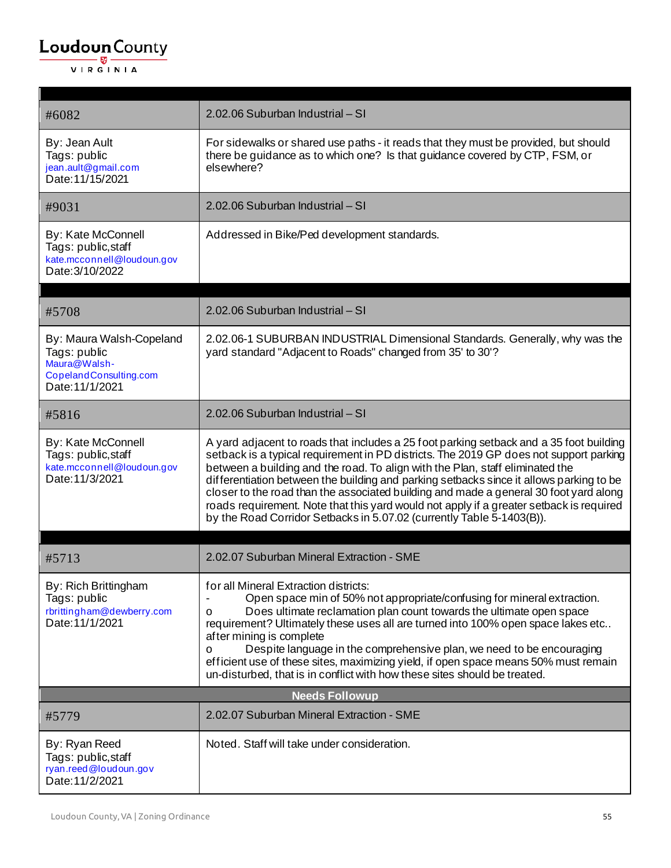r

| #6082                                                                                                 | 2.02.06 Suburban Industrial - SI                                                                                                                                                                                                                                                                                                                                                                                                                                                                                                                                                                                           |
|-------------------------------------------------------------------------------------------------------|----------------------------------------------------------------------------------------------------------------------------------------------------------------------------------------------------------------------------------------------------------------------------------------------------------------------------------------------------------------------------------------------------------------------------------------------------------------------------------------------------------------------------------------------------------------------------------------------------------------------------|
| By: Jean Ault<br>Tags: public<br>jean.ault@gmail.com<br>Date: 11/15/2021                              | For sidewalks or shared use paths - it reads that they must be provided, but should<br>there be guidance as to which one? Is that guidance covered by CTP, FSM, or<br>elsewhere?                                                                                                                                                                                                                                                                                                                                                                                                                                           |
| #9031                                                                                                 | 2.02.06 Suburban Industrial - SI                                                                                                                                                                                                                                                                                                                                                                                                                                                                                                                                                                                           |
| By: Kate McConnell<br>Tags: public, staff<br>kate.mcconnell@loudoun.gov<br>Date: 3/10/2022            | Addressed in Bike/Ped development standards.                                                                                                                                                                                                                                                                                                                                                                                                                                                                                                                                                                               |
| #5708                                                                                                 | 2.02.06 Suburban Industrial - SI                                                                                                                                                                                                                                                                                                                                                                                                                                                                                                                                                                                           |
| By: Maura Walsh-Copeland<br>Tags: public<br>Maura@Walsh-<br>CopelandConsulting.com<br>Date: 11/1/2021 | 2.02.06-1 SUBURBAN INDUSTRIAL Dimensional Standards. Generally, why was the<br>yard standard "Adjacent to Roads" changed from 35' to 30'?                                                                                                                                                                                                                                                                                                                                                                                                                                                                                  |
| #5816                                                                                                 | 2.02.06 Suburban Industrial - SI                                                                                                                                                                                                                                                                                                                                                                                                                                                                                                                                                                                           |
| By: Kate McConnell<br>Tags: public, staff<br>kate.mcconnell@loudoun.gov<br>Date: 11/3/2021            | A yard adjacent to roads that includes a 25 foot parking setback and a 35 foot building<br>setback is a typical requirement in PD districts. The 2019 GP does not support parking<br>between a building and the road. To align with the Plan, staff eliminated the<br>differentiation between the building and parking setbacks since it allows parking to be<br>closer to the road than the associated building and made a general 30 foot yard along<br>roads requirement. Note that this yard would not apply if a greater setback is required<br>by the Road Corridor Setbacks in 5.07.02 (currently Table 5-1403(B)). |
| #5713                                                                                                 | 2.02.07 Suburban Mineral Extraction - SME                                                                                                                                                                                                                                                                                                                                                                                                                                                                                                                                                                                  |
| By: Rich Brittingham<br>Tags: public<br>rbrittingham@dewberry.com<br>Date: 11/1/2021                  | for all Mineral Extraction districts:<br>Open space min of 50% not appropriate/confusing for mineral extraction.<br>Does ultimate reclamation plan count towards the ultimate open space<br>o<br>requirement? Ultimately these uses all are turned into 100% open space lakes etc<br>after mining is complete<br>Despite language in the comprehensive plan, we need to be encouraging<br>0<br>efficient use of these sites, maximizing yield, if open space means 50% must remain<br>un-disturbed, that is in conflict with how these sites should be treated.                                                            |
|                                                                                                       | <b>Needs Followup</b>                                                                                                                                                                                                                                                                                                                                                                                                                                                                                                                                                                                                      |
| #5779                                                                                                 | 2.02.07 Suburban Mineral Extraction - SME                                                                                                                                                                                                                                                                                                                                                                                                                                                                                                                                                                                  |
| By: Ryan Reed<br>Tags: public, staff<br>ryan.reed@loudoun.gov<br>Date: 11/2/2021                      | Noted. Staff will take under consideration.                                                                                                                                                                                                                                                                                                                                                                                                                                                                                                                                                                                |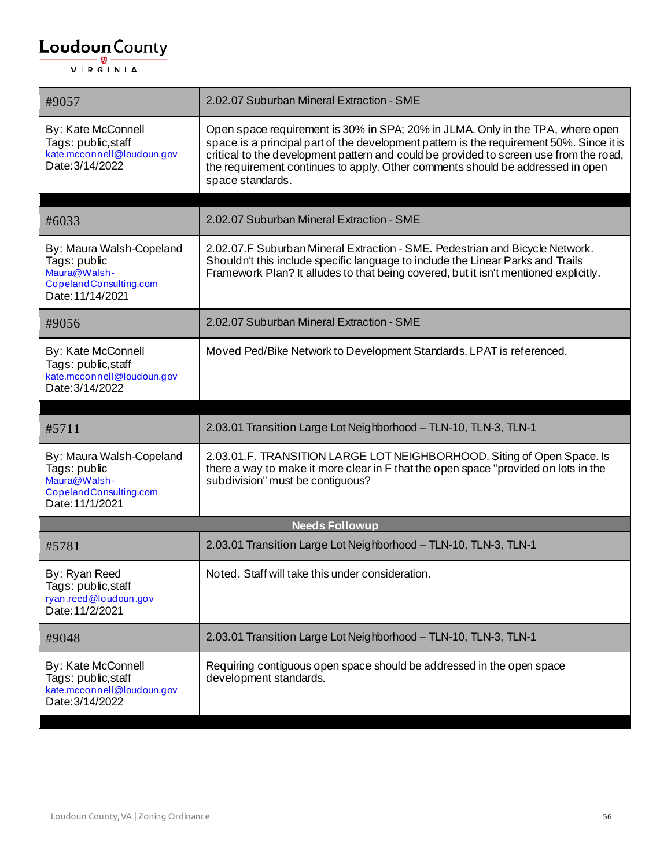| #9057                                                                                                  | 2.02.07 Suburban Mineral Extraction - SME                                                                                                                                                                                                                                                                                                                                  |
|--------------------------------------------------------------------------------------------------------|----------------------------------------------------------------------------------------------------------------------------------------------------------------------------------------------------------------------------------------------------------------------------------------------------------------------------------------------------------------------------|
| By: Kate McConnell<br>Tags: public, staff<br>kate.mcconnell@loudoun.gov<br>Date: 3/14/2022             | Open space requirement is 30% in SPA; 20% in JLMA. Only in the TPA, where open<br>space is a principal part of the development pattern is the requirement 50%. Since it is<br>critical to the development pattern and could be provided to screen use from the road,<br>the requirement continues to apply. Other comments should be addressed in open<br>space standards. |
| #6033                                                                                                  | 2.02.07 Suburban Mineral Extraction - SME                                                                                                                                                                                                                                                                                                                                  |
| By: Maura Walsh-Copeland<br>Tags: public<br>Maura@Walsh-<br>CopelandConsulting.com<br>Date: 11/14/2021 | 2.02.07. F Suburban Mineral Extraction - SME. Pedestrian and Bicycle Network.<br>Shouldn't this include specific language to include the Linear Parks and Trails<br>Framework Plan? It alludes to that being covered, but it isn't mentioned explicitly.                                                                                                                   |
| #9056                                                                                                  | 2.02.07 Suburban Mineral Extraction - SME                                                                                                                                                                                                                                                                                                                                  |
| By: Kate McConnell<br>Tags: public, staff<br>kate.mcconnell@loudoun.gov<br>Date: 3/14/2022             | Moved Ped/Bike Network to Development Standards. LPAT is referenced.                                                                                                                                                                                                                                                                                                       |
|                                                                                                        |                                                                                                                                                                                                                                                                                                                                                                            |
|                                                                                                        |                                                                                                                                                                                                                                                                                                                                                                            |
| #5711                                                                                                  | 2.03.01 Transition Large Lot Neighborhood - TLN-10, TLN-3, TLN-1                                                                                                                                                                                                                                                                                                           |
| By: Maura Walsh-Copeland<br>Tags: public<br>Maura@Walsh-<br>CopelandConsulting.com<br>Date: 11/1/2021  | 2.03.01.F. TRANSITION LARGE LOT NEIGHBORHOOD. Siting of Open Space. Is<br>there a way to make it more clear in F that the open space "provided on lots in the<br>subdivision" must be contiguous?                                                                                                                                                                          |
|                                                                                                        | <b>Needs Followup</b>                                                                                                                                                                                                                                                                                                                                                      |
| #5781                                                                                                  | 2.03.01 Transition Large Lot Neighborhood - TLN-10, TLN-3, TLN-1                                                                                                                                                                                                                                                                                                           |
| By: Ryan Reed<br>Tags: public, staff<br>ryan.reed@loudoun.gov<br>Date: 11/2/2021                       | Noted. Staff will take this under consideration.                                                                                                                                                                                                                                                                                                                           |
| #9048                                                                                                  | 2.03.01 Transition Large Lot Neighborhood - TLN-10, TLN-3, TLN-1                                                                                                                                                                                                                                                                                                           |
| By: Kate McConnell<br>Tags: public, staff<br>kate.mcconnell@loudoun.gov<br>Date: 3/14/2022             | Requiring contiguous open space should be addressed in the open space<br>development standards.                                                                                                                                                                                                                                                                            |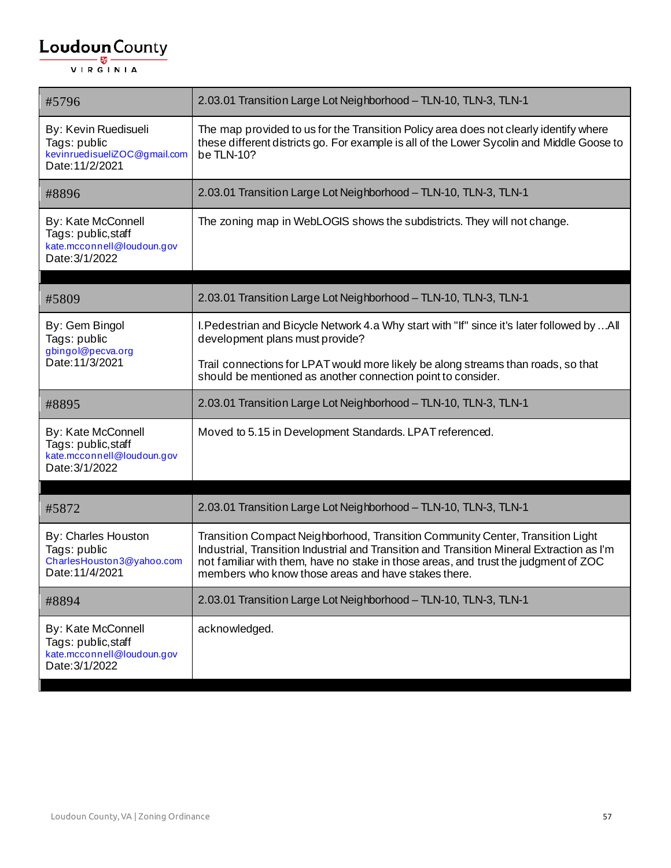| #5796                                                                                     | 2.03.01 Transition Large Lot Neighborhood - TLN-10, TLN-3, TLN-1                                                                                                                                                                                                                                                          |
|-------------------------------------------------------------------------------------------|---------------------------------------------------------------------------------------------------------------------------------------------------------------------------------------------------------------------------------------------------------------------------------------------------------------------------|
| By: Kevin Ruedisueli<br>Tags: public<br>kevinruedisueliZOC@gmail.com<br>Date: 11/2/2021   | The map provided to us for the Transition Policy area does not clearly identify where<br>these different districts go. For example is all of the Lower Sycolin and Middle Goose to<br>be TLN-10?                                                                                                                          |
| #8896                                                                                     | 2.03.01 Transition Large Lot Neighborhood - TLN-10, TLN-3, TLN-1                                                                                                                                                                                                                                                          |
| By: Kate McConnell<br>Tags: public, staff<br>kate.mcconnell@loudoun.gov<br>Date: 3/1/2022 | The zoning map in WebLOGIS shows the subdistricts. They will not change.                                                                                                                                                                                                                                                  |
|                                                                                           |                                                                                                                                                                                                                                                                                                                           |
| #5809                                                                                     | 2.03.01 Transition Large Lot Neighborhood - TLN-10, TLN-3, TLN-1                                                                                                                                                                                                                                                          |
| By: Gem Bingol<br>Tags: public<br>gbingol@pecva.org                                       | I. Pedestrian and Bicycle Network 4.a Why start with "If" since it's later followed by All<br>development plans must provide?                                                                                                                                                                                             |
| Date: 11/3/2021                                                                           | Trail connections for LPAT would more likely be along streams than roads, so that<br>should be mentioned as another connection point to consider.                                                                                                                                                                         |
| #8895                                                                                     | 2.03.01 Transition Large Lot Neighborhood - TLN-10, TLN-3, TLN-1                                                                                                                                                                                                                                                          |
| By: Kate McConnell<br>Tags: public, staff<br>kate.mcconnell@loudoun.gov<br>Date: 3/1/2022 | Moved to 5.15 in Development Standards. LPAT referenced.                                                                                                                                                                                                                                                                  |
| #5872                                                                                     | 2.03.01 Transition Large Lot Neighborhood - TLN-10, TLN-3, TLN-1                                                                                                                                                                                                                                                          |
|                                                                                           |                                                                                                                                                                                                                                                                                                                           |
| By: Charles Houston<br>Tags: public<br>CharlesHouston3@yahoo.com<br>Date: 11/4/2021       | Transition Compact Neighborhood, Transition Community Center, Transition Light<br>Industrial, Transition Industrial and Transition and Transition Mineral Extraction as I'm<br>not familiar with them, have no stake in those areas, and trust the judgment of ZOC<br>members who know those areas and have stakes there. |
| #8894                                                                                     | 2.03.01 Transition Large Lot Neighborhood - TLN-10, TLN-3, TLN-1                                                                                                                                                                                                                                                          |
| By: Kate McConnell<br>Tags: public, staff<br>kate.mcconnell@loudoun.gov<br>Date: 3/1/2022 | acknowledged.                                                                                                                                                                                                                                                                                                             |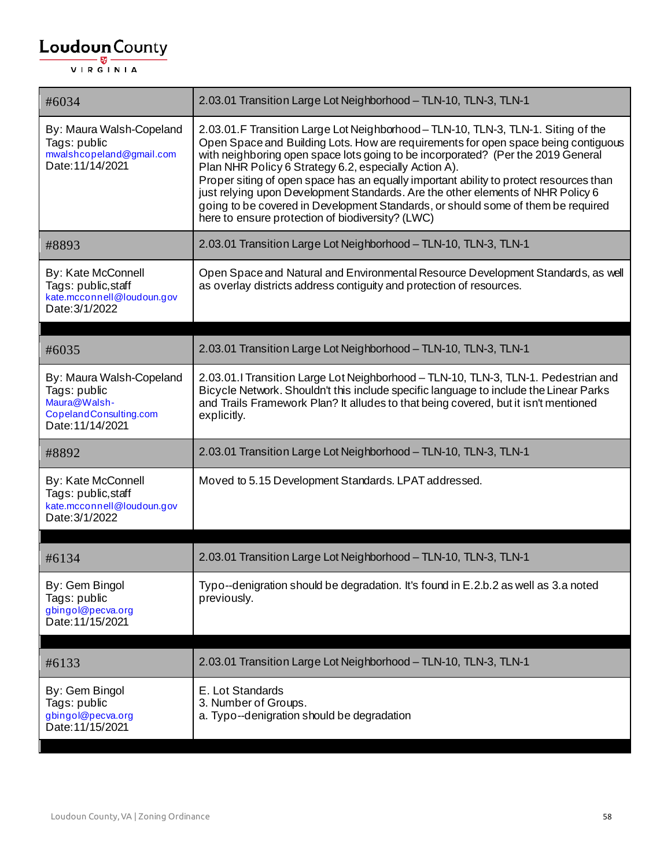| #6034                                                                                                  | 2.03.01 Transition Large Lot Neighborhood - TLN-10, TLN-3, TLN-1                                                                                                                                                                                                                                                                                                                                                                                                                                                                                                                                                                        |
|--------------------------------------------------------------------------------------------------------|-----------------------------------------------------------------------------------------------------------------------------------------------------------------------------------------------------------------------------------------------------------------------------------------------------------------------------------------------------------------------------------------------------------------------------------------------------------------------------------------------------------------------------------------------------------------------------------------------------------------------------------------|
| By: Maura Walsh-Copeland<br>Tags: public<br>mwalshcopeland@gmail.com<br>Date: 11/14/2021               | 2.03.01.F Transition Large Lot Neighborhood-TLN-10, TLN-3, TLN-1. Siting of the<br>Open Space and Building Lots. How are requirements for open space being contiguous<br>with neighboring open space lots going to be incorporated? (Per the 2019 General<br>Plan NHR Policy 6 Strategy 6.2, especially Action A).<br>Proper siting of open space has an equally important ability to protect resources than<br>just relying upon Development Standards. Are the other elements of NHR Policy 6<br>going to be covered in Development Standards, or should some of them be required<br>here to ensure protection of biodiversity? (LWC) |
| #8893                                                                                                  | 2.03.01 Transition Large Lot Neighborhood - TLN-10, TLN-3, TLN-1                                                                                                                                                                                                                                                                                                                                                                                                                                                                                                                                                                        |
| By: Kate McConnell<br>Tags: public, staff<br>kate.mcconnell@loudoun.gov<br>Date: 3/1/2022              | Open Space and Natural and Environmental Resource Development Standards, as well<br>as overlay districts address contiguity and protection of resources.                                                                                                                                                                                                                                                                                                                                                                                                                                                                                |
|                                                                                                        |                                                                                                                                                                                                                                                                                                                                                                                                                                                                                                                                                                                                                                         |
| #6035                                                                                                  | 2.03.01 Transition Large Lot Neighborhood - TLN-10, TLN-3, TLN-1                                                                                                                                                                                                                                                                                                                                                                                                                                                                                                                                                                        |
| By: Maura Walsh-Copeland<br>Tags: public<br>Maura@Walsh-<br>CopelandConsulting.com<br>Date: 11/14/2021 | 2.03.01. I Transition Large Lot Neighborhood - TLN-10, TLN-3, TLN-1. Pedestrian and<br>Bicycle Network. Shouldn't this include specific language to include the Linear Parks<br>and Trails Framework Plan? It alludes to that being covered, but it isn't mentioned<br>explicitly.                                                                                                                                                                                                                                                                                                                                                      |
| #8892                                                                                                  | 2.03.01 Transition Large Lot Neighborhood - TLN-10, TLN-3, TLN-1                                                                                                                                                                                                                                                                                                                                                                                                                                                                                                                                                                        |
| By: Kate McConnell<br>Tags: public, staff<br>kate.mcconnell@loudoun.gov<br>Date: 3/1/2022              | Moved to 5.15 Development Standards. LPAT addressed.                                                                                                                                                                                                                                                                                                                                                                                                                                                                                                                                                                                    |
|                                                                                                        |                                                                                                                                                                                                                                                                                                                                                                                                                                                                                                                                                                                                                                         |
| #6134                                                                                                  | 2.03.01 Transition Large Lot Neighborhood - TLN-10, TLN-3, TLN-1                                                                                                                                                                                                                                                                                                                                                                                                                                                                                                                                                                        |
| By: Gem Bingol<br>Tags: public<br>gbingol@pecva.org<br>Date: 11/15/2021                                | Typo--denigration should be degradation. It's found in E.2.b.2 as well as 3.a noted<br>previously.                                                                                                                                                                                                                                                                                                                                                                                                                                                                                                                                      |
| #6133                                                                                                  | 2.03.01 Transition Large Lot Neighborhood - TLN-10, TLN-3, TLN-1                                                                                                                                                                                                                                                                                                                                                                                                                                                                                                                                                                        |
| By: Gem Bingol<br>Tags: public<br>gbingol@pecva.org<br>Date: 11/15/2021                                | E. Lot Standards<br>3. Number of Groups.<br>a. Typo--denigration should be degradation                                                                                                                                                                                                                                                                                                                                                                                                                                                                                                                                                  |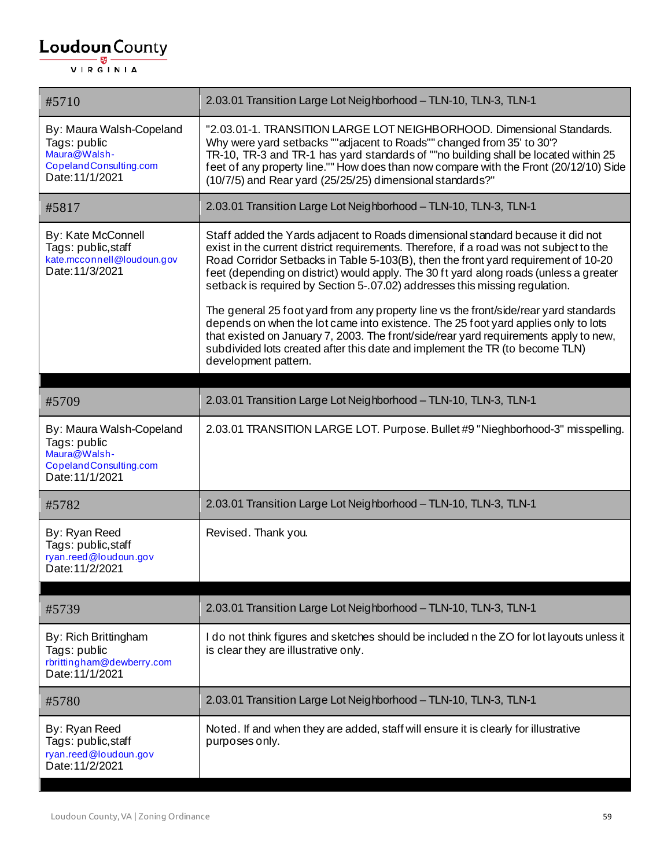| #5710                                                                                                 | 2.03.01 Transition Large Lot Neighborhood - TLN-10, TLN-3, TLN-1                                                                                                                                                                                                                                                                                                                                                                                                                                                                   |
|-------------------------------------------------------------------------------------------------------|------------------------------------------------------------------------------------------------------------------------------------------------------------------------------------------------------------------------------------------------------------------------------------------------------------------------------------------------------------------------------------------------------------------------------------------------------------------------------------------------------------------------------------|
| By: Maura Walsh-Copeland<br>Tags: public<br>Maura@Walsh-<br>CopelandConsulting.com<br>Date: 11/1/2021 | "2.03.01-1. TRANSITION LARGE LOT NEIGHBORHOOD. Dimensional Standards.<br>Why were yard setbacks ""adjacent to Roads"" changed from 35' to 30'?<br>TR-10, TR-3 and TR-1 has yard standards of ""no building shall be located within 25<br>feet of any property line."" How does than now compare with the Front (20/12/10) Side<br>(10/7/5) and Rear yard (25/25/25) dimensional standards?"                                                                                                                                        |
| #5817                                                                                                 | 2.03.01 Transition Large Lot Neighborhood - TLN-10, TLN-3, TLN-1                                                                                                                                                                                                                                                                                                                                                                                                                                                                   |
| By: Kate McConnell<br>Tags: public, staff<br>kate.mcconnell@loudoun.gov<br>Date: 11/3/2021            | Staff added the Yards adjacent to Roads dimensional standard because it did not<br>exist in the current district requirements. Therefore, if a road was not subject to the<br>Road Corridor Setbacks in Table 5-103(B), then the front yard requirement of 10-20<br>feet (depending on district) would apply. The 30 ft yard along roads (unless a greater<br>setback is required by Section 5-.07.02) addresses this missing regulation.<br>The general 25 foot yard from any property line vs the front/side/rear yard standards |
|                                                                                                       | depends on when the lot came into existence. The 25 foot yard applies only to lots<br>that existed on January 7, 2003. The front/side/rear yard requirements apply to new,<br>subdivided lots created after this date and implement the TR (to become TLN)<br>development pattern.                                                                                                                                                                                                                                                 |
| #5709                                                                                                 | 2.03.01 Transition Large Lot Neighborhood - TLN-10, TLN-3, TLN-1                                                                                                                                                                                                                                                                                                                                                                                                                                                                   |
| By: Maura Walsh-Copeland<br>Tags: public<br>Maura@Walsh-<br>CopelandConsulting.com<br>Date: 11/1/2021 | 2.03.01 TRANSITION LARGE LOT. Purpose. Bullet #9 "Nieghborhood-3" misspelling.                                                                                                                                                                                                                                                                                                                                                                                                                                                     |
| #5782                                                                                                 | 2.03.01 Transition Large Lot Neighborhood - TLN-10, TLN-3, TLN-1                                                                                                                                                                                                                                                                                                                                                                                                                                                                   |
| By: Ryan Reed<br>Tags: public, staff<br>ryan.reed@loudoun.gov<br>Date: 11/2/2021                      | Revised. Thank you.                                                                                                                                                                                                                                                                                                                                                                                                                                                                                                                |
| #5739                                                                                                 | 2.03.01 Transition Large Lot Neighborhood - TLN-10, TLN-3, TLN-1                                                                                                                                                                                                                                                                                                                                                                                                                                                                   |
| By: Rich Brittingham<br>Tags: public<br>rbrittingham@dewberry.com<br>Date: 11/1/2021                  | I do not think figures and sketches should be included n the ZO for lot layouts unless it<br>is clear they are illustrative only.                                                                                                                                                                                                                                                                                                                                                                                                  |
| #5780                                                                                                 | 2.03.01 Transition Large Lot Neighborhood - TLN-10, TLN-3, TLN-1                                                                                                                                                                                                                                                                                                                                                                                                                                                                   |
| By: Ryan Reed<br>Tags: public, staff<br>ryan.reed@loudoun.gov<br>Date: 11/2/2021                      | Noted. If and when they are added, staff will ensure it is clearly for illustrative<br>purposes only.                                                                                                                                                                                                                                                                                                                                                                                                                              |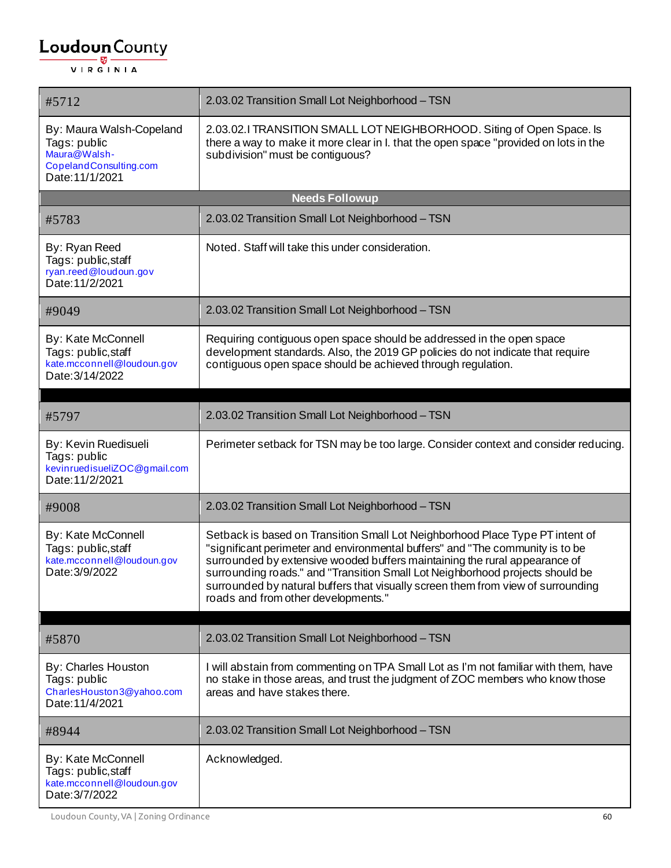| #5712                                                                                                 | 2.03.02 Transition Small Lot Neighborhood - TSN                                                                                                                                                                                                                                                                                                                                                                                                          |
|-------------------------------------------------------------------------------------------------------|----------------------------------------------------------------------------------------------------------------------------------------------------------------------------------------------------------------------------------------------------------------------------------------------------------------------------------------------------------------------------------------------------------------------------------------------------------|
| By: Maura Walsh-Copeland<br>Tags: public<br>Maura@Walsh-<br>CopelandConsulting.com<br>Date: 11/1/2021 | 2.03.02.I TRANSITION SMALL LOT NEIGHBORHOOD. Siting of Open Space. Is<br>there a way to make it more clear in I. that the open space "provided on lots in the<br>subdivision" must be contiguous?                                                                                                                                                                                                                                                        |
|                                                                                                       | <b>Needs Followup</b>                                                                                                                                                                                                                                                                                                                                                                                                                                    |
| #5783                                                                                                 | 2.03.02 Transition Small Lot Neighborhood - TSN                                                                                                                                                                                                                                                                                                                                                                                                          |
| By: Ryan Reed<br>Tags: public, staff<br>ryan.reed@loudoun.gov<br>Date: 11/2/2021                      | Noted. Staff will take this under consideration.                                                                                                                                                                                                                                                                                                                                                                                                         |
| #9049                                                                                                 | 2.03.02 Transition Small Lot Neighborhood - TSN                                                                                                                                                                                                                                                                                                                                                                                                          |
| By: Kate McConnell<br>Tags: public, staff<br>kate.mcconnell@loudoun.gov<br>Date: 3/14/2022            | Requiring contiguous open space should be addressed in the open space<br>development standards. Also, the 2019 GP policies do not indicate that require<br>contiguous open space should be achieved through regulation.                                                                                                                                                                                                                                  |
| #5797                                                                                                 | 2.03.02 Transition Small Lot Neighborhood - TSN                                                                                                                                                                                                                                                                                                                                                                                                          |
| By: Kevin Ruedisueli<br>Tags: public<br>kevinruedisueliZOC@gmail.com<br>Date: 11/2/2021               | Perimeter setback for TSN may be too large. Consider context and consider reducing.                                                                                                                                                                                                                                                                                                                                                                      |
| #9008                                                                                                 | 2.03.02 Transition Small Lot Neighborhood - TSN                                                                                                                                                                                                                                                                                                                                                                                                          |
| By: Kate McConnell<br>Tags: public, staff<br>kate.mcconnell@loudoun.gov<br>Date: 3/9/2022             | Setback is based on Transition Small Lot Neighborhood Place Type PT intent of<br>"significant perimeter and environmental buffers" and "The community is to be<br>surrounded by extensive wooded buffers maintaining the rural appearance of<br>surrounding roads." and "Transition Small Lot Neighborhood projects should be<br>surrounded by natural buffers that visually screen them from view of surrounding<br>roads and from other developments." |
| #5870                                                                                                 | 2.03.02 Transition Small Lot Neighborhood - TSN                                                                                                                                                                                                                                                                                                                                                                                                          |
| By: Charles Houston<br>Tags: public<br>CharlesHouston3@yahoo.com<br>Date: 11/4/2021                   | I will abstain from commenting on TPA Small Lot as I'm not familiar with them, have<br>no stake in those areas, and trust the judgment of ZOC members who know those<br>areas and have stakes there.                                                                                                                                                                                                                                                     |
| #8944                                                                                                 | 2.03.02 Transition Small Lot Neighborhood - TSN                                                                                                                                                                                                                                                                                                                                                                                                          |
| By: Kate McConnell<br>Tags: public, staff<br>kate.mcconnell@loudoun.gov<br>Date: 3/7/2022             | Acknowledged.                                                                                                                                                                                                                                                                                                                                                                                                                                            |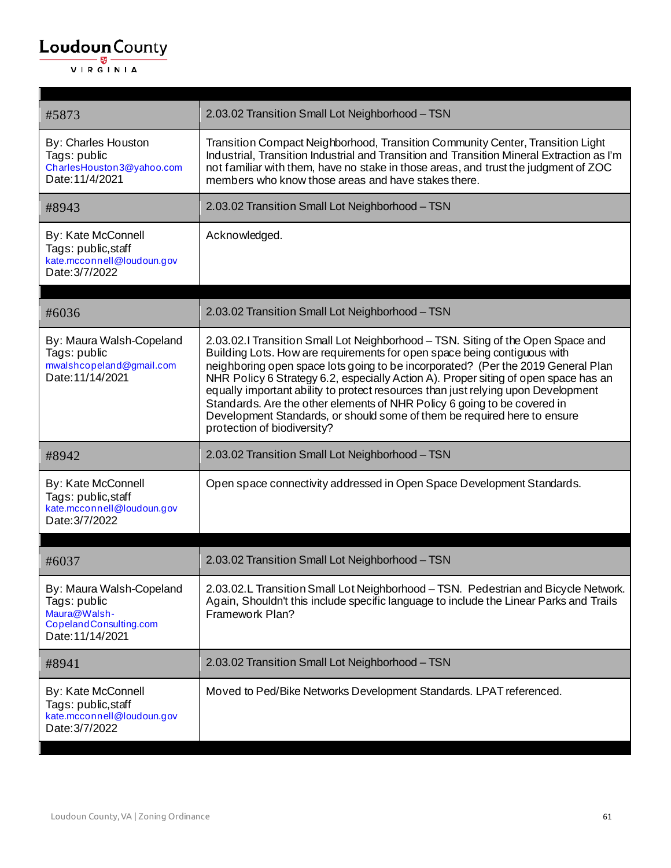$\mathbf{r}$ 

| #5873                                                                                                  | 2.03.02 Transition Small Lot Neighborhood - TSN                                                                                                                                                                                                                                                                                                                                                                                                                                                                                                                                                                    |
|--------------------------------------------------------------------------------------------------------|--------------------------------------------------------------------------------------------------------------------------------------------------------------------------------------------------------------------------------------------------------------------------------------------------------------------------------------------------------------------------------------------------------------------------------------------------------------------------------------------------------------------------------------------------------------------------------------------------------------------|
| By: Charles Houston<br>Tags: public<br>CharlesHouston3@yahoo.com<br>Date: 11/4/2021                    | Transition Compact Neighborhood, Transition Community Center, Transition Light<br>Industrial, Transition Industrial and Transition and Transition Mineral Extraction as I'm<br>not familiar with them, have no stake in those areas, and trust the judgment of ZOC<br>members who know those areas and have stakes there.                                                                                                                                                                                                                                                                                          |
| #8943                                                                                                  | 2.03.02 Transition Small Lot Neighborhood - TSN                                                                                                                                                                                                                                                                                                                                                                                                                                                                                                                                                                    |
| By: Kate McConnell<br>Tags: public, staff<br>kate.mcconnell@loudoun.gov<br>Date: 3/7/2022              | Acknowledged.                                                                                                                                                                                                                                                                                                                                                                                                                                                                                                                                                                                                      |
| #6036                                                                                                  | 2.03.02 Transition Small Lot Neighborhood - TSN                                                                                                                                                                                                                                                                                                                                                                                                                                                                                                                                                                    |
| By: Maura Walsh-Copeland<br>Tags: public<br>mwalshcopeland@gmail.com<br>Date: 11/14/2021               | 2.03.02.I Transition Small Lot Neighborhood - TSN. Siting of the Open Space and<br>Building Lots. How are requirements for open space being contiguous with<br>neighboring open space lots going to be incorporated? (Per the 2019 General Plan<br>NHR Policy 6 Strategy 6.2, especially Action A). Proper siting of open space has an<br>equally important ability to protect resources than just relying upon Development<br>Standards. Are the other elements of NHR Policy 6 going to be covered in<br>Development Standards, or should some of them be required here to ensure<br>protection of biodiversity? |
| #8942                                                                                                  | 2.03.02 Transition Small Lot Neighborhood - TSN                                                                                                                                                                                                                                                                                                                                                                                                                                                                                                                                                                    |
| By: Kate McConnell<br>Tags: public, staff<br>kate.mcconnell@loudoun.gov<br>Date: 3/7/2022              | Open space connectivity addressed in Open Space Development Standards.                                                                                                                                                                                                                                                                                                                                                                                                                                                                                                                                             |
|                                                                                                        |                                                                                                                                                                                                                                                                                                                                                                                                                                                                                                                                                                                                                    |
| #6037                                                                                                  | 2.03.02 Transition Small Lot Neighborhood - TSN                                                                                                                                                                                                                                                                                                                                                                                                                                                                                                                                                                    |
| By: Maura Walsh-Copeland<br>Tags: public<br>Maura@Walsh-<br>CopelandConsulting.com<br>Date: 11/14/2021 | 2.03.02.L Transition Small Lot Neighborhood - TSN. Pedestrian and Bicycle Network.<br>Again, Shouldn't this include specific language to include the Linear Parks and Trails<br>Framework Plan?                                                                                                                                                                                                                                                                                                                                                                                                                    |
| #8941                                                                                                  | 2.03.02 Transition Small Lot Neighborhood - TSN                                                                                                                                                                                                                                                                                                                                                                                                                                                                                                                                                                    |
| By: Kate McConnell<br>Tags: public, staff<br>kate.mcconnell@loudoun.gov<br>Date: 3/7/2022              | Moved to Ped/Bike Networks Development Standards. LPAT referenced.                                                                                                                                                                                                                                                                                                                                                                                                                                                                                                                                                 |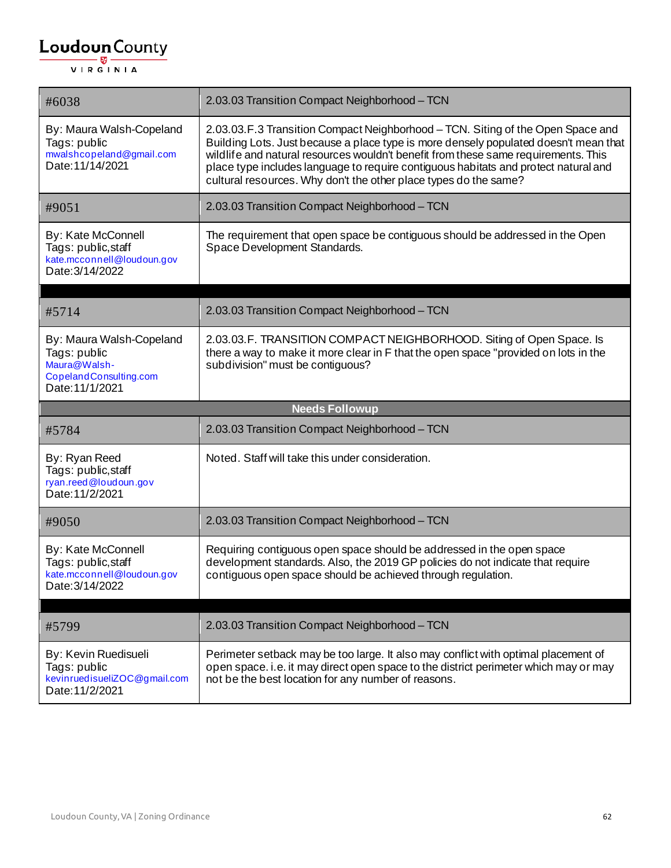| #6038                                                                                                 | 2.03.03 Transition Compact Neighborhood - TCN                                                                                                                                                                                                                                                                                                                                                                            |
|-------------------------------------------------------------------------------------------------------|--------------------------------------------------------------------------------------------------------------------------------------------------------------------------------------------------------------------------------------------------------------------------------------------------------------------------------------------------------------------------------------------------------------------------|
| By: Maura Walsh-Copeland<br>Tags: public<br>mwalshcopeland@gmail.com<br>Date: 11/14/2021              | 2.03.03.F.3 Transition Compact Neighborhood - TCN. Siting of the Open Space and<br>Building Lots. Just because a place type is more densely populated doesn't mean that<br>wildlife and natural resources wouldn't benefit from these same requirements. This<br>place type includes language to require contiguous habitats and protect natural and<br>cultural resources. Why don't the other place types do the same? |
| #9051                                                                                                 | 2.03.03 Transition Compact Neighborhood - TCN                                                                                                                                                                                                                                                                                                                                                                            |
| By: Kate McConnell<br>Tags: public, staff<br>kate.mcconnell@loudoun.gov<br>Date: 3/14/2022            | The requirement that open space be contiguous should be addressed in the Open<br>Space Development Standards.                                                                                                                                                                                                                                                                                                            |
| #5714                                                                                                 | 2.03.03 Transition Compact Neighborhood - TCN                                                                                                                                                                                                                                                                                                                                                                            |
| By: Maura Walsh-Copeland<br>Tags: public<br>Maura@Walsh-<br>CopelandConsulting.com<br>Date: 11/1/2021 | 2.03.03.F. TRANSITION COMPACT NEIGHBORHOOD. Siting of Open Space. Is<br>there a way to make it more clear in F that the open space "provided on lots in the<br>subdivision" must be contiguous?                                                                                                                                                                                                                          |
|                                                                                                       |                                                                                                                                                                                                                                                                                                                                                                                                                          |
|                                                                                                       | <b>Needs Followup</b>                                                                                                                                                                                                                                                                                                                                                                                                    |
| #5784                                                                                                 | 2.03.03 Transition Compact Neighborhood - TCN                                                                                                                                                                                                                                                                                                                                                                            |
| By: Ryan Reed<br>Tags: public, staff<br>ryan.reed@loudoun.gov<br>Date: 11/2/2021                      | Noted. Staff will take this under consideration.                                                                                                                                                                                                                                                                                                                                                                         |
| #9050                                                                                                 | 2.03.03 Transition Compact Neighborhood - TCN                                                                                                                                                                                                                                                                                                                                                                            |
| By: Kate McConnell<br>Tags: public, staff<br>kate.mcconnell@loudoun.gov<br>Date: 3/14/2022            | Requiring contiguous open space should be addressed in the open space<br>development standards. Also, the 2019 GP policies do not indicate that require<br>contiguous open space should be achieved through regulation.                                                                                                                                                                                                  |
|                                                                                                       |                                                                                                                                                                                                                                                                                                                                                                                                                          |
| #5799                                                                                                 | 2.03.03 Transition Compact Neighborhood - TCN                                                                                                                                                                                                                                                                                                                                                                            |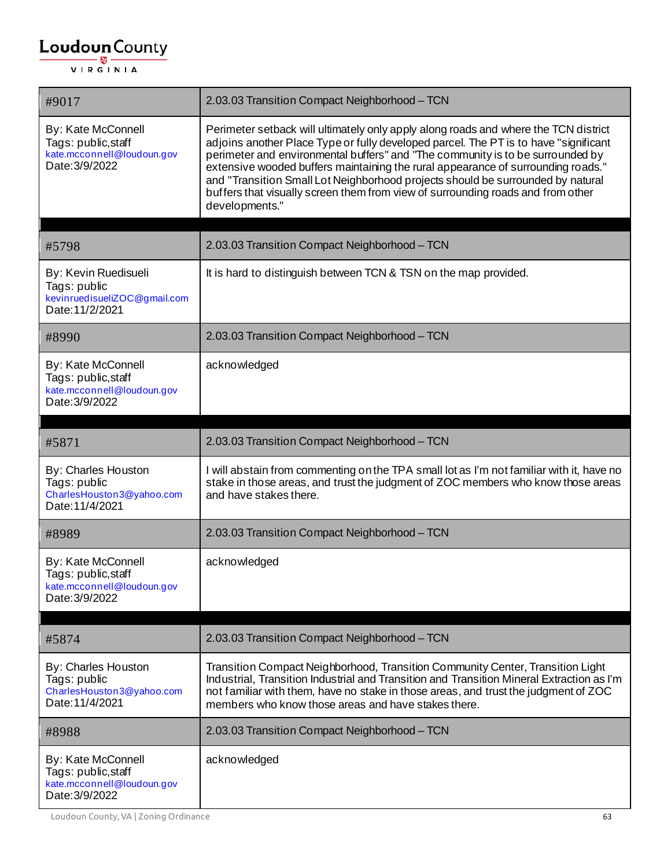| #9017                                                                                     | 2.03.03 Transition Compact Neighborhood - TCN                                                                                                                                                                                                                                                                                                                                                                                                                                                                                             |
|-------------------------------------------------------------------------------------------|-------------------------------------------------------------------------------------------------------------------------------------------------------------------------------------------------------------------------------------------------------------------------------------------------------------------------------------------------------------------------------------------------------------------------------------------------------------------------------------------------------------------------------------------|
| By: Kate McConnell<br>Tags: public, staff<br>kate.mcconnell@loudoun.gov<br>Date: 3/9/2022 | Perimeter setback will ultimately only apply along roads and where the TCN district<br>adjoins another Place Type or fully developed parcel. The PT is to have "significant<br>perimeter and environmental buffers" and "The community is to be surrounded by<br>extensive wooded buffers maintaining the rural appearance of surrounding roads."<br>and "Transition Small Lot Neighborhood projects should be surrounded by natural<br>buffers that visually screen them from view of surrounding roads and from other<br>developments." |
| #5798                                                                                     | 2.03.03 Transition Compact Neighborhood - TCN                                                                                                                                                                                                                                                                                                                                                                                                                                                                                             |
| By: Kevin Ruedisueli<br>Tags: public<br>kevinruedisueliZOC@gmail.com<br>Date: 11/2/2021   | It is hard to distinguish between TCN & TSN on the map provided.                                                                                                                                                                                                                                                                                                                                                                                                                                                                          |
| #8990                                                                                     | 2.03.03 Transition Compact Neighborhood - TCN                                                                                                                                                                                                                                                                                                                                                                                                                                                                                             |
| By: Kate McConnell<br>Tags: public, staff<br>kate.mcconnell@loudoun.gov<br>Date: 3/9/2022 | acknowledged                                                                                                                                                                                                                                                                                                                                                                                                                                                                                                                              |
|                                                                                           |                                                                                                                                                                                                                                                                                                                                                                                                                                                                                                                                           |
| #5871                                                                                     | 2.03.03 Transition Compact Neighborhood - TCN                                                                                                                                                                                                                                                                                                                                                                                                                                                                                             |
| By: Charles Houston<br>Tags: public<br>CharlesHouston3@yahoo.com<br>Date: 11/4/2021       | I will abstain from commenting on the TPA small lot as I'm not familiar with it, have no<br>stake in those areas, and trust the judgment of ZOC members who know those areas<br>and have stakes there.                                                                                                                                                                                                                                                                                                                                    |
| #8989                                                                                     | 2.03.03 Transition Compact Neighborhood - TCN                                                                                                                                                                                                                                                                                                                                                                                                                                                                                             |
| By: Kate McConnell<br>Tags: public, staff<br>kate.mcconnell@loudoun.gov<br>Date: 3/9/2022 | acknowledged                                                                                                                                                                                                                                                                                                                                                                                                                                                                                                                              |
| #5874                                                                                     | 2.03.03 Transition Compact Neighborhood - TCN                                                                                                                                                                                                                                                                                                                                                                                                                                                                                             |
| By: Charles Houston<br>Tags: public<br>CharlesHouston3@yahoo.com<br>Date: 11/4/2021       | Transition Compact Neighborhood, Transition Community Center, Transition Light<br>Industrial, Transition Industrial and Transition and Transition Mineral Extraction as I'm<br>not familiar with them, have no stake in those areas, and trust the judgment of ZOC<br>members who know those areas and have stakes there.                                                                                                                                                                                                                 |
| #8988                                                                                     | 2.03.03 Transition Compact Neighborhood - TCN                                                                                                                                                                                                                                                                                                                                                                                                                                                                                             |
| By: Kate McConnell<br>Tags: public, staff                                                 | acknowledged                                                                                                                                                                                                                                                                                                                                                                                                                                                                                                                              |

Loudoun County, VA | Zoning Ordinance 63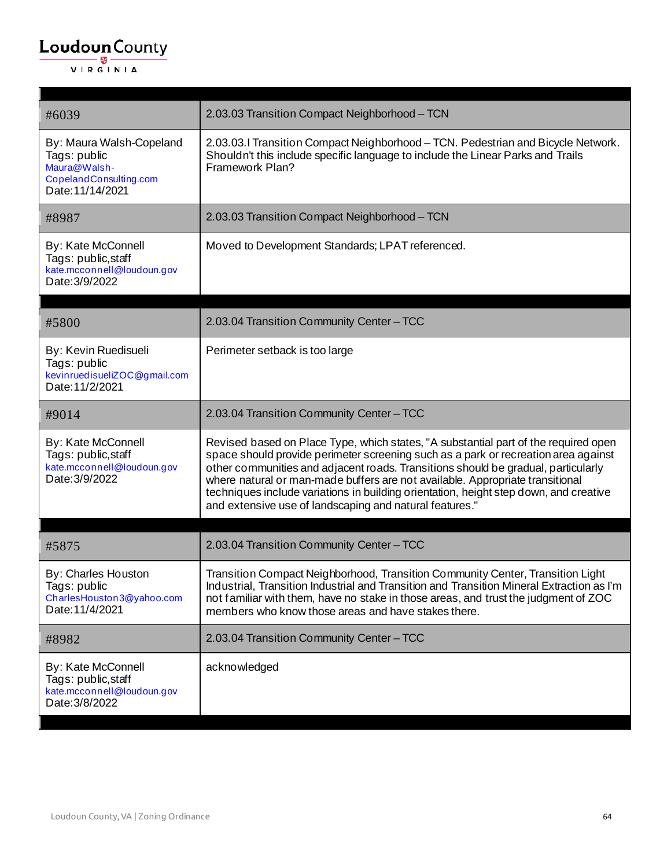$\blacksquare$ 

| #6039                                                                                                  | 2.03.03 Transition Compact Neighborhood - TCN                                                                                                                                                                                                                                                                                                                                                                                                                                                       |
|--------------------------------------------------------------------------------------------------------|-----------------------------------------------------------------------------------------------------------------------------------------------------------------------------------------------------------------------------------------------------------------------------------------------------------------------------------------------------------------------------------------------------------------------------------------------------------------------------------------------------|
| By: Maura Walsh-Copeland<br>Tags: public<br>Maura@Walsh-<br>CopelandConsulting.com<br>Date: 11/14/2021 | 2.03.03.1 Transition Compact Neighborhood - TCN. Pedestrian and Bicycle Network.<br>Shouldn't this include specific language to include the Linear Parks and Trails<br>Framework Plan?                                                                                                                                                                                                                                                                                                              |
| #8987                                                                                                  | 2.03.03 Transition Compact Neighborhood - TCN                                                                                                                                                                                                                                                                                                                                                                                                                                                       |
| By: Kate McConnell<br>Tags: public, staff<br>kate.mcconnell@loudoun.gov<br>Date: 3/9/2022              | Moved to Development Standards; LPAT referenced.                                                                                                                                                                                                                                                                                                                                                                                                                                                    |
| #5800                                                                                                  | 2.03.04 Transition Community Center - TCC                                                                                                                                                                                                                                                                                                                                                                                                                                                           |
| By: Kevin Ruedisueli<br>Tags: public<br>kevinruedisueliZOC@gmail.com<br>Date: 11/2/2021                | Perimeter setback is too large                                                                                                                                                                                                                                                                                                                                                                                                                                                                      |
| #9014                                                                                                  | 2.03.04 Transition Community Center - TCC                                                                                                                                                                                                                                                                                                                                                                                                                                                           |
| By: Kate McConnell<br>Tags: public, staff<br>kate.mcconnell@loudoun.gov<br>Date: 3/9/2022              | Revised based on Place Type, which states, "A substantial part of the required open<br>space should provide perimeter screening such as a park or recreation area against<br>other communities and adjacent roads. Transitions should be gradual, particularly<br>where natural or man-made buffers are not available. Appropriate transitional<br>techniques include variations in building orientation, height step down, and creative<br>and extensive use of landscaping and natural features." |
| #5875                                                                                                  | 2.03.04 Transition Community Center - TCC                                                                                                                                                                                                                                                                                                                                                                                                                                                           |
| By: Charles Houston<br>Tags: public<br>CharlesHouston3@yahoo.com<br>Date: 11/4/2021                    | Transition Compact Neighborhood, Transition Community Center, Transition Light<br>Industrial, Transition Industrial and Transition and Transition Mineral Extraction as I'm<br>not familiar with them, have no stake in those areas, and trust the judgment of ZOC<br>members who know those areas and have stakes there.                                                                                                                                                                           |
| #8982                                                                                                  | 2.03.04 Transition Community Center - TCC                                                                                                                                                                                                                                                                                                                                                                                                                                                           |
| By: Kate McConnell<br>Tags: public, staff<br>kate.mcconnell@loudoun.gov<br>Date: 3/8/2022              | acknowledged                                                                                                                                                                                                                                                                                                                                                                                                                                                                                        |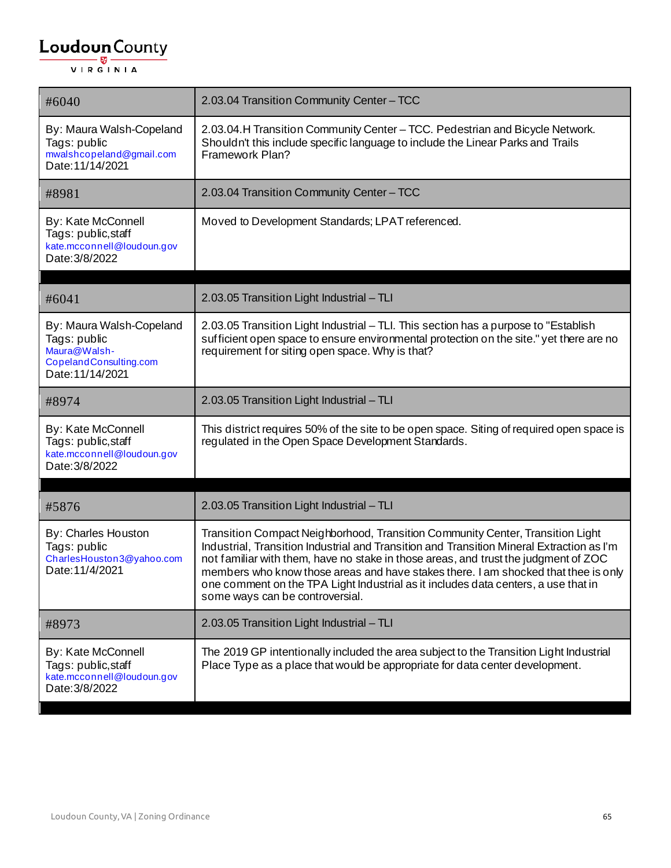| #6040                                                                                                  | 2.03.04 Transition Community Center - TCC                                                                                                                                                                                                                                                                                                                                                                                                                                         |
|--------------------------------------------------------------------------------------------------------|-----------------------------------------------------------------------------------------------------------------------------------------------------------------------------------------------------------------------------------------------------------------------------------------------------------------------------------------------------------------------------------------------------------------------------------------------------------------------------------|
| By: Maura Walsh-Copeland<br>Tags: public<br>mwalshcopeland@gmail.com<br>Date: 11/14/2021               | 2.03.04. H Transition Community Center - TCC. Pedestrian and Bicycle Network.<br>Shouldn't this include specific language to include the Linear Parks and Trails<br>Framework Plan?                                                                                                                                                                                                                                                                                               |
| #8981                                                                                                  | 2.03.04 Transition Community Center - TCC                                                                                                                                                                                                                                                                                                                                                                                                                                         |
| By: Kate McConnell<br>Tags: public, staff<br>kate.mcconnell@loudoun.gov<br>Date: 3/8/2022              | Moved to Development Standards; LPAT referenced.                                                                                                                                                                                                                                                                                                                                                                                                                                  |
| #6041                                                                                                  | 2.03.05 Transition Light Industrial - TLI                                                                                                                                                                                                                                                                                                                                                                                                                                         |
| By: Maura Walsh-Copeland<br>Tags: public<br>Maura@Walsh-<br>CopelandConsulting.com<br>Date: 11/14/2021 | 2.03.05 Transition Light Industrial - TLI. This section has a purpose to "Establish<br>sufficient open space to ensure environmental protection on the site." yet there are no<br>requirement for siting open space. Why is that?                                                                                                                                                                                                                                                 |
| #8974                                                                                                  | 2.03.05 Transition Light Industrial - TLI                                                                                                                                                                                                                                                                                                                                                                                                                                         |
| By: Kate McConnell<br>Tags: public, staff<br>kate.mcconnell@loudoun.gov<br>Date: 3/8/2022              | This district requires 50% of the site to be open space. Siting of required open space is<br>regulated in the Open Space Development Standards.                                                                                                                                                                                                                                                                                                                                   |
|                                                                                                        |                                                                                                                                                                                                                                                                                                                                                                                                                                                                                   |
| #5876                                                                                                  | 2.03.05 Transition Light Industrial - TLI                                                                                                                                                                                                                                                                                                                                                                                                                                         |
| By: Charles Houston<br>Tags: public<br>CharlesHouston3@yahoo.com<br>Date: 11/4/2021                    | Transition Compact Neighborhood, Transition Community Center, Transition Light<br>Industrial, Transition Industrial and Transition and Transition Mineral Extraction as I'm<br>not familiar with them, have no stake in those areas, and trust the judgment of ZOC<br>members who know those areas and have stakes there. I am shocked that thee is only<br>one comment on the TPA Light Industrial as it includes data centers, a use that in<br>some ways can be controversial. |
| #8973                                                                                                  | 2.03.05 Transition Light Industrial - TLI                                                                                                                                                                                                                                                                                                                                                                                                                                         |
| By: Kate McConnell<br>Tags: public, staff<br>kate.mcconnell@loudoun.gov<br>Date: 3/8/2022              | The 2019 GP intentionally included the area subject to the Transition Light Industrial<br>Place Type as a place that would be appropriate for data center development.                                                                                                                                                                                                                                                                                                            |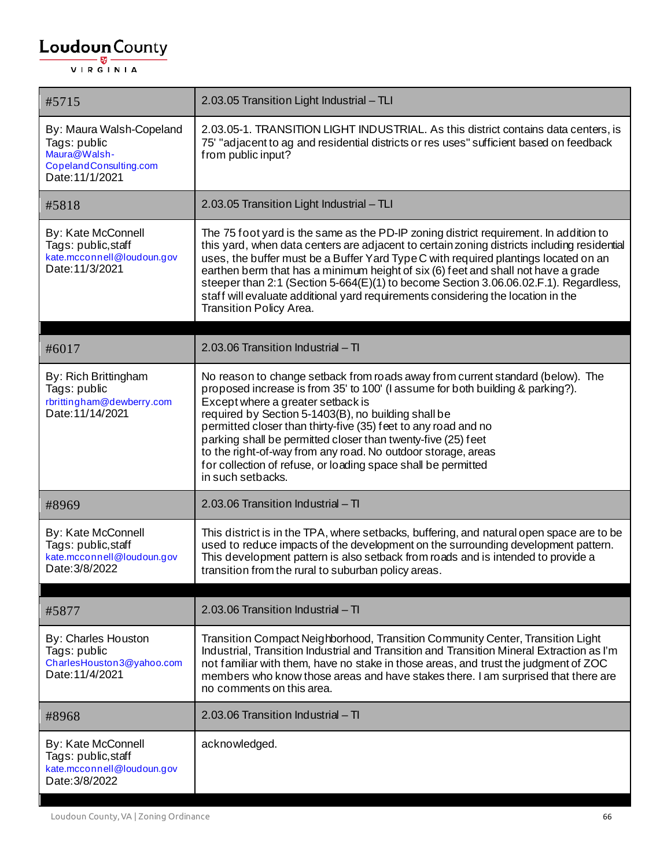| #5715                                                                                                 | 2.03.05 Transition Light Industrial - TLI                                                                                                                                                                                                                                                                                                                                                                                                                                                                                                                                      |
|-------------------------------------------------------------------------------------------------------|--------------------------------------------------------------------------------------------------------------------------------------------------------------------------------------------------------------------------------------------------------------------------------------------------------------------------------------------------------------------------------------------------------------------------------------------------------------------------------------------------------------------------------------------------------------------------------|
| By: Maura Walsh-Copeland<br>Tags: public<br>Maura@Walsh-<br>CopelandConsulting.com<br>Date: 11/1/2021 | 2.03.05-1. TRANSITION LIGHT INDUSTRIAL. As this district contains data centers, is<br>75' "adjacent to ag and residential districts or res uses" sufficient based on feedback<br>from public input?                                                                                                                                                                                                                                                                                                                                                                            |
| #5818                                                                                                 | 2.03.05 Transition Light Industrial - TLI                                                                                                                                                                                                                                                                                                                                                                                                                                                                                                                                      |
| By: Kate McConnell<br>Tags: public, staff<br>kate.mcconnell@loudoun.gov<br>Date: 11/3/2021            | The 75 foot yard is the same as the PD-IP zoning district requirement. In addition to<br>this yard, when data centers are adjacent to certain zoning districts including residential<br>uses, the buffer must be a Buffer Yard Type C with required plantings located on an<br>earthen berm that has a minimum height of six (6) feet and shall not have a grade<br>steeper than 2:1 (Section 5-664(E)(1) to become Section 3.06.06.02.F.1). Regardless,<br>staff will evaluate additional yard requirements considering the location in the<br><b>Transition Policy Area.</b> |
|                                                                                                       |                                                                                                                                                                                                                                                                                                                                                                                                                                                                                                                                                                                |
| #6017                                                                                                 | 2.03.06 Transition Industrial - TI                                                                                                                                                                                                                                                                                                                                                                                                                                                                                                                                             |
| By: Rich Brittingham<br>Tags: public<br>rbrittingham@dewberry.com<br>Date: 11/14/2021                 | No reason to change setback from roads away from current standard (below). The<br>proposed increase is from 35' to 100' (I assume for both building & parking?).<br>Except where a greater setback is<br>required by Section 5-1403(B), no building shall be<br>permitted closer than thirty-five (35) feet to any road and no<br>parking shall be permitted closer than twenty-five (25) feet<br>to the right-of-way from any road. No outdoor storage, areas<br>for collection of refuse, or loading space shall be permitted<br>in such setbacks.                           |
| #8969                                                                                                 | 2.03.06 Transition Industrial - TI                                                                                                                                                                                                                                                                                                                                                                                                                                                                                                                                             |
| By: Kate McConnell<br>Tags: public, staff<br>kate.mcconnell@loudoun.gov<br>Date: 3/8/2022             | This district is in the TPA, where setbacks, buffering, and natural open space are to be<br>used to reduce impacts of the development on the surrounding development pattern.<br>This development pattern is also setback from roads and is intended to provide a<br>transition from the rural to suburban policy areas.                                                                                                                                                                                                                                                       |
|                                                                                                       |                                                                                                                                                                                                                                                                                                                                                                                                                                                                                                                                                                                |
| #5877                                                                                                 | 2.03.06 Transition Industrial $-$ TI                                                                                                                                                                                                                                                                                                                                                                                                                                                                                                                                           |
| By: Charles Houston<br>Tags: public<br>CharlesHouston3@yahoo.com<br>Date: 11/4/2021                   | Transition Compact Neighborhood, Transition Community Center, Transition Light<br>Industrial, Transition Industrial and Transition and Transition Mineral Extraction as I'm<br>not familiar with them, have no stake in those areas, and trust the judgment of ZOC<br>members who know those areas and have stakes there. I am surprised that there are<br>no comments on this area.                                                                                                                                                                                           |
| #8968                                                                                                 | 2.03.06 Transition Industrial - TI                                                                                                                                                                                                                                                                                                                                                                                                                                                                                                                                             |
| By: Kate McConnell<br>Tags: public, staff<br>kate.mcconnell@loudoun.gov<br>Date: 3/8/2022             | acknowledged.                                                                                                                                                                                                                                                                                                                                                                                                                                                                                                                                                                  |

 $\mathbf{I}$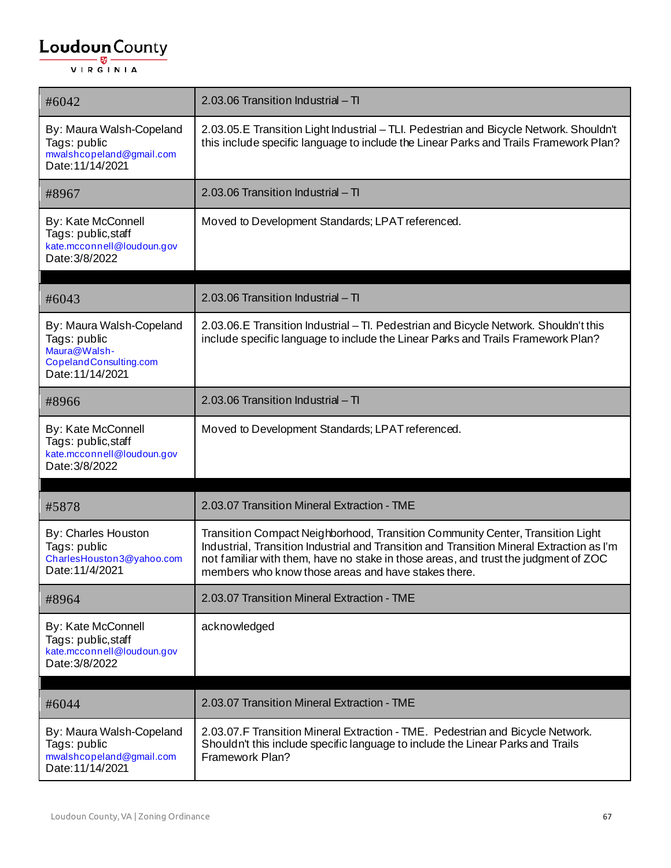| #6042                                                                                                  | 2.03.06 Transition Industrial - TI                                                                                                                                                                                                                                                                                        |
|--------------------------------------------------------------------------------------------------------|---------------------------------------------------------------------------------------------------------------------------------------------------------------------------------------------------------------------------------------------------------------------------------------------------------------------------|
| By: Maura Walsh-Copeland<br>Tags: public<br>mwalshcopeland@gmail.com<br>Date: 11/14/2021               | 2.03.05.E Transition Light Industrial - TLI. Pedestrian and Bicycle Network. Shouldn't<br>this include specific language to include the Linear Parks and Trails Framework Plan?                                                                                                                                           |
| #8967                                                                                                  | 2.03.06 Transition Industrial - TI                                                                                                                                                                                                                                                                                        |
| <b>By: Kate McConnell</b><br>Tags: public, staff<br>kate.mcconnell@loudoun.gov<br>Date: 3/8/2022       | Moved to Development Standards; LPAT referenced.                                                                                                                                                                                                                                                                          |
| #6043                                                                                                  | 2.03.06 Transition Industrial - TI                                                                                                                                                                                                                                                                                        |
| By: Maura Walsh-Copeland<br>Tags: public<br>Maura@Walsh-<br>CopelandConsulting.com<br>Date: 11/14/2021 | 2.03.06.E Transition Industrial - Tl. Pedestrian and Bicycle Network. Shouldn't this<br>include specific language to include the Linear Parks and Trails Framework Plan?                                                                                                                                                  |
| #8966                                                                                                  | 2.03.06 Transition Industrial - TI                                                                                                                                                                                                                                                                                        |
| By: Kate McConnell<br>Tags: public, staff<br>kate.mcconnell@loudoun.gov<br>Date: 3/8/2022              | Moved to Development Standards; LPAT referenced.                                                                                                                                                                                                                                                                          |
| #5878                                                                                                  | 2.03.07 Transition Mineral Extraction - TME                                                                                                                                                                                                                                                                               |
| By: Charles Houston<br>Tags: public<br>CharlesHouston3@yahoo.com<br>Date: 11/4/2021                    | Transition Compact Neighborhood, Transition Community Center, Transition Light<br>Industrial, Transition Industrial and Transition and Transition Mineral Extraction as I'm<br>not familiar with them, have no stake in those areas, and trust the judgment of ZOC<br>members who know those areas and have stakes there. |
| #8964                                                                                                  | 2.03.07 Transition Mineral Extraction - TME                                                                                                                                                                                                                                                                               |
| By: Kate McConnell<br>Tags: public, staff<br>kate.mcconnell@loudoun.gov<br>Date: 3/8/2022              | acknowledged                                                                                                                                                                                                                                                                                                              |
| #6044                                                                                                  | 2.03.07 Transition Mineral Extraction - TME                                                                                                                                                                                                                                                                               |
|                                                                                                        |                                                                                                                                                                                                                                                                                                                           |
| By: Maura Walsh-Copeland<br>Tags: public<br>mwalshcopeland@gmail.com<br>Date: 11/14/2021               | 2.03.07.F Transition Mineral Extraction - TME. Pedestrian and Bicycle Network.<br>Shouldn't this include specific language to include the Linear Parks and Trails<br>Framework Plan?                                                                                                                                      |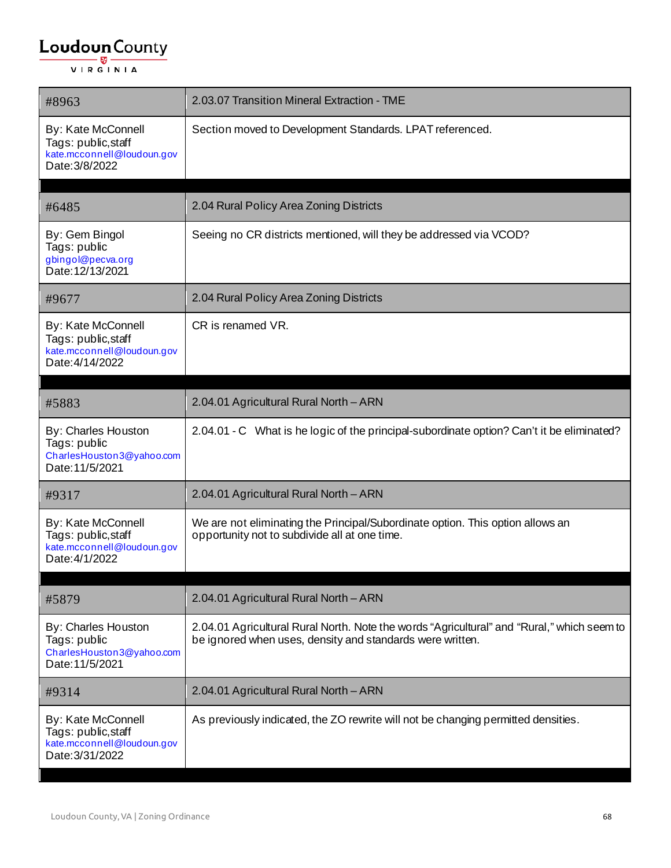| #8963                                                                                             | 2.03.07 Transition Mineral Extraction - TME                                                                                                             |
|---------------------------------------------------------------------------------------------------|---------------------------------------------------------------------------------------------------------------------------------------------------------|
| By: Kate McConnell<br>Tags: public, staff<br>kate.mcconnell@loudoun.gov<br>Date: 3/8/2022         | Section moved to Development Standards. LPAT referenced.                                                                                                |
| #6485                                                                                             | 2.04 Rural Policy Area Zoning Districts                                                                                                                 |
| By: Gem Bingol<br>Tags: public<br>gbingol@pecva.org<br>Date: 12/13/2021                           | Seeing no CR districts mentioned, will they be addressed via VCOD?                                                                                      |
| #9677                                                                                             | 2.04 Rural Policy Area Zoning Districts                                                                                                                 |
| <b>By: Kate McConnell</b><br>Tags: public, staff<br>kate.mcconnell@loudoun.gov<br>Date: 4/14/2022 | CR is renamed VR.                                                                                                                                       |
| #5883                                                                                             | 2.04.01 Agricultural Rural North - ARN                                                                                                                  |
| By: Charles Houston<br>Tags: public<br>CharlesHouston3@yahoo.com<br>Date: 11/5/2021               | 2.04.01 - C What is he logic of the principal-subordinate option? Can't it be eliminated?                                                               |
| #9317                                                                                             | 2.04.01 Agricultural Rural North - ARN                                                                                                                  |
| <b>By: Kate McConnell</b><br>Tags: public, staff<br>kate.mcconnell@loudoun.gov<br>Date: 4/1/2022  | We are not eliminating the Principal/Subordinate option. This option allows an<br>opportunity not to subdivide all at one time.                         |
| #5879                                                                                             | 2.04.01 Agricultural Rural North - ARN                                                                                                                  |
| By: Charles Houston<br>Tags: public<br>CharlesHouston3@yahoo.com<br>Date: 11/5/2021               | 2.04.01 Agricultural Rural North. Note the words "Agricultural" and "Rural," which seem to<br>be ignored when uses, density and standards were written. |
| #9314                                                                                             | 2.04.01 Agricultural Rural North - ARN                                                                                                                  |
| By: Kate McConnell<br>Tags: public, staff<br>kate.mcconnell@loudoun.gov<br>Date: 3/31/2022        | As previously indicated, the ZO rewrite will not be changing permitted densities.                                                                       |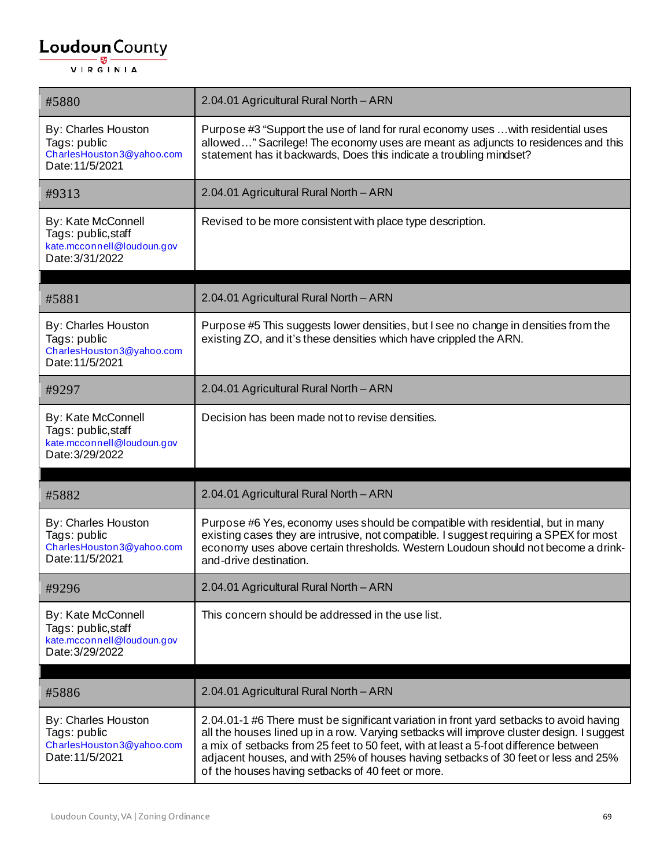| #5880                                                                                             | 2.04.01 Agricultural Rural North - ARN                                                                                                                                                                                                                                                                                                                                                                                  |
|---------------------------------------------------------------------------------------------------|-------------------------------------------------------------------------------------------------------------------------------------------------------------------------------------------------------------------------------------------------------------------------------------------------------------------------------------------------------------------------------------------------------------------------|
| By: Charles Houston<br>Tags: public<br>CharlesHouston3@yahoo.com<br>Date: 11/5/2021               | Purpose #3 "Support the use of land for rural economy uses  with residential uses<br>allowed" Sacrilege! The economy uses are meant as adjuncts to residences and this<br>statement has it backwards, Does this indicate a troubling mindset?                                                                                                                                                                           |
| #9313                                                                                             | 2.04.01 Agricultural Rural North - ARN                                                                                                                                                                                                                                                                                                                                                                                  |
| By: Kate McConnell<br>Tags: public, staff<br>kate.mcconnell@loudoun.gov<br>Date: 3/31/2022        | Revised to be more consistent with place type description.                                                                                                                                                                                                                                                                                                                                                              |
| #5881                                                                                             | 2.04.01 Agricultural Rural North - ARN                                                                                                                                                                                                                                                                                                                                                                                  |
| By: Charles Houston<br>Tags: public<br>CharlesHouston3@yahoo.com<br>Date: 11/5/2021               | Purpose #5 This suggests lower densities, but I see no change in densities from the<br>existing ZO, and it's these densities which have crippled the ARN.                                                                                                                                                                                                                                                               |
| #9297                                                                                             | 2.04.01 Agricultural Rural North - ARN                                                                                                                                                                                                                                                                                                                                                                                  |
| <b>By: Kate McConnell</b><br>Tags: public, staff<br>kate.mcconnell@loudoun.gov<br>Date: 3/29/2022 | Decision has been made not to revise densities.                                                                                                                                                                                                                                                                                                                                                                         |
| #5882                                                                                             | 2.04.01 Agricultural Rural North - ARN                                                                                                                                                                                                                                                                                                                                                                                  |
| <b>By: Charles Houston</b><br>Tags: public<br>CharlesHouston3@yahoo.com<br>Date: 11/5/2021        | Purpose #6 Yes, economy uses should be compatible with residential, but in many<br>existing cases they are intrusive, not compatible. I suggest requiring a SPEX for most<br>economy uses above certain thresholds. Western Loudoun should not become a drink-<br>and-drive destination.                                                                                                                                |
| #9296                                                                                             | 2.04.01 Agricultural Rural North - ARN                                                                                                                                                                                                                                                                                                                                                                                  |
| By: Kate McConnell<br>Tags: public, staff<br>kate.mcconnell@loudoun.gov<br>Date: 3/29/2022        | This concern should be addressed in the use list.                                                                                                                                                                                                                                                                                                                                                                       |
| #5886                                                                                             | 2.04.01 Agricultural Rural North - ARN                                                                                                                                                                                                                                                                                                                                                                                  |
| By: Charles Houston<br>Tags: public<br>CharlesHouston3@yahoo.com<br>Date: 11/5/2021               | 2.04.01-1 #6 There must be significant variation in front yard setbacks to avoid having<br>all the houses lined up in a row. Varying setbacks will improve cluster design. I suggest<br>a mix of setbacks from 25 feet to 50 feet, with at least a 5-foot difference between<br>adjacent houses, and with 25% of houses having setbacks of 30 feet or less and 25%<br>of the houses having setbacks of 40 feet or more. |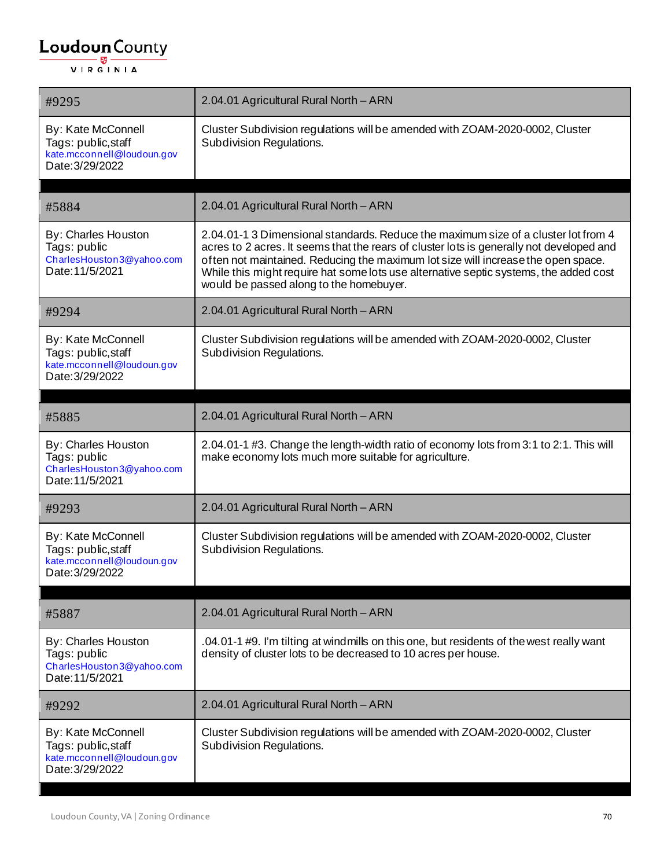| #9295                                                                                      | 2.04.01 Agricultural Rural North - ARN                                                                                                                                                                                                                                                                                                                                                                  |
|--------------------------------------------------------------------------------------------|---------------------------------------------------------------------------------------------------------------------------------------------------------------------------------------------------------------------------------------------------------------------------------------------------------------------------------------------------------------------------------------------------------|
| By: Kate McConnell<br>Tags: public, staff<br>kate.mcconnell@loudoun.gov<br>Date: 3/29/2022 | Cluster Subdivision regulations will be amended with ZOAM-2020-0002, Cluster<br>Subdivision Regulations.                                                                                                                                                                                                                                                                                                |
| #5884                                                                                      | 2.04.01 Agricultural Rural North - ARN                                                                                                                                                                                                                                                                                                                                                                  |
| By: Charles Houston<br>Tags: public<br>CharlesHouston3@yahoo.com<br>Date: 11/5/2021        | 2.04.01-1 3 Dimensional standards. Reduce the maximum size of a cluster lot from 4<br>acres to 2 acres. It seems that the rears of cluster lots is generally not developed and<br>often not maintained. Reducing the maximum lot size will increase the open space.<br>While this might require hat some lots use alternative septic systems, the added cost<br>would be passed along to the homebuyer. |
| #9294                                                                                      | 2.04.01 Agricultural Rural North - ARN                                                                                                                                                                                                                                                                                                                                                                  |
| By: Kate McConnell<br>Tags: public, staff<br>kate.mcconnell@loudoun.gov<br>Date: 3/29/2022 | Cluster Subdivision regulations will be amended with ZOAM-2020-0002, Cluster<br><b>Subdivision Regulations.</b>                                                                                                                                                                                                                                                                                         |
| #5885                                                                                      | 2.04.01 Agricultural Rural North - ARN                                                                                                                                                                                                                                                                                                                                                                  |
| By: Charles Houston<br>Tags: public<br>CharlesHouston3@yahoo.com<br>Date: 11/5/2021        | 2.04.01-1 #3. Change the length-width ratio of economy lots from 3:1 to 2:1. This will<br>make economy lots much more suitable for agriculture.                                                                                                                                                                                                                                                         |
| #9293                                                                                      | 2.04.01 Agricultural Rural North - ARN                                                                                                                                                                                                                                                                                                                                                                  |
| By: Kate McConnell<br>Tags: public, staff<br>kate.mcconnell@loudoun.gov<br>Date: 3/29/2022 | Cluster Subdivision regulations will be amended with ZOAM-2020-0002, Cluster<br>Subdivision Regulations.                                                                                                                                                                                                                                                                                                |
| #5887                                                                                      | 2.04.01 Agricultural Rural North - ARN                                                                                                                                                                                                                                                                                                                                                                  |
| By: Charles Houston<br>Tags: public<br>CharlesHouston3@yahoo.com<br>Date: 11/5/2021        | .04.01-1 #9. I'm tilting at windmills on this one, but residents of the west really want<br>density of cluster lots to be decreased to 10 acres per house.                                                                                                                                                                                                                                              |
| #9292                                                                                      | 2.04.01 Agricultural Rural North - ARN                                                                                                                                                                                                                                                                                                                                                                  |
| By: Kate McConnell<br>Tags: public, staff<br>kate.mcconnell@loudoun.gov<br>Date: 3/29/2022 | Cluster Subdivision regulations will be amended with ZOAM-2020-0002, Cluster<br>Subdivision Regulations.                                                                                                                                                                                                                                                                                                |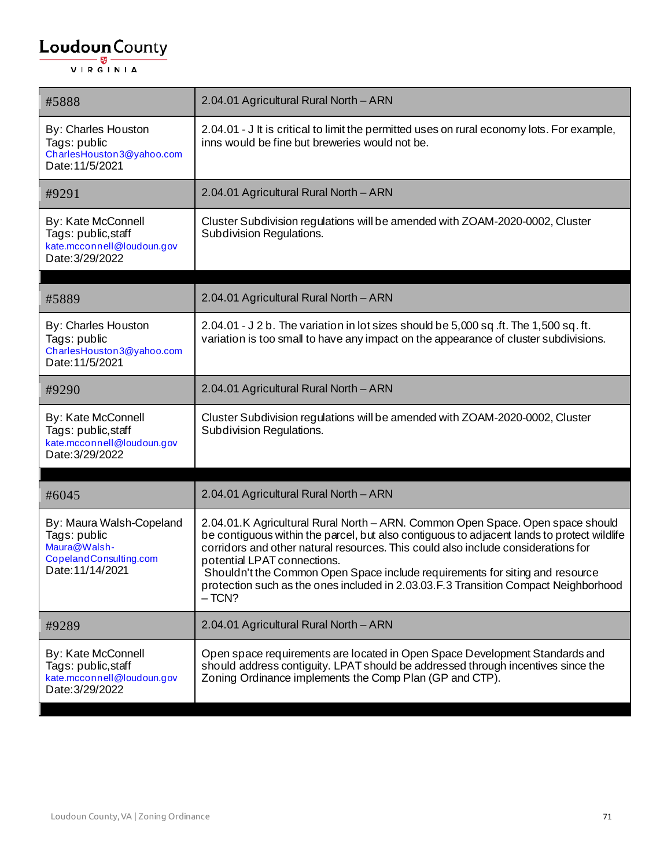| #5888                                                                                                  | 2.04.01 Agricultural Rural North - ARN                                                                                                                                                                                                                                                                                                                                                                                                                                             |
|--------------------------------------------------------------------------------------------------------|------------------------------------------------------------------------------------------------------------------------------------------------------------------------------------------------------------------------------------------------------------------------------------------------------------------------------------------------------------------------------------------------------------------------------------------------------------------------------------|
| By: Charles Houston<br>Tags: public<br>CharlesHouston3@yahoo.com<br>Date: 11/5/2021                    | 2.04.01 - J It is critical to limit the permitted uses on rural economy lots. For example,<br>inns would be fine but breweries would not be.                                                                                                                                                                                                                                                                                                                                       |
| #9291                                                                                                  | 2.04.01 Agricultural Rural North - ARN                                                                                                                                                                                                                                                                                                                                                                                                                                             |
| <b>By: Kate McConnell</b><br>Tags: public, staff<br>kate.mcconnell@loudoun.gov<br>Date: 3/29/2022      | Cluster Subdivision regulations will be amended with ZOAM-2020-0002, Cluster<br>Subdivision Regulations.                                                                                                                                                                                                                                                                                                                                                                           |
| #5889                                                                                                  | 2.04.01 Agricultural Rural North - ARN                                                                                                                                                                                                                                                                                                                                                                                                                                             |
| By: Charles Houston<br>Tags: public<br>CharlesHouston3@yahoo.com<br>Date: 11/5/2021                    | 2.04.01 - J 2 b. The variation in lot sizes should be 5,000 sq.ft. The 1,500 sq.ft.<br>variation is too small to have any impact on the appearance of cluster subdivisions.                                                                                                                                                                                                                                                                                                        |
| #9290                                                                                                  | 2.04.01 Agricultural Rural North - ARN                                                                                                                                                                                                                                                                                                                                                                                                                                             |
| By: Kate McConnell<br>Tags: public, staff<br>kate.mcconnell@loudoun.gov<br>Date: 3/29/2022             | Cluster Subdivision regulations will be amended with ZOAM-2020-0002, Cluster<br>Subdivision Regulations.                                                                                                                                                                                                                                                                                                                                                                           |
| #6045                                                                                                  | 2.04.01 Agricultural Rural North - ARN                                                                                                                                                                                                                                                                                                                                                                                                                                             |
| By: Maura Walsh-Copeland<br>Tags: public<br>Maura@Walsh-<br>CopelandConsulting.com<br>Date: 11/14/2021 | 2.04.01.K Agricultural Rural North - ARN. Common Open Space. Open space should<br>be contiguous within the parcel, but also contiguous to adjacent lands to protect wildlife<br>corridors and other natural resources. This could also include considerations for<br>potential LPAT connections.<br>Shouldn't the Common Open Space include requirements for siting and resource<br>protection such as the ones included in 2.03.03.F.3 Transition Compact Neighborhood<br>$-TCN?$ |
| #9289                                                                                                  | 2.04.01 Agricultural Rural North - ARN                                                                                                                                                                                                                                                                                                                                                                                                                                             |
| By: Kate McConnell<br>Tags: public, staff<br>kate.mcconnell@loudoun.gov<br>Date: 3/29/2022             | Open space requirements are located in Open Space Development Standards and<br>should address contiguity. LPAT should be addressed through incentives since the<br>Zoning Ordinance implements the Comp Plan (GP and CTP).                                                                                                                                                                                                                                                         |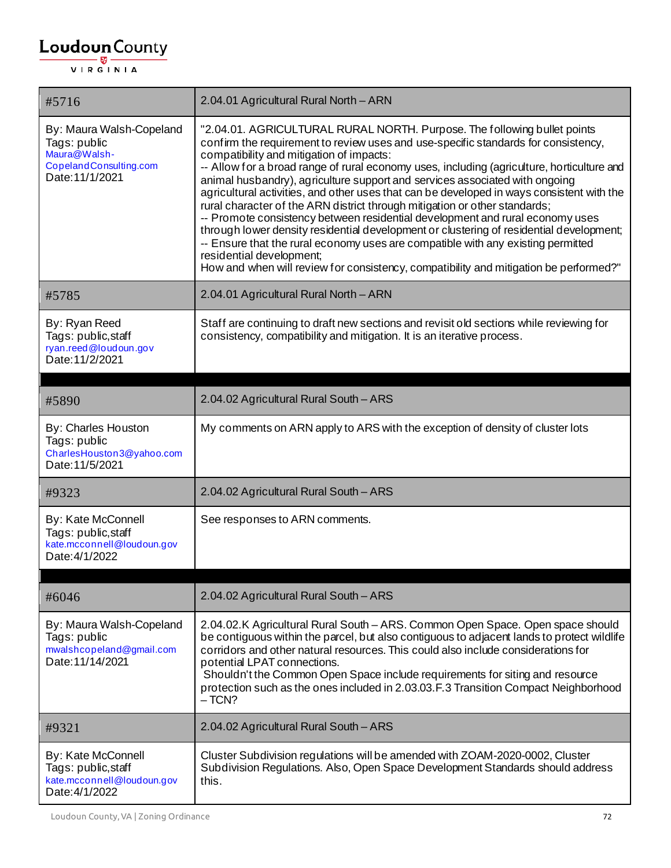| #5716                                                                                                 | 2.04.01 Agricultural Rural North - ARN                                                                                                                                                                                                                                                                                                                                                                                                                                                                                                                                                                                                                                                                                                                                                                                                                                                                                                                  |
|-------------------------------------------------------------------------------------------------------|---------------------------------------------------------------------------------------------------------------------------------------------------------------------------------------------------------------------------------------------------------------------------------------------------------------------------------------------------------------------------------------------------------------------------------------------------------------------------------------------------------------------------------------------------------------------------------------------------------------------------------------------------------------------------------------------------------------------------------------------------------------------------------------------------------------------------------------------------------------------------------------------------------------------------------------------------------|
| By: Maura Walsh-Copeland<br>Tags: public<br>Maura@Walsh-<br>CopelandConsulting.com<br>Date: 11/1/2021 | "2.04.01. AGRICULTURAL RURAL NORTH. Purpose. The following bullet points<br>confirm the requirement to review uses and use-specific standards for consistency,<br>compatibility and mitigation of impacts:<br>-- Allow for a broad range of rural economy uses, including (agriculture, horticulture and<br>animal husbandry), agriculture support and services associated with ongoing<br>agricultural activities, and other uses that can be developed in ways consistent with the<br>rural character of the ARN district through mitigation or other standards;<br>-- Promote consistency between residential development and rural economy uses<br>through lower density residential development or clustering of residential development;<br>-- Ensure that the rural economy uses are compatible with any existing permitted<br>residential development;<br>How and when will review for consistency, compatibility and mitigation be performed?" |
| #5785                                                                                                 | 2.04.01 Agricultural Rural North - ARN                                                                                                                                                                                                                                                                                                                                                                                                                                                                                                                                                                                                                                                                                                                                                                                                                                                                                                                  |
| By: Ryan Reed<br>Tags: public, staff<br>ryan.reed@loudoun.gov<br>Date: 11/2/2021                      | Staff are continuing to draft new sections and revisit old sections while reviewing for<br>consistency, compatibility and mitigation. It is an iterative process.                                                                                                                                                                                                                                                                                                                                                                                                                                                                                                                                                                                                                                                                                                                                                                                       |
| #5890                                                                                                 | 2.04.02 Agricultural Rural South - ARS                                                                                                                                                                                                                                                                                                                                                                                                                                                                                                                                                                                                                                                                                                                                                                                                                                                                                                                  |
| By: Charles Houston<br>Tags: public<br>CharlesHouston3@yahoo.com<br>Date: 11/5/2021                   | My comments on ARN apply to ARS with the exception of density of cluster lots                                                                                                                                                                                                                                                                                                                                                                                                                                                                                                                                                                                                                                                                                                                                                                                                                                                                           |
| #9323                                                                                                 | 2.04.02 Agricultural Rural South - ARS                                                                                                                                                                                                                                                                                                                                                                                                                                                                                                                                                                                                                                                                                                                                                                                                                                                                                                                  |
| By: Kate McConnell<br>Tags: public, staff<br>kate.mcconnell@loudoun.gov<br>Date: 4/1/2022             | See responses to ARN comments.                                                                                                                                                                                                                                                                                                                                                                                                                                                                                                                                                                                                                                                                                                                                                                                                                                                                                                                          |
| #6046                                                                                                 | 2.04.02 Agricultural Rural South - ARS                                                                                                                                                                                                                                                                                                                                                                                                                                                                                                                                                                                                                                                                                                                                                                                                                                                                                                                  |
| By: Maura Walsh-Copeland<br>Tags: public<br>mwalshcopeland@gmail.com<br>Date: 11/14/2021              | 2.04.02.K Agricultural Rural South - ARS. Common Open Space. Open space should<br>be contiguous within the parcel, but also contiguous to adjacent lands to protect wildlife<br>corridors and other natural resources. This could also include considerations for<br>potential LPAT connections.<br>Shouldn't the Common Open Space include requirements for siting and resource<br>protection such as the ones included in 2.03.03.F.3 Transition Compact Neighborhood<br>$-TCN?$                                                                                                                                                                                                                                                                                                                                                                                                                                                                      |
| #9321                                                                                                 | 2.04.02 Agricultural Rural South - ARS                                                                                                                                                                                                                                                                                                                                                                                                                                                                                                                                                                                                                                                                                                                                                                                                                                                                                                                  |
| By: Kate McConnell<br>Tags: public, staff<br>kate.mcconnell@loudoun.gov<br>Date: 4/1/2022             | Cluster Subdivision regulations will be amended with ZOAM-2020-0002, Cluster<br>Subdivision Regulations. Also, Open Space Development Standards should address<br>this.                                                                                                                                                                                                                                                                                                                                                                                                                                                                                                                                                                                                                                                                                                                                                                                 |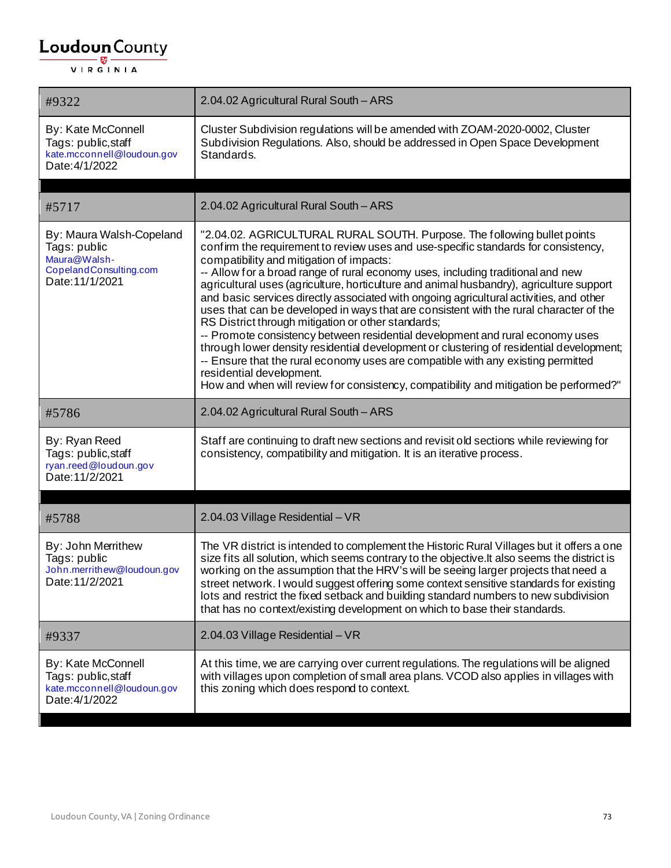| #9322                                                                                                 | 2.04.02 Agricultural Rural South - ARS                                                                                                                                                                                                                                                                                                                                                                                                                                                                                                                                                                                                                                                                                                                                                                                                                                                                                                                                                                                  |
|-------------------------------------------------------------------------------------------------------|-------------------------------------------------------------------------------------------------------------------------------------------------------------------------------------------------------------------------------------------------------------------------------------------------------------------------------------------------------------------------------------------------------------------------------------------------------------------------------------------------------------------------------------------------------------------------------------------------------------------------------------------------------------------------------------------------------------------------------------------------------------------------------------------------------------------------------------------------------------------------------------------------------------------------------------------------------------------------------------------------------------------------|
| By: Kate McConnell<br>Tags: public, staff<br>kate.mcconnell@loudoun.gov<br>Date: 4/1/2022             | Cluster Subdivision regulations will be amended with ZOAM-2020-0002, Cluster<br>Subdivision Regulations. Also, should be addressed in Open Space Development<br>Standards.                                                                                                                                                                                                                                                                                                                                                                                                                                                                                                                                                                                                                                                                                                                                                                                                                                              |
| #5717                                                                                                 | 2.04.02 Agricultural Rural South - ARS                                                                                                                                                                                                                                                                                                                                                                                                                                                                                                                                                                                                                                                                                                                                                                                                                                                                                                                                                                                  |
| By: Maura Walsh-Copeland<br>Tags: public<br>Maura@Walsh-<br>CopelandConsulting.com<br>Date: 11/1/2021 | "2.04.02. AGRICULTURAL RURAL SOUTH. Purpose. The following bullet points<br>confirm the requirement to review uses and use-specific standards for consistency,<br>compatibility and mitigation of impacts:<br>-- Allow for a broad range of rural economy uses, including traditional and new<br>agricultural uses (agriculture, horticulture and animal husbandry), agriculture support<br>and basic services directly associated with ongoing agricultural activities, and other<br>uses that can be developed in ways that are consistent with the rural character of the<br>RS District through mitigation or other standards;<br>-- Promote consistency between residential development and rural economy uses<br>through lower density residential development or clustering of residential development;<br>-- Ensure that the rural economy uses are compatible with any existing permitted<br>residential development.<br>How and when will review for consistency, compatibility and mitigation be performed?" |
| #5786                                                                                                 | 2.04.02 Agricultural Rural South - ARS                                                                                                                                                                                                                                                                                                                                                                                                                                                                                                                                                                                                                                                                                                                                                                                                                                                                                                                                                                                  |
| By: Ryan Reed<br>Tags: public, staff<br>ryan.reed@loudoun.gov<br>Date: 11/2/2021                      | Staff are continuing to draft new sections and revisit old sections while reviewing for<br>consistency, compatibility and mitigation. It is an iterative process.                                                                                                                                                                                                                                                                                                                                                                                                                                                                                                                                                                                                                                                                                                                                                                                                                                                       |
| #5788                                                                                                 | 2.04.03 Village Residential - VR                                                                                                                                                                                                                                                                                                                                                                                                                                                                                                                                                                                                                                                                                                                                                                                                                                                                                                                                                                                        |
| By: John Merrithew<br>Tags: public<br>John.merrithew@loudoun.gov<br>Date: 11/2/2021                   | The VR district is intended to complement the Historic Rural Villages but it offers a one<br>size fits all solution, which seems contrary to the objective. It also seems the district is<br>working on the assumption that the HRV's will be seeing larger projects that need a<br>street network. I would suggest offering some context sensitive standards for existing<br>lots and restrict the fixed setback and building standard numbers to new subdivision<br>that has no context/existing development on which to base their standards.                                                                                                                                                                                                                                                                                                                                                                                                                                                                        |
| #9337                                                                                                 | 2.04.03 Village Residential - VR                                                                                                                                                                                                                                                                                                                                                                                                                                                                                                                                                                                                                                                                                                                                                                                                                                                                                                                                                                                        |
| By: Kate McConnell<br>Tags: public, staff<br>kate.mcconnell@loudoun.gov<br>Date: 4/1/2022             | At this time, we are carrying over current regulations. The regulations will be aligned<br>with villages upon completion of small area plans. VCOD also applies in villages with<br>this zoning which does respond to context.                                                                                                                                                                                                                                                                                                                                                                                                                                                                                                                                                                                                                                                                                                                                                                                          |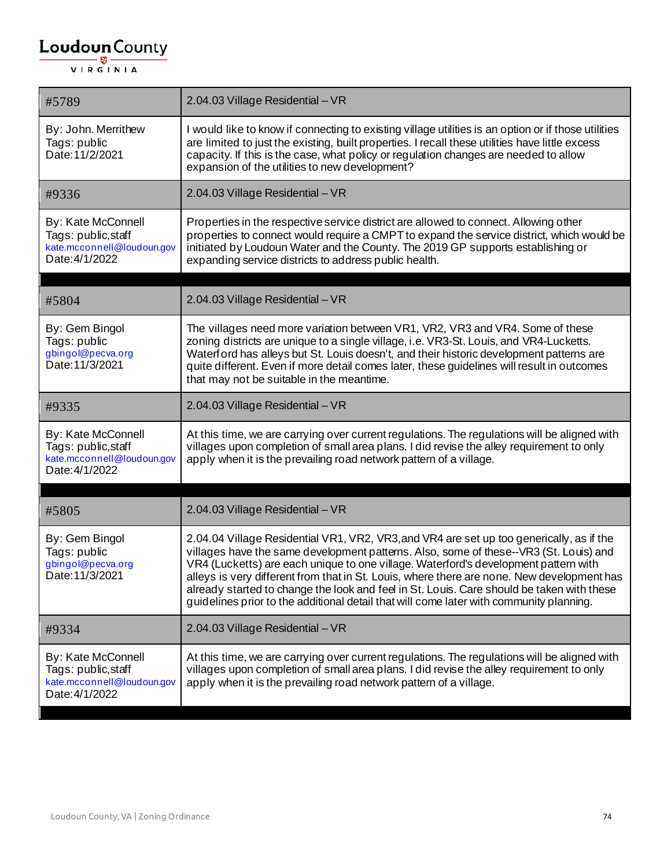| #5789                                                                                     | 2.04.03 Village Residential - VR                                                                                                                                                                                                                                                                                                                                                                                                                                                                                                                               |
|-------------------------------------------------------------------------------------------|----------------------------------------------------------------------------------------------------------------------------------------------------------------------------------------------------------------------------------------------------------------------------------------------------------------------------------------------------------------------------------------------------------------------------------------------------------------------------------------------------------------------------------------------------------------|
| By: John. Merrithew<br>Tags: public<br>Date: 11/2/2021                                    | I would like to know if connecting to existing village utilities is an option or if those utilities<br>are limited to just the existing, built properties. I recall these utilities have little excess<br>capacity. If this is the case, what policy or regulation changes are needed to allow<br>expansion of the utilities to new development?                                                                                                                                                                                                               |
| #9336                                                                                     | 2.04.03 Village Residential - VR                                                                                                                                                                                                                                                                                                                                                                                                                                                                                                                               |
| By: Kate McConnell<br>Tags: public, staff<br>kate.mcconnell@loudoun.gov<br>Date: 4/1/2022 | Properties in the respective service district are allowed to connect. Allowing other<br>properties to connect would require a CMPT to expand the service district, which would be<br>initiated by Loudoun Water and the County. The 2019 GP supports establishing or<br>expanding service districts to address public health.                                                                                                                                                                                                                                  |
| #5804                                                                                     | 2.04.03 Village Residential - VR                                                                                                                                                                                                                                                                                                                                                                                                                                                                                                                               |
| By: Gem Bingol<br>Tags: public<br>gbingol@pecva.org<br>Date: 11/3/2021                    | The villages need more variation between VR1, VR2, VR3 and VR4. Some of these<br>zoning districts are unique to a single village, i.e. VR3-St. Louis, and VR4-Lucketts.<br>Waterford has alleys but St. Louis doesn't, and their historic development patterns are<br>quite different. Even if more detail comes later, these guidelines will result in outcomes<br>that may not be suitable in the meantime.                                                                                                                                                  |
| #9335                                                                                     | 2.04.03 Village Residential - VR                                                                                                                                                                                                                                                                                                                                                                                                                                                                                                                               |
| By: Kate McConnell<br>Tags: public, staff<br>kate.mcconnell@loudoun.gov<br>Date: 4/1/2022 | At this time, we are carrying over current regulations. The regulations will be aligned with<br>villages upon completion of small area plans. I did revise the alley requirement to only<br>apply when it is the prevailing road network pattern of a village.                                                                                                                                                                                                                                                                                                 |
| #5805                                                                                     | 2.04.03 Village Residential - VR                                                                                                                                                                                                                                                                                                                                                                                                                                                                                                                               |
| By: Gem Bingol<br>Tags: public<br>gbingol@pecva.org<br>Date: 11/3/2021                    | 2.04.04 Village Residential VR1, VR2, VR3, and VR4 are set up too generically, as if the<br>villages have the same development patterns. Also, some of these--VR3 (St. Louis) and<br>VR4 (Lucketts) are each unique to one village. Waterford's development pattern with<br>alleys is very different from that in St. Louis, where there are none. New development has<br>already started to change the look and feel in St. Louis. Care should be taken with these<br>guidelines prior to the additional detail that will come later with community planning. |
| #9334                                                                                     | 2.04.03 Village Residential - VR                                                                                                                                                                                                                                                                                                                                                                                                                                                                                                                               |
| By: Kate McConnell<br>Tags: public, staff<br>kate.mcconnell@loudoun.gov<br>Date: 4/1/2022 | At this time, we are carrying over current regulations. The regulations will be aligned with<br>villages upon completion of small area plans. I did revise the alley requirement to only<br>apply when it is the prevailing road network pattern of a village.                                                                                                                                                                                                                                                                                                 |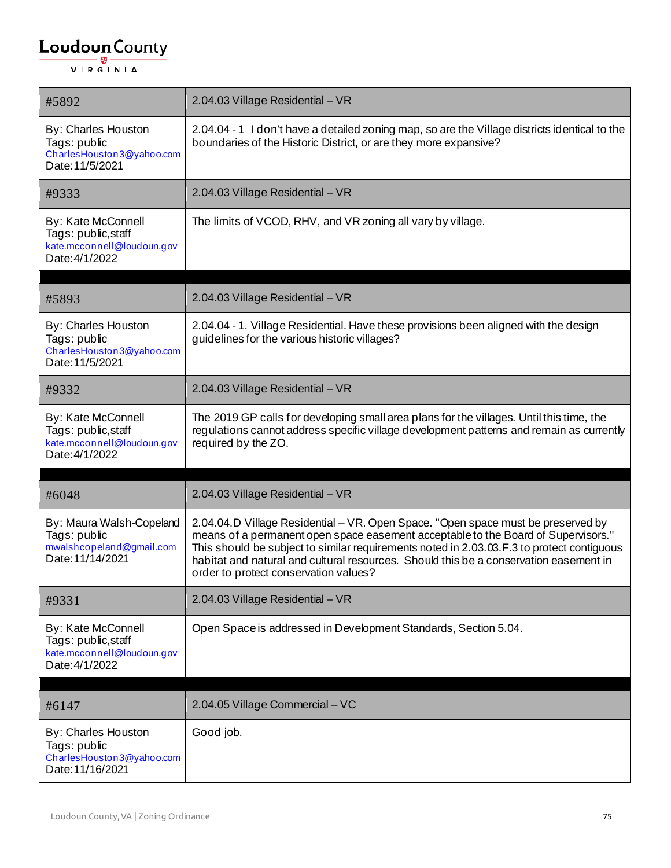| #5892                                                                                     | 2.04.03 Village Residential - VR                                                                                                                                                                                                                                                                                                                                                                     |
|-------------------------------------------------------------------------------------------|------------------------------------------------------------------------------------------------------------------------------------------------------------------------------------------------------------------------------------------------------------------------------------------------------------------------------------------------------------------------------------------------------|
| By: Charles Houston<br>Tags: public<br>CharlesHouston3@yahoo.com<br>Date: 11/5/2021       | 2.04.04 - 1 I don't have a detailed zoning map, so are the Village districts identical to the<br>boundaries of the Historic District, or are they more expansive?                                                                                                                                                                                                                                    |
| #9333                                                                                     | 2.04.03 Village Residential - VR                                                                                                                                                                                                                                                                                                                                                                     |
| By: Kate McConnell<br>Tags: public, staff<br>kate.mcconnell@loudoun.gov<br>Date: 4/1/2022 | The limits of VCOD, RHV, and VR zoning all vary by village.                                                                                                                                                                                                                                                                                                                                          |
| #5893                                                                                     | 2.04.03 Village Residential - VR                                                                                                                                                                                                                                                                                                                                                                     |
|                                                                                           |                                                                                                                                                                                                                                                                                                                                                                                                      |
| By: Charles Houston<br>Tags: public<br>CharlesHouston3@yahoo.com<br>Date: 11/5/2021       | 2.04.04 - 1. Village Residential. Have these provisions been aligned with the design<br>guidelines for the various historic villages?                                                                                                                                                                                                                                                                |
| #9332                                                                                     | 2.04.03 Village Residential - VR                                                                                                                                                                                                                                                                                                                                                                     |
| By: Kate McConnell<br>Tags: public, staff<br>kate.mcconnell@loudoun.gov<br>Date: 4/1/2022 | The 2019 GP calls for developing small area plans for the villages. Until this time, the<br>regulations cannot address specific village development patterns and remain as currently<br>required by the ZO.                                                                                                                                                                                          |
| #6048                                                                                     | 2.04.03 Village Residential - VR                                                                                                                                                                                                                                                                                                                                                                     |
| By: Maura Walsh-Copeland<br>Tags: public<br>mwalshcopeland@gmail.com<br>Date: 11/14/2021  | 2.04.04.D Village Residential - VR. Open Space. "Open space must be preserved by<br>means of a permanent open space easement acceptable to the Board of Supervisors."<br>This should be subject to similar requirements noted in 2.03.03.F.3 to protect contiguous<br>habitat and natural and cultural resources. Should this be a conservation easement in<br>order to protect conservation values? |
| #9331                                                                                     | 2.04.03 Village Residential - VR                                                                                                                                                                                                                                                                                                                                                                     |
| By: Kate McConnell<br>Tags: public, staff<br>kate.mcconnell@loudoun.gov<br>Date: 4/1/2022 | Open Space is addressed in Development Standards, Section 5.04.                                                                                                                                                                                                                                                                                                                                      |
|                                                                                           |                                                                                                                                                                                                                                                                                                                                                                                                      |
| #6147                                                                                     | 2.04.05 Village Commercial - VC                                                                                                                                                                                                                                                                                                                                                                      |
| By: Charles Houston<br>Tags: public<br>CharlesHouston3@yahoo.com<br>Date: 11/16/2021      | Good job.                                                                                                                                                                                                                                                                                                                                                                                            |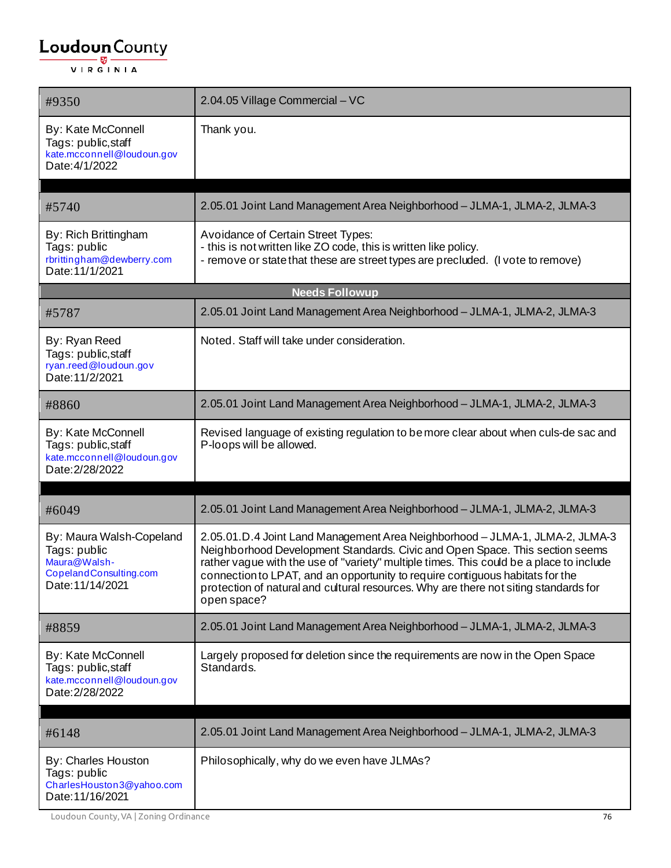| #9350                                                                                                  | 2.04.05 Village Commercial - VC                                                                                                                                                                                                                                                                                                                                                                                                                 |
|--------------------------------------------------------------------------------------------------------|-------------------------------------------------------------------------------------------------------------------------------------------------------------------------------------------------------------------------------------------------------------------------------------------------------------------------------------------------------------------------------------------------------------------------------------------------|
| By: Kate McConnell<br>Tags: public, staff<br>kate.mcconnell@loudoun.gov<br>Date: 4/1/2022              | Thank you.                                                                                                                                                                                                                                                                                                                                                                                                                                      |
| #5740                                                                                                  | 2.05.01 Joint Land Management Area Neighborhood - JLMA-1, JLMA-2, JLMA-3                                                                                                                                                                                                                                                                                                                                                                        |
| By: Rich Brittingham<br>Tags: public<br>rbrittingham@dewberry.com<br>Date: 11/1/2021                   | Avoidance of Certain Street Types:<br>- this is not written like ZO code, this is written like policy.<br>- remove or state that these are street types are precluded. (I vote to remove)                                                                                                                                                                                                                                                       |
|                                                                                                        | <b>Needs Followup</b>                                                                                                                                                                                                                                                                                                                                                                                                                           |
| #5787                                                                                                  | 2.05.01 Joint Land Management Area Neighborhood - JLMA-1, JLMA-2, JLMA-3                                                                                                                                                                                                                                                                                                                                                                        |
| By: Ryan Reed<br>Tags: public,staff<br>ryan.reed@loudoun.gov<br>Date: 11/2/2021                        | Noted. Staff will take under consideration.                                                                                                                                                                                                                                                                                                                                                                                                     |
| #8860                                                                                                  | 2.05.01 Joint Land Management Area Neighborhood - JLMA-1, JLMA-2, JLMA-3                                                                                                                                                                                                                                                                                                                                                                        |
| By: Kate McConnell<br>Tags: public,staff<br>kate.mcconnell@loudoun.gov<br>Date: 2/28/2022              | Revised language of existing regulation to be more clear about when culs-de sac and<br>P-loops will be allowed.                                                                                                                                                                                                                                                                                                                                 |
| #6049                                                                                                  | 2.05.01 Joint Land Management Area Neighborhood - JLMA-1, JLMA-2, JLMA-3                                                                                                                                                                                                                                                                                                                                                                        |
| By: Maura Walsh-Copeland<br>Tags: public<br>Maura@Walsh-<br>CopelandConsulting.com<br>Date: 11/14/2021 | 2.05.01.D.4 Joint Land Management Area Neighborhood - JLMA-1, JLMA-2, JLMA-3<br>Neighborhood Development Standards. Civic and Open Space. This section seems<br>rather vague with the use of "variety" multiple times. This could be a place to include<br>connection to LPAT, and an opportunity to require contiguous habitats for the<br>protection of natural and cultural resources. Why are there not siting standards for<br>open space? |
| #8859                                                                                                  | 2.05.01 Joint Land Management Area Neighborhood - JLMA-1, JLMA-2, JLMA-3                                                                                                                                                                                                                                                                                                                                                                        |
| By: Kate McConnell<br>Tags: public, staff<br>kate.mcconnell@loudoun.gov<br>Date: 2/28/2022             | Largely proposed for deletion since the requirements are now in the Open Space<br>Standards.                                                                                                                                                                                                                                                                                                                                                    |
| #6148                                                                                                  | 2.05.01 Joint Land Management Area Neighborhood - JLMA-1, JLMA-2, JLMA-3                                                                                                                                                                                                                                                                                                                                                                        |
| By: Charles Houston<br>Tags: public<br>CharlesHouston3@yahoo.com<br>Date: 11/16/2021                   | Philosophically, why do we even have JLMAs?                                                                                                                                                                                                                                                                                                                                                                                                     |

Loudoun County, VA | Zoning Ordinance 76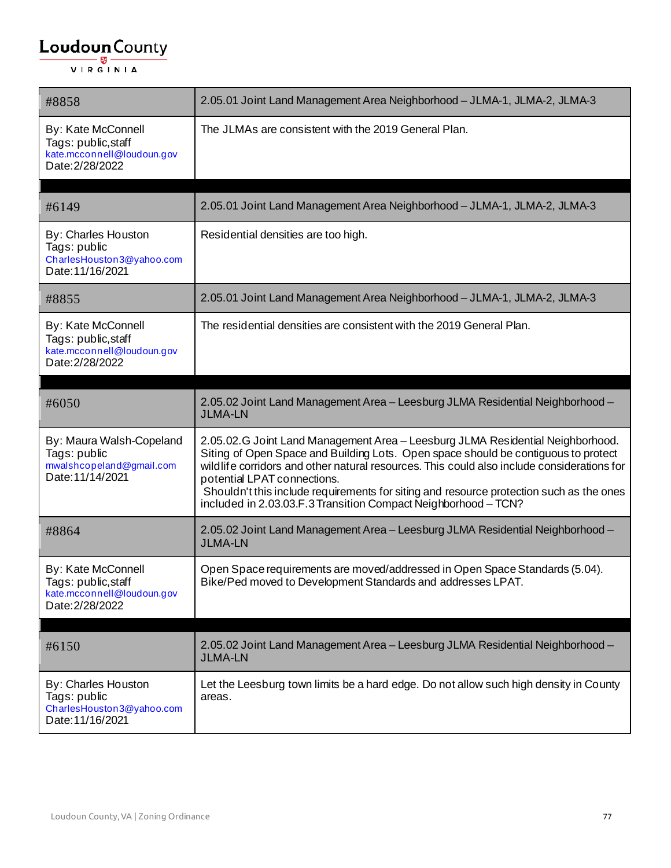| #8858                                                                                      | 2.05.01 Joint Land Management Area Neighborhood - JLMA-1, JLMA-2, JLMA-3                                                                                                                                                                                                                                                                                                                                                                                       |
|--------------------------------------------------------------------------------------------|----------------------------------------------------------------------------------------------------------------------------------------------------------------------------------------------------------------------------------------------------------------------------------------------------------------------------------------------------------------------------------------------------------------------------------------------------------------|
| By: Kate McConnell<br>Tags: public, staff<br>kate.mcconnell@loudoun.gov<br>Date: 2/28/2022 | The JLMAs are consistent with the 2019 General Plan.                                                                                                                                                                                                                                                                                                                                                                                                           |
| #6149                                                                                      | 2.05.01 Joint Land Management Area Neighborhood - JLMA-1, JLMA-2, JLMA-3                                                                                                                                                                                                                                                                                                                                                                                       |
| By: Charles Houston<br>Tags: public<br>CharlesHouston3@yahoo.com<br>Date: 11/16/2021       | Residential densities are too high.                                                                                                                                                                                                                                                                                                                                                                                                                            |
| #8855                                                                                      | 2.05.01 Joint Land Management Area Neighborhood - JLMA-1, JLMA-2, JLMA-3                                                                                                                                                                                                                                                                                                                                                                                       |
| By: Kate McConnell<br>Tags: public, staff<br>kate.mcconnell@loudoun.gov<br>Date: 2/28/2022 | The residential densities are consistent with the 2019 General Plan.                                                                                                                                                                                                                                                                                                                                                                                           |
| #6050                                                                                      | 2.05.02 Joint Land Management Area - Leesburg JLMA Residential Neighborhood -<br><b>JLMA-LN</b>                                                                                                                                                                                                                                                                                                                                                                |
| By: Maura Walsh-Copeland<br>Tags: public<br>mwalshcopeland@gmail.com<br>Date: 11/14/2021   | 2.05.02.G Joint Land Management Area - Leesburg JLMA Residential Neighborhood.<br>Siting of Open Space and Building Lots. Open space should be contiguous to protect<br>wildlife corridors and other natural resources. This could also include considerations for<br>potential LPAT connections.<br>Shouldn't this include requirements for siting and resource protection such as the ones<br>included in 2.03.03.F.3 Transition Compact Neighborhood - TCN? |
| #8864                                                                                      | 2.05.02 Joint Land Management Area - Leesburg JLMA Residential Neighborhood -<br><b>JLMA-LN</b>                                                                                                                                                                                                                                                                                                                                                                |
| By: Kate McConnell<br>Tags: public, staff<br>kate.mcconnell@loudoun.gov<br>Date: 2/28/2022 | Open Space requirements are moved/addressed in Open Space Standards (5.04).<br>Bike/Ped moved to Development Standards and addresses LPAT.                                                                                                                                                                                                                                                                                                                     |
| #6150                                                                                      | 2.05.02 Joint Land Management Area - Leesburg JLMA Residential Neighborhood -<br><b>JLMA-LN</b>                                                                                                                                                                                                                                                                                                                                                                |
| By: Charles Houston<br>Tags: public<br>CharlesHouston3@yahoo.com<br>Date: 11/16/2021       | Let the Leesburg town limits be a hard edge. Do not allow such high density in County<br>areas.                                                                                                                                                                                                                                                                                                                                                                |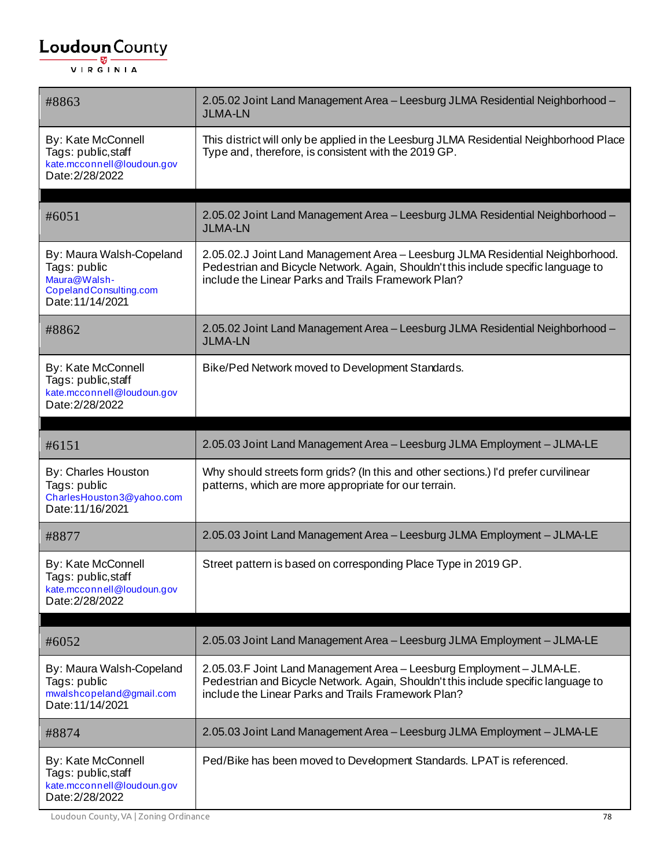| #8863                                                                                                  | 2.05.02 Joint Land Management Area - Leesburg JLMA Residential Neighborhood -<br><b>JLMA-LN</b>                                                                                                                             |
|--------------------------------------------------------------------------------------------------------|-----------------------------------------------------------------------------------------------------------------------------------------------------------------------------------------------------------------------------|
| By: Kate McConnell<br>Tags: public, staff<br>kate.mcconnell@loudoun.gov<br>Date: 2/28/2022             | This district will only be applied in the Leesburg JLMA Residential Neighborhood Place<br>Type and, therefore, is consistent with the 2019 GP.                                                                              |
| #6051                                                                                                  | 2.05.02 Joint Land Management Area - Leesburg JLMA Residential Neighborhood -                                                                                                                                               |
|                                                                                                        | <b>JLMA-LN</b>                                                                                                                                                                                                              |
| By: Maura Walsh-Copeland<br>Tags: public<br>Maura@Walsh-<br>CopelandConsulting.com<br>Date: 11/14/2021 | 2.05.02.J Joint Land Management Area - Leesburg JLMA Residential Neighborhood.<br>Pedestrian and Bicycle Network. Again, Shouldn't this include specific language to<br>include the Linear Parks and Trails Framework Plan? |
| #8862                                                                                                  | 2.05.02 Joint Land Management Area - Leesburg JLMA Residential Neighborhood -<br><b>JLMA-LN</b>                                                                                                                             |
| By: Kate McConnell<br>Tags: public, staff<br>kate.mcconnell@loudoun.gov<br>Date: 2/28/2022             | Bike/Ped Network moved to Development Standards.                                                                                                                                                                            |
|                                                                                                        |                                                                                                                                                                                                                             |
| #6151                                                                                                  | 2.05.03 Joint Land Management Area - Leesburg JLMA Employment - JLMA-LE                                                                                                                                                     |
| By: Charles Houston<br>Tags: public<br>CharlesHouston3@yahoo.com<br>Date: 11/16/2021                   | Why should streets form grids? (In this and other sections.) I'd prefer curvilinear<br>patterns, which are more appropriate for our terrain.                                                                                |
| #8877                                                                                                  | 2.05.03 Joint Land Management Area - Leesburg JLMA Employment - JLMA-LE                                                                                                                                                     |
| By: Kate McConnell<br>Tags: public, staff<br>kate.mcconnell@loudoun.gov<br>Date: 2/28/2022             | Street pattern is based on corresponding Place Type in 2019 GP.                                                                                                                                                             |
| #6052                                                                                                  | 2.05.03 Joint Land Management Area - Leesburg JLMA Employment - JLMA-LE                                                                                                                                                     |
| By: Maura Walsh-Copeland<br>Tags: public<br>mwalshcopeland@gmail.com<br>Date: 11/14/2021               | 2.05.03. F Joint Land Management Area - Leesburg Employment - JLMA-LE.<br>Pedestrian and Bicycle Network. Again, Shouldn't this include specific language to<br>include the Linear Parks and Trails Framework Plan?         |
| #8874                                                                                                  | 2.05.03 Joint Land Management Area - Leesburg JLMA Employment - JLMA-LE                                                                                                                                                     |
| By: Kate McConnell<br>Tags: public, staff<br>kate.mcconnell@loudoun.gov<br>Date: 2/28/2022             | Ped/Bike has been moved to Development Standards. LPAT is referenced.                                                                                                                                                       |

Loudoun County, VA | Zoning Ordinance 78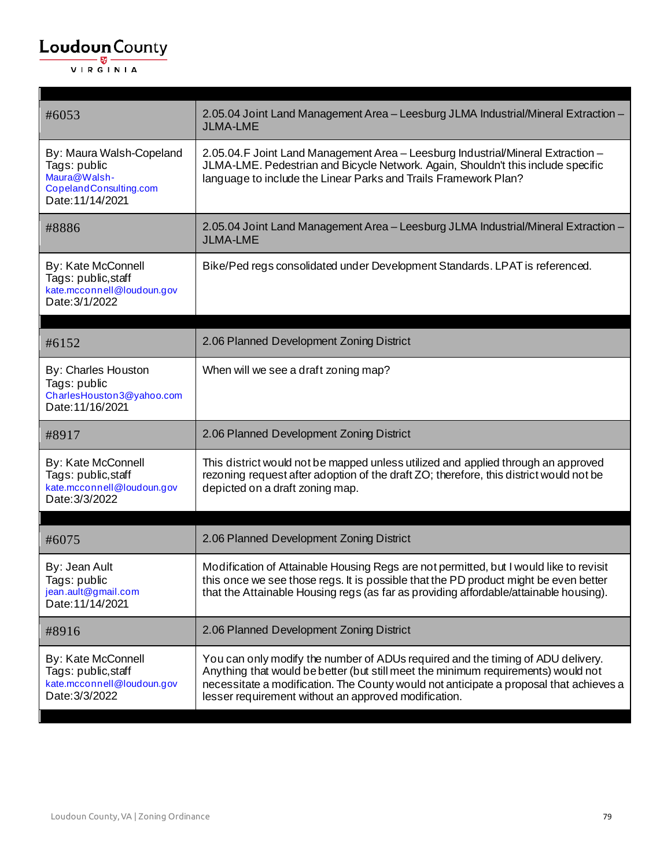| #6053                                                                                                  | 2.05.04 Joint Land Management Area - Leesburg JLMA Industrial/Mineral Extraction -<br><b>JLMA-LME</b>                                                                                                                                                                                                                  |
|--------------------------------------------------------------------------------------------------------|------------------------------------------------------------------------------------------------------------------------------------------------------------------------------------------------------------------------------------------------------------------------------------------------------------------------|
| By: Maura Walsh-Copeland<br>Tags: public<br>Maura@Walsh-<br>CopelandConsulting.com<br>Date: 11/14/2021 | 2.05.04. F Joint Land Management Area - Leesburg Industrial/Mineral Extraction -<br>JLMA-LME. Pedestrian and Bicycle Network. Again, Shouldn't this include specific<br>language to include the Linear Parks and Trails Framework Plan?                                                                                |
| #8886                                                                                                  | 2.05.04 Joint Land Management Area - Leesburg JLMA Industrial/Mineral Extraction -<br><b>JLMA-LME</b>                                                                                                                                                                                                                  |
| By: Kate McConnell<br>Tags: public, staff<br>kate.mcconnell@loudoun.gov<br>Date: 3/1/2022              | Bike/Ped regs consolidated under Development Standards. LPAT is referenced.                                                                                                                                                                                                                                            |
| #6152                                                                                                  | 2.06 Planned Development Zoning District                                                                                                                                                                                                                                                                               |
| By: Charles Houston<br>Tags: public<br>CharlesHouston3@yahoo.com<br>Date: 11/16/2021                   | When will we see a draft zoning map?                                                                                                                                                                                                                                                                                   |
| #8917                                                                                                  | 2.06 Planned Development Zoning District                                                                                                                                                                                                                                                                               |
| By: Kate McConnell<br>Tags: public, staff<br>kate.mcconnell@loudoun.gov<br>Date: 3/3/2022              | This district would not be mapped unless utilized and applied through an approved<br>rezoning request after adoption of the draft ZO; therefore, this district would not be<br>depicted on a draft zoning map.                                                                                                         |
| #6075                                                                                                  | 2.06 Planned Development Zoning District                                                                                                                                                                                                                                                                               |
| By: Jean Ault<br>Tags: public<br>jean.ault@gmail.com<br>Date: 11/14/2021                               | Modification of Attainable Housing Regs are not permitted, but I would like to revisit<br>this once we see those regs. It is possible that the PD product might be even better<br>that the Attainable Housing regs (as far as providing affordable/attainable housing).                                                |
| #8916                                                                                                  | 2.06 Planned Development Zoning District                                                                                                                                                                                                                                                                               |
| By: Kate McConnell<br>Tags: public, staff<br>kate.mcconnell@loudoun.gov<br>Date: 3/3/2022              | You can only modify the number of ADUs required and the timing of ADU delivery.<br>Anything that would be better (but still meet the minimum requirements) would not<br>necessitate a modification. The County would not anticipate a proposal that achieves a<br>lesser requirement without an approved modification. |